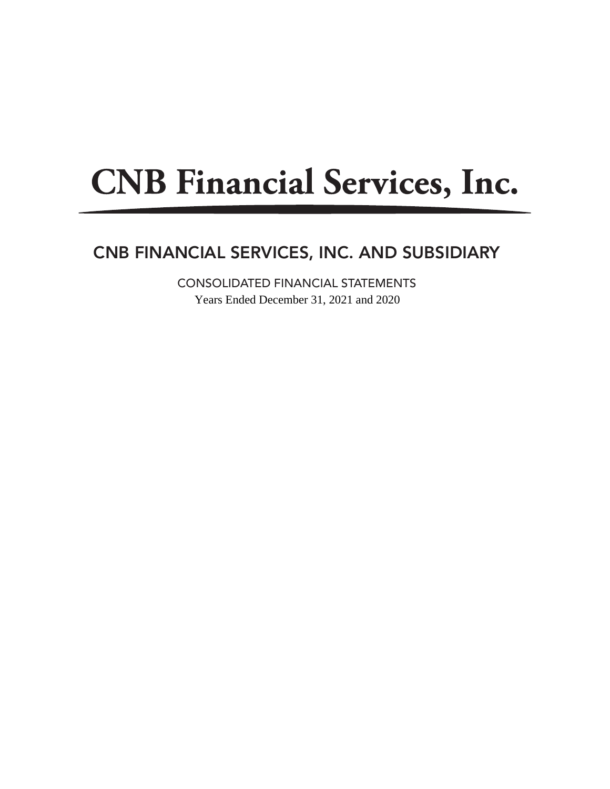# **CNB Financial Services, Inc.**

## CNB FINANCIAL SERVICES, INC. AND SUBSIDIARY

CONSOLIDATED FINANCIAL STATEMENTS Years Ended December 31, 2021 and 2020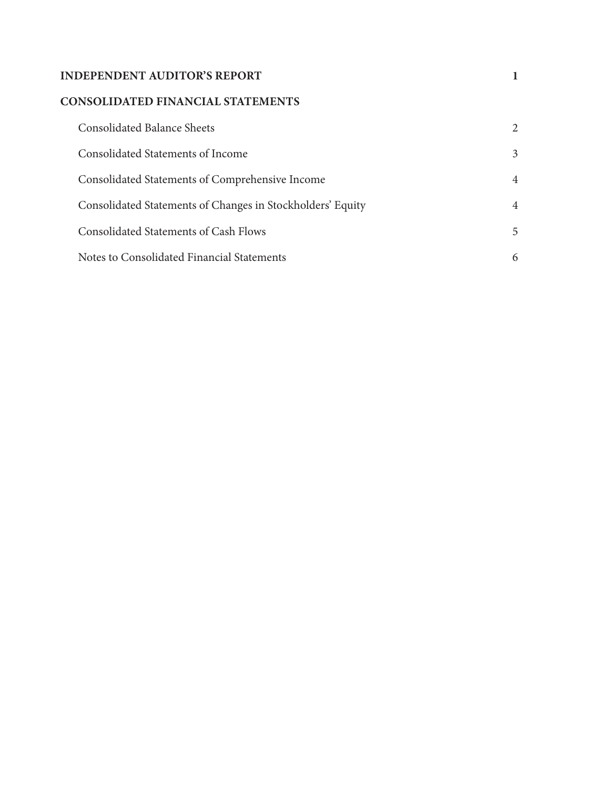## **INDEPENDENT AUDITOR'S REPORT 1**

## **CONSOLIDATED FINANCIAL STATEMENTS**

| <b>Consolidated Balance Sheets</b>                         | 2 |
|------------------------------------------------------------|---|
| Consolidated Statements of Income                          | 3 |
| Consolidated Statements of Comprehensive Income            | 4 |
| Consolidated Statements of Changes in Stockholders' Equity | 4 |
| Consolidated Statements of Cash Flows                      | 5 |
| Notes to Consolidated Financial Statements                 | 6 |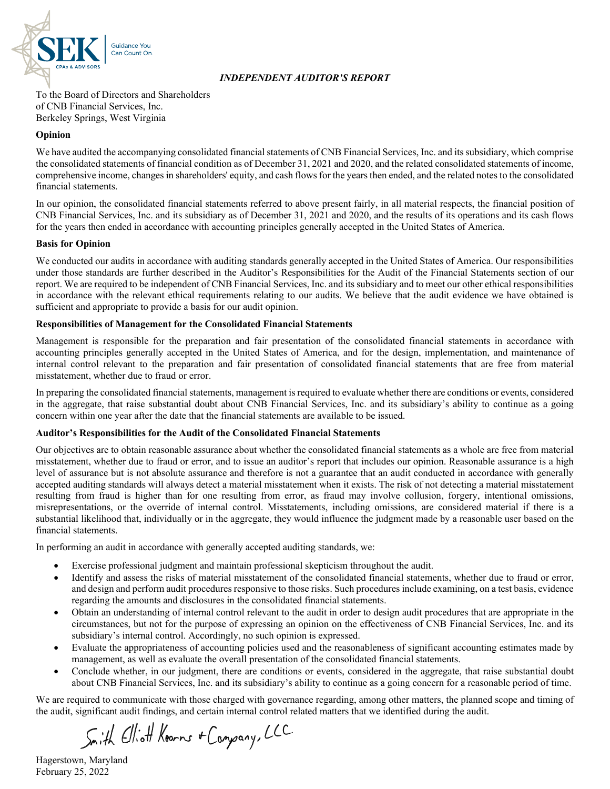

#### *INDEPENDENT AUDITOR'S REPORT*

To the Board of Directors and Shareholders of CNB Financial Services, Inc. Berkeley Springs, West Virginia

#### **Opinion**

We have audited the accompanying consolidated financial statements of CNB Financial Services, Inc. and its subsidiary, which comprise the consolidated statements of financial condition as of December 31, 2021 and 2020, and the related consolidated statements of income, comprehensive income, changes in shareholders' equity, and cash flows for the years then ended, and the related notes to the consolidated financial statements.

In our opinion, the consolidated financial statements referred to above present fairly, in all material respects, the financial position of CNB Financial Services, Inc. and its subsidiary as of December 31, 2021 and 2020, and the results of its operations and its cash flows for the years then ended in accordance with accounting principles generally accepted in the United States of America.

#### **Basis for Opinion**

We conducted our audits in accordance with auditing standards generally accepted in the United States of America. Our responsibilities under those standards are further described in the Auditor's Responsibilities for the Audit of the Financial Statements section of our report. We are required to be independent of CNB Financial Services, Inc. and its subsidiary and to meet our other ethical responsibilities in accordance with the relevant ethical requirements relating to our audits. We believe that the audit evidence we have obtained is sufficient and appropriate to provide a basis for our audit opinion.

#### **Responsibilities of Management for the Consolidated Financial Statements**

Management is responsible for the preparation and fair presentation of the consolidated financial statements in accordance with accounting principles generally accepted in the United States of America, and for the design, implementation, and maintenance of internal control relevant to the preparation and fair presentation of consolidated financial statements that are free from material misstatement, whether due to fraud or error.

In preparing the consolidated financial statements, management is required to evaluate whether there are conditions or events, considered in the aggregate, that raise substantial doubt about CNB Financial Services, Inc. and its subsidiary's ability to continue as a going concern within one year after the date that the financial statements are available to be issued.

#### **Auditor's Responsibilities for the Audit of the Consolidated Financial Statements**

Our objectives are to obtain reasonable assurance about whether the consolidated financial statements as a whole are free from material misstatement, whether due to fraud or error, and to issue an auditor's report that includes our opinion. Reasonable assurance is a high level of assurance but is not absolute assurance and therefore is not a guarantee that an audit conducted in accordance with generally accepted auditing standards will always detect a material misstatement when it exists. The risk of not detecting a material misstatement resulting from fraud is higher than for one resulting from error, as fraud may involve collusion, forgery, intentional omissions, misrepresentations, or the override of internal control. Misstatements, including omissions, are considered material if there is a substantial likelihood that, individually or in the aggregate, they would influence the judgment made by a reasonable user based on the financial statements.

In performing an audit in accordance with generally accepted auditing standards, we:

- Exercise professional judgment and maintain professional skepticism throughout the audit.
- Identify and assess the risks of material misstatement of the consolidated financial statements, whether due to fraud or error, and design and perform audit procedures responsive to those risks. Such procedures include examining, on a test basis, evidence regarding the amounts and disclosures in the consolidated financial statements.
- Obtain an understanding of internal control relevant to the audit in order to design audit procedures that are appropriate in the circumstances, but not for the purpose of expressing an opinion on the effectiveness of CNB Financial Services, Inc. and its subsidiary's internal control. Accordingly, no such opinion is expressed.
- Evaluate the appropriateness of accounting policies used and the reasonableness of significant accounting estimates made by management, as well as evaluate the overall presentation of the consolidated financial statements.
- Conclude whether, in our judgment, there are conditions or events, considered in the aggregate, that raise substantial doubt about CNB Financial Services, Inc. and its subsidiary's ability to continue as a going concern for a reasonable period of time.

We are required to communicate with those charged with governance regarding, among other matters, the planned scope and timing of the audit, significant audit findings, and certain internal control related matters that we identified during the audit.

Smith Elliott Kearns + Conpany, LCC

Hagerstown, Maryland February 25, 2022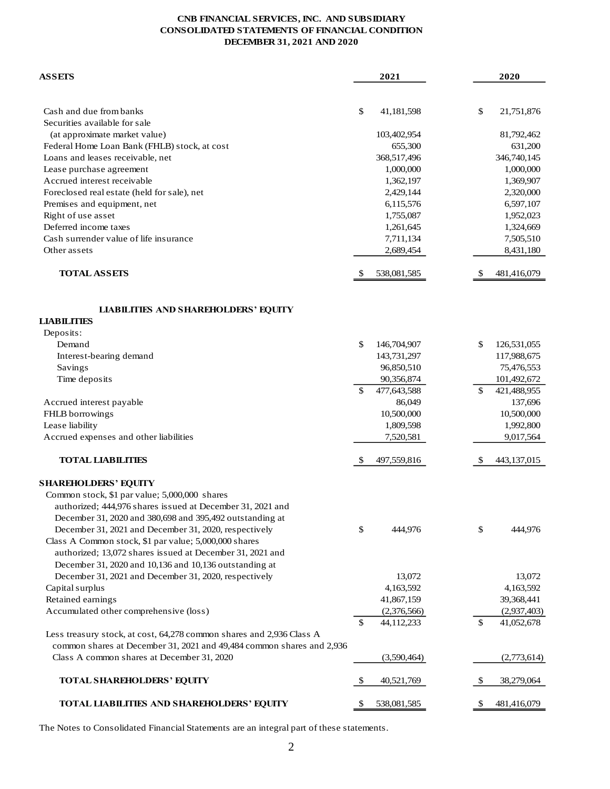#### **CNB FINANCIAL SERVICES, INC. AND SUBSIDIARY CONSOLIDATED STATEMENTS OF FINANCIAL CONDITION DECEMBER 31, 2021 AND 2020**

| <b>ASSETS</b>                                                         |               | 2021        | 2020              |
|-----------------------------------------------------------------------|---------------|-------------|-------------------|
|                                                                       |               |             |                   |
| Cash and due from banks                                               | \$            | 41,181,598  | \$<br>21,751,876  |
| Securities available for sale                                         |               |             |                   |
| (at approximate market value)                                         |               | 103,402,954 | 81,792,462        |
| Federal Home Loan Bank (FHLB) stock, at cost                          |               | 655,300     | 631,200           |
| Loans and leases receivable, net                                      |               | 368,517,496 | 346,740,145       |
| Lease purchase agreement                                              |               | 1,000,000   | 1,000,000         |
| Accrued interest receivable                                           |               | 1,362,197   | 1,369,907         |
| Foreclosed real estate (held for sale), net                           |               | 2,429,144   | 2,320,000         |
| Premises and equipment, net                                           |               | 6,115,576   | 6,597,107         |
| Right of use asset                                                    |               | 1,755,087   | 1,952,023         |
| Deferred income taxes                                                 |               | 1,261,645   | 1,324,669         |
| Cash surrender value of life insurance                                |               | 7,711,134   | 7,505,510         |
| Other assets                                                          |               | 2,689,454   | 8,431,180         |
| <b>TOTAL ASSETS</b>                                                   |               | 538,081,585 | 481,416,079       |
| <b>LIABILITIES AND SHAREHOLDERS' EQUITY</b>                           |               |             |                   |
| <b>LIABILITIES</b>                                                    |               |             |                   |
| Deposits:                                                             |               |             |                   |
| Demand                                                                | \$            | 146,704,907 | \$<br>126,531,055 |
| Interest-bearing demand                                               |               | 143,731,297 | 117,988,675       |
| Savings                                                               |               | 96,850,510  | 75,476,553        |
| Time deposits                                                         |               | 90,356,874  | 101,492,672       |
|                                                                       | $\mathcal{S}$ | 477,643,588 | \$<br>421,488,955 |
| Accrued interest payable                                              |               | 86,049      | 137,696           |
| FHLB borrowings                                                       |               | 10,500,000  | 10,500,000        |
| Lease liability                                                       |               | 1,809,598   | 1,992,800         |
|                                                                       |               | 7,520,581   | 9,017,564         |
| Accrued expenses and other liabilities                                |               |             |                   |
| <b>TOTAL LIABILITIES</b>                                              | S             | 497,559,816 | \$<br>443,137,015 |
| <b>SHAREHOLDERS' EQUITY</b>                                           |               |             |                   |
| Common stock, \$1 par value; 5,000,000 shares                         |               |             |                   |
| authorized; 444,976 shares issued at December 31, 2021 and            |               |             |                   |
| December 31, 2020 and 380,698 and 395,492 outstanding at              |               |             |                   |
| December 31, 2021 and December 31, 2020, respectively                 | \$            | 444,976     | \$<br>444,976     |
| Class A Common stock, \$1 par value; 5,000,000 shares                 |               |             |                   |
| authorized; 13,072 shares issued at December 31, 2021 and             |               |             |                   |
| December 31, 2020 and 10,136 and 10,136 outstanding at                |               |             |                   |
| December 31, 2021 and December 31, 2020, respectively                 |               | 13,072      | 13,072            |
| Capital surplus                                                       |               | 4,163,592   | 4,163,592         |
| Retained earnings                                                     |               | 41,867,159  | 39,368,441        |
| Accumulated other comprehensive (loss)                                |               | (2,376,566) | (2,937,403)       |
|                                                                       | \$            | 44,112,233  | \$<br>41,052,678  |
| Less treasury stock, at cost, 64,278 common shares and 2,936 Class A  |               |             |                   |
| common shares at December 31, 2021 and 49,484 common shares and 2,936 |               |             |                   |
| Class A common shares at December 31, 2020                            |               | (3,590,464) | (2,773,614)       |
|                                                                       |               |             |                   |
| <b>TOTAL SHAREHOLDERS' EQUITY</b>                                     | S             | 40,521,769  | \$<br>38,279,064  |
| <b>TOTAL LIABILITIES AND SHAREHOLDERS' EQUITY</b>                     | \$            | 538,081,585 | \$<br>481,416,079 |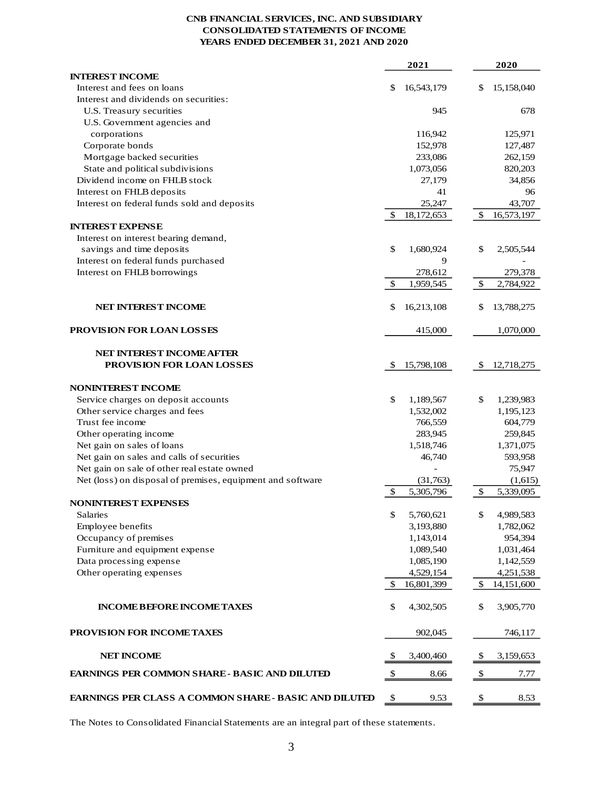#### **CNB FINANCIAL SERVICES, INC. AND SUBSIDIARY CONSOLIDATED STATEMENTS OF INCOME YEARS ENDED DECEMBER 31, 2021 AND 2020**

|                                                            |                           | 2021       |      | 2020       |
|------------------------------------------------------------|---------------------------|------------|------|------------|
| <b>INTEREST INCOME</b>                                     |                           |            |      |            |
| Interest and fees on loans                                 | \$                        | 16,543,179 | S    | 15,158,040 |
| Interest and dividends on securities:                      |                           |            |      |            |
| U.S. Treasury securities                                   |                           | 945        |      | 678        |
| U.S. Government agencies and                               |                           |            |      |            |
| corporations                                               |                           | 116,942    |      | 125,971    |
| Corporate bonds                                            |                           | 152,978    |      | 127,487    |
| Mortgage backed securities                                 |                           | 233,086    |      | 262,159    |
| State and political subdivisions                           |                           | 1,073,056  |      | 820,203    |
| Dividend income on FHLB stock                              |                           | 27,179     |      | 34,856     |
| Interest on FHLB deposits                                  |                           | 41         |      | 96         |
| Interest on federal funds sold and deposits                |                           | 25,247     |      | 43,707     |
|                                                            | \$                        | 18,172,653 | \$   | 16,573,197 |
| <b>INTEREST EXPENSE</b>                                    |                           |            |      |            |
| Interest on interest bearing demand,                       |                           |            |      |            |
| savings and time deposits                                  | \$                        | 1,680,924  | \$   | 2,505,544  |
| Interest on federal funds purchased                        |                           | 9          |      |            |
| Interest on FHLB borrowings                                |                           | 278,612    |      | 279,378    |
|                                                            | $\mathbb{S}$              | 1,959,545  | \$   | 2,784,922  |
| NET INTEREST INCOME                                        | \$                        | 16,213,108 | \$   | 13,788,275 |
| <b>PROVISION FOR LOAN LOSSES</b>                           |                           | 415,000    |      | 1,070,000  |
|                                                            |                           |            |      |            |
| NET INTEREST INCOME AFTER                                  |                           |            |      |            |
| PROVISION FOR LOAN LOSSES                                  | \$                        | 15,798,108 | \$   | 12,718,275 |
| <b>NONINTEREST INCOME</b>                                  |                           |            |      |            |
| Service charges on deposit accounts                        | \$                        | 1,189,567  | \$   | 1,239,983  |
| Other service charges and fees                             |                           | 1,532,002  |      | 1,195,123  |
| Trust fee income                                           |                           | 766,559    |      | 604,779    |
| Other operating income                                     |                           | 283,945    |      | 259,845    |
| Net gain on sales of loans                                 |                           | 1,518,746  |      | 1,371,075  |
| Net gain on sales and calls of securities                  |                           | 46,740     |      | 593,958    |
| Net gain on sale of other real estate owned                |                           |            |      | 75,947     |
| Net (loss) on disposal of premises, equipment and software |                           | (31,763)   |      | (1,615)    |
|                                                            | $\boldsymbol{\mathsf{S}}$ | 5,305,796  | \$   | 5,339,095  |
| <b>NONINTEREST EXPENSES</b>                                |                           |            |      |            |
| <b>Salaries</b>                                            | \$                        | 5,760,621  | \$   | 4,989,583  |
| Employee benefits                                          |                           | 3,193,880  |      | 1,782,062  |
| Occupancy of premises                                      |                           | 1,143,014  |      | 954,394    |
| Furniture and equipment expense                            |                           | 1,089,540  |      | 1,031,464  |
| Data processing expense                                    |                           | 1,085,190  |      | 1,142,559  |
| Other operating expenses                                   |                           | 4,529,154  |      | 4,251,538  |
|                                                            | \$                        | 16,801,399 | \$   | 14,151,600 |
| <b>INCOME BEFORE INCOME TAXES</b>                          | \$                        | 4,302,505  | \$   | 3,905,770  |
| PROVISION FOR INCOME TAXES                                 |                           | 902,045    |      | 746,117    |
| <b>NET INCOME</b>                                          | \$                        | 3,400,460  | \$   | 3,159,653  |
|                                                            |                           |            |      |            |
| <b>EARNINGS PER COMMON SHARE - BASIC AND DILUTED</b>       | \$                        | 8.66       | \$   | 7.77       |
| EARNINGS PER CLASS A COMMON SHARE - BASIC AND DILUTED      | \$                        | 9.53       | $\$$ | 8.53       |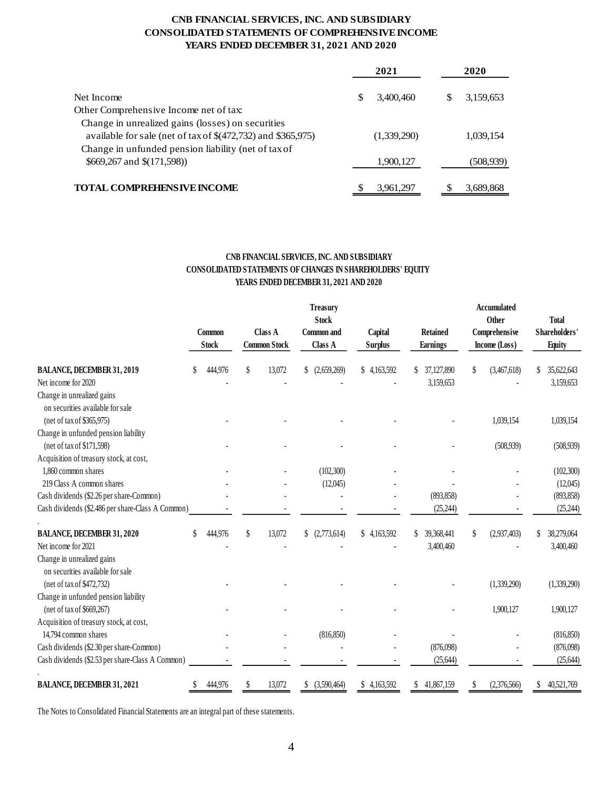#### **CNB FINANCIAL SERVICES, INC. AND SUBSIDIARY CONSOLIDATED STATEMENTS OF COMPREHENSIVE INCOME YEARS ENDED DECEMBER 31, 2021 AND 2020**

|                                                              | 2021            | 2020           |
|--------------------------------------------------------------|-----------------|----------------|
| Net Income                                                   | \$<br>3,400,460 | 3,159,653<br>S |
| Other Comprehensive Income net of tax:                       |                 |                |
| Change in unrealized gains (losses) on securities            |                 |                |
| available for sale (net of tax of \$(472,732) and \$365,975) | (1,339,290)     | 1,039,154      |
| Change in unfunded pension liability (net of tax of          |                 |                |
| \$669,267 and $$(171,598))$                                  | 1,900,127       | (508,939)      |
| <b>TOTAL COMPREHENSIVE INCOME</b>                            | S<br>3.961.297  | 3,689,868      |

#### **CNB FINANCIAL SERVICES, INC. AND SUBSIDIARY CONSOLIDATED STATEMENTS OF CHANGES IN SHAREHOLDERS' EQUITY YEARS ENDED DECEMBER 31, 2021 AND 2020**

|                                                                                             |   | Common<br><b>Stock</b> |    | Class A<br><b>Common Stock</b> | <b>Treasury</b><br><b>Stock</b><br><b>Common</b> and<br>Class A | Capital<br><b>Surplus</b> | <b>Retained</b><br><b>Earnings</b> |    | <b>Accumulated</b><br>Other<br>Comprehensive<br>Income (Loss) | <b>Total</b><br>Shareholders'<br><b>Equity</b> |
|---------------------------------------------------------------------------------------------|---|------------------------|----|--------------------------------|-----------------------------------------------------------------|---------------------------|------------------------------------|----|---------------------------------------------------------------|------------------------------------------------|
| <b>BALANCE, DECEMBER 31, 2019</b>                                                           |   | 444,976                | S  | 13,072                         | (2,659,269)<br>\$                                               | \$4,163,592               | 37,127,890<br>\$                   | \$ | (3,467,618)                                                   | 35,622,643<br>\$                               |
| Net income for 2020                                                                         |   |                        |    |                                |                                                                 |                           | 3,159,653                          |    |                                                               | 3,159,653                                      |
| Change in unrealized gains<br>on securities available for sale<br>(net of tax of \$365,975) |   |                        |    |                                |                                                                 |                           |                                    |    | 1,039,154                                                     | 1,039,154                                      |
| Change in unfunded pension liability                                                        |   |                        |    |                                |                                                                 |                           |                                    |    |                                                               |                                                |
| (net of tax of \$171,598)                                                                   |   |                        |    |                                |                                                                 |                           |                                    |    | (508, 939)                                                    | (508, 939)                                     |
| Acquisition of treasury stock, at cost,                                                     |   |                        |    |                                |                                                                 |                           |                                    |    |                                                               |                                                |
| 1,860 common shares                                                                         |   |                        |    |                                | (102,300)                                                       |                           |                                    |    |                                                               | (102, 300)                                     |
| 219 Class A common shares                                                                   |   |                        |    |                                | (12,045)                                                        |                           |                                    |    |                                                               | (12,045)                                       |
| Cash dividends (\$2.26 per share-Common)                                                    |   |                        |    |                                |                                                                 |                           | (893, 858)                         |    |                                                               | (893, 858)                                     |
| Cash dividends (\$2.486 per share-Class A Common)                                           |   |                        |    |                                |                                                                 |                           | (25, 244)                          |    |                                                               | (25, 244)                                      |
| <b>BALANCE, DECEMBER 31, 2020</b>                                                           |   | 444,976                | \$ | 13,072                         | \$ (2,773,614)                                                  | \$4,163,592               | 39,368,441<br>\$                   | \$ | (2,937,403)                                                   | 38,279,064<br>S                                |
| Net income for 2021                                                                         |   |                        |    |                                |                                                                 |                           | 3,400,460                          |    |                                                               | 3,400,460                                      |
| Change in unrealized gains<br>on securities available for sale                              |   |                        |    |                                |                                                                 |                           |                                    |    |                                                               |                                                |
| (net of tax of \$472,732)                                                                   |   |                        |    |                                |                                                                 |                           |                                    |    | (1,339,290)                                                   | (1,339,290)                                    |
| Change in unfunded pension liability<br>(net of tax of \$669,267)                           |   |                        |    |                                |                                                                 |                           |                                    |    | 1,900,127                                                     | 1,900,127                                      |
| Acquisition of treasury stock, at cost,                                                     |   |                        |    |                                |                                                                 |                           |                                    |    |                                                               |                                                |
| 14,794 common shares                                                                        |   |                        |    |                                | (816, 850)                                                      |                           |                                    |    |                                                               | (816, 850)                                     |
| Cash dividends (\$2.30 per share-Common)                                                    |   |                        |    |                                |                                                                 |                           | (876,098)                          |    |                                                               | (876,098)                                      |
| Cash dividends (\$2.53 per share-Class A Common)                                            |   |                        |    |                                |                                                                 |                           | (25, 644)                          |    |                                                               | (25, 644)                                      |
| <b>BALANCE, DECEMBER 31, 2021</b>                                                           | S | 444,976                | S  | 13,072                         | (3,590,464)<br>S                                                | \$4,163,592               | 41,867,159<br>S                    | S  | (2,376,566)                                                   | 40,521,769<br>S                                |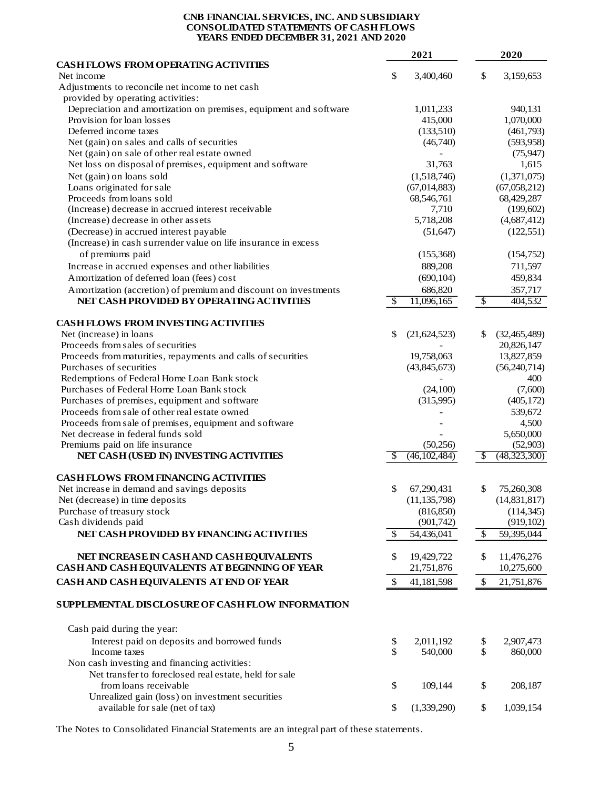#### **CNB FINANCIAL SERVICES, INC. AND SUBSIDIARY CONSOLIDATED STATEMENTS OF CASH FLOWS YEARS ENDED DECEMBER 31, 2021 AND 2020**

|                                                                                      |          | 2021                                  |                 | 2020                      |
|--------------------------------------------------------------------------------------|----------|---------------------------------------|-----------------|---------------------------|
| <b>CASH FLOWS FROM OPERATING ACTIVITIES</b>                                          |          |                                       |                 |                           |
| Net income                                                                           | \$       | 3,400,460                             | \$              | 3,159,653                 |
| Adjustments to reconcile net income to net cash<br>provided by operating activities: |          |                                       |                 |                           |
| Depreciation and amortization on premises, equipment and software                    |          | 1,011,233                             |                 | 940,131                   |
| Provision for loan losses                                                            |          | 415,000                               |                 | 1,070,000                 |
| Deferred income taxes                                                                |          | (133,510)                             |                 | (461,793)                 |
| Net (gain) on sales and calls of securities                                          |          | (46,740)                              |                 | (593, 958)                |
| Net (gain) on sale of other real estate owned                                        |          |                                       |                 | (75, 947)                 |
| Net loss on disposal of premises, equipment and software                             |          | 31,763                                |                 | 1,615                     |
| Net (gain) on loans sold                                                             |          | (1,518,746)                           |                 | (1,371,075)               |
| Loans originated for sale                                                            |          | (67, 014, 883)                        |                 | (67,058,212)              |
| Proceeds from loans sold                                                             |          | 68,546,761                            |                 | 68,429,287                |
| (Increase) decrease in accrued interest receivable                                   |          | 7,710                                 |                 | (199, 602)                |
| (Increase) decrease in other assets                                                  |          | 5,718,208                             |                 | (4,687,412)               |
| (Decrease) in accrued interest payable                                               |          | (51, 647)                             |                 | (122, 551)                |
| (Increase) in cash surrender value on life insurance in excess                       |          |                                       |                 |                           |
| of premiums paid                                                                     |          | (155, 368)                            |                 | (154, 752)                |
| Increase in accrued expenses and other liabilities                                   |          | 889,208                               |                 | 711,597                   |
| Amortization of deferred loan (fees) cost                                            |          | (690, 104)                            |                 | 459,834                   |
| Amortization (accretion) of premium and discount on investments                      |          | 686,820                               |                 | 357,717                   |
| NET CASH PROVIDED BY OPERATING ACTIVITIES                                            | \$       | 11,096,165                            | $\overline{\$}$ | 404,532                   |
|                                                                                      |          |                                       |                 |                           |
| <b>CASH FLOWS FROM INVESTING ACTIVITIES</b><br>Net (increase) in loans               |          | (21, 624, 523)                        |                 | (32, 465, 489)            |
| Proceeds from sales of securities                                                    | \$       |                                       | \$.             | 20,826,147                |
| Proceeds from maturities, repayments and calls of securities                         |          | 19,758,063                            |                 | 13,827,859                |
| Purchases of securities                                                              |          | (43, 845, 673)                        |                 | (56,240,714)              |
| Redemptions of Federal Home Loan Bank stock                                          |          |                                       |                 | 400                       |
| Purchases of Federal Home Loan Bank stock                                            |          | (24,100)                              |                 | (7,600)                   |
| Purchases of premises, equipment and software                                        |          | (315,995)                             |                 | (405, 172)                |
| Proceeds from sale of other real estate owned                                        |          |                                       |                 | 539,672                   |
| Proceeds from sale of premises, equipment and software                               |          |                                       |                 | 4,500                     |
| Net decrease in federal funds sold                                                   |          |                                       |                 | 5,650,000                 |
| Premiums paid on life insurance                                                      |          | (50,256)                              |                 | (52,903)                  |
| NET CASH (USED IN) INVESTING ACTIVITIES                                              |          | (46, 102, 484)                        | \$              | $\overline{(48,323,300)}$ |
|                                                                                      |          |                                       |                 |                           |
| <b>CASH FLOWS FROM FINANCING ACTIVITIES</b>                                          |          |                                       |                 |                           |
| Net increase in demand and savings deposits                                          | \$       | 67,290,431                            | \$              | 75,260,308                |
| Net (decrease) in time deposits                                                      |          | (11, 135, 798)                        |                 | (14, 831, 817)            |
| Purchase of treasury stock<br>Cash dividends paid                                    |          | (816, 850)                            |                 | (114, 345)                |
| NET CASH PROVIDED BY FINANCING ACTIVITIES                                            | \$       | (901,742)<br>$\overline{54}$ ,436,041 | \$              | (919, 102)<br>59,395,044  |
|                                                                                      |          |                                       |                 |                           |
| NET INCREASE IN CASH AND CASH EQUIVALENTS                                            | \$       | 19,429,722                            | \$              | 11,476,276                |
| CASH AND CASH EQUIVALENTS AT BEGINNING OF YEAR                                       |          | 21,751,876                            |                 | 10,275,600                |
| CASH AND CASH EQUIVALENTS AT END OF YEAR                                             | \$       | 41,181,598                            | \$              | 21,751,876                |
|                                                                                      |          |                                       |                 |                           |
| SUPPLEMENTAL DISCLOSURE OF CASH FLOW INFORMATION                                     |          |                                       |                 |                           |
| Cash paid during the year:                                                           |          |                                       |                 |                           |
| Interest paid on deposits and borrowed funds                                         |          | 2,011,192                             | \$              | 2,907,473                 |
| Income taxes                                                                         | \$<br>\$ | 540,000                               | \$              | 860,000                   |
| Non cash investing and financing activities:                                         |          |                                       |                 |                           |
| Net transfer to foreclosed real estate, held for sale                                |          |                                       |                 |                           |
| from loans receivable                                                                | \$       | 109,144                               | \$              | 208,187                   |
| Unrealized gain (loss) on investment securities                                      |          |                                       |                 |                           |
| available for sale (net of tax)                                                      | \$       | (1,339,290)                           | \$              | 1,039,154                 |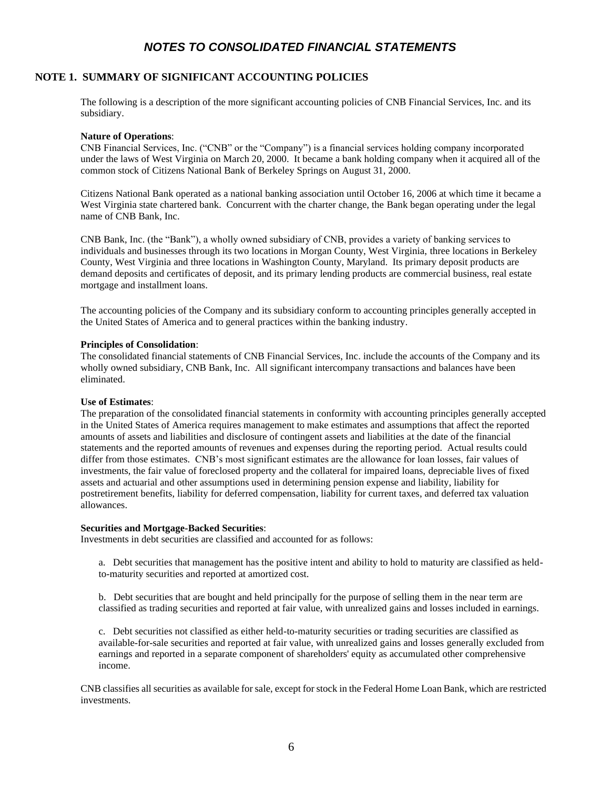## *NOTES TO CONSOLIDATED FINANCIAL STATEMENTS*

#### **NOTE 1. SUMMARY OF SIGNIFICANT ACCOUNTING POLICIES**

The following is a description of the more significant accounting policies of CNB Financial Services, Inc. and its subsidiary.

#### **Nature of Operations**:

CNB Financial Services, Inc. ("CNB" or the "Company") is a financial services holding company incorporated under the laws of West Virginia on March 20, 2000. It became a bank holding company when it acquired all of the common stock of Citizens National Bank of Berkeley Springs on August 31, 2000.

Citizens National Bank operated as a national banking association until October 16, 2006 at which time it became a West Virginia state chartered bank. Concurrent with the charter change, the Bank began operating under the legal name of CNB Bank, Inc.

CNB Bank, Inc. (the "Bank"), a wholly owned subsidiary of CNB, provides a variety of banking services to individuals and businesses through its two locations in Morgan County, West Virginia, three locations in Berkeley County, West Virginia and three locations in Washington County, Maryland. Its primary deposit products are demand deposits and certificates of deposit, and its primary lending products are commercial business, real estate mortgage and installment loans.

The accounting policies of the Company and its subsidiary conform to accounting principles generally accepted in the United States of America and to general practices within the banking industry.

#### **Principles of Consolidation**:

The consolidated financial statements of CNB Financial Services, Inc. include the accounts of the Company and its wholly owned subsidiary, CNB Bank, Inc. All significant intercompany transactions and balances have been eliminated.

#### **Use of Estimates**:

The preparation of the consolidated financial statements in conformity with accounting principles generally accepted in the United States of America requires management to make estimates and assumptions that affect the reported amounts of assets and liabilities and disclosure of contingent assets and liabilities at the date of the financial statements and the reported amounts of revenues and expenses during the reporting period. Actual results could differ from those estimates. CNB's most significant estimates are the allowance for loan losses, fair values of investments, the fair value of foreclosed property and the collateral for impaired loans, depreciable lives of fixed assets and actuarial and other assumptions used in determining pension expense and liability, liability for postretirement benefits, liability for deferred compensation, liability for current taxes, and deferred tax valuation allowances.

#### **Securities and Mortgage-Backed Securities**:

Investments in debt securities are classified and accounted for as follows:

a. Debt securities that management has the positive intent and ability to hold to maturity are classified as heldto-maturity securities and reported at amortized cost.

b. Debt securities that are bought and held principally for the purpose of selling them in the near term are classified as trading securities and reported at fair value, with unrealized gains and losses included in earnings.

c. Debt securities not classified as either held-to-maturity securities or trading securities are classified as available-for-sale securities and reported at fair value, with unrealized gains and losses generally excluded from earnings and reported in a separate component of shareholders' equity as accumulated other comprehensive income.

CNB classifies all securities as available for sale, except for stock in the Federal Home Loan Bank, which are restricted investments.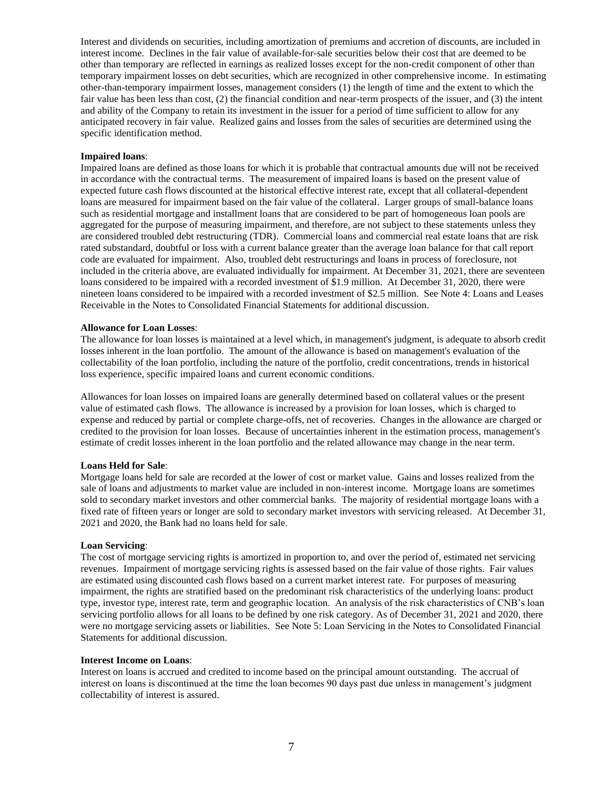Interest and dividends on securities, including amortization of premiums and accretion of discounts, are included in interest income. Declines in the fair value of available-for-sale securities below their cost that are deemed to be other than temporary are reflected in earnings as realized losses except for the non-credit component of other than temporary impairment losses on debt securities, which are recognized in other comprehensive income. In estimating other-than-temporary impairment losses, management considers (1) the length of time and the extent to which the fair value has been less than cost, (2) the financial condition and near-term prospects of the issuer, and (3) the intent and ability of the Company to retain its investment in the issuer for a period of time sufficient to allow for any anticipated recovery in fair value. Realized gains and losses from the sales of securities are determined using the specific identification method.

#### **Impaired loans**:

Impaired loans are defined as those loans for which it is probable that contractual amounts due will not be received in accordance with the contractual terms. The measurement of impaired loans is based on the present value of expected future cash flows discounted at the historical effective interest rate, except that all collateral-dependent loans are measured for impairment based on the fair value of the collateral. Larger groups of small-balance loans such as residential mortgage and installment loans that are considered to be part of homogeneous loan pools are aggregated for the purpose of measuring impairment, and therefore, are not subject to these statements unless they are considered troubled debt restructuring (TDR). Commercial loans and commercial real estate loans that are risk rated substandard, doubtful or loss with a current balance greater than the average loan balance for that call report code are evaluated for impairment. Also, troubled debt restructurings and loans in process of foreclosure, not included in the criteria above, are evaluated individually for impairment. At December 31, 2021, there are seventeen loans considered to be impaired with a recorded investment of \$1.9 million. At December 31, 2020, there were nineteen loans considered to be impaired with a recorded investment of \$2.5 million. See Note 4: Loans and Leases Receivable in the Notes to Consolidated Financial Statements for additional discussion.

#### **Allowance for Loan Losses**:

The allowance for loan losses is maintained at a level which, in management's judgment, is adequate to absorb credit losses inherent in the loan portfolio. The amount of the allowance is based on management's evaluation of the collectability of the loan portfolio, including the nature of the portfolio, credit concentrations, trends in historical loss experience, specific impaired loans and current economic conditions.

Allowances for loan losses on impaired loans are generally determined based on collateral values or the present value of estimated cash flows. The allowance is increased by a provision for loan losses, which is charged to expense and reduced by partial or complete charge-offs, net of recoveries. Changes in the allowance are charged or credited to the provision for loan losses. Because of uncertainties inherent in the estimation process, management's estimate of credit losses inherent in the loan portfolio and the related allowance may change in the near term.

#### **Loans Held for Sale**:

Mortgage loans held for sale are recorded at the lower of cost or market value. Gains and losses realized from the sale of loans and adjustments to market value are included in non-interest income. Mortgage loans are sometimes sold to secondary market investors and other commercial banks. The majority of residential mortgage loans with a fixed rate of fifteen years or longer are sold to secondary market investors with servicing released. At December 31, 2021 and 2020, the Bank had no loans held for sale.

#### **Loan Servicing**:

The cost of mortgage servicing rights is amortized in proportion to, and over the period of, estimated net servicing revenues. Impairment of mortgage servicing rights is assessed based on the fair value of those rights. Fair values are estimated using discounted cash flows based on a current market interest rate. For purposes of measuring impairment, the rights are stratified based on the predominant risk characteristics of the underlying loans: product type, investor type, interest rate, term and geographic location. An analysis of the risk characteristics of CNB's loan servicing portfolio allows for all loans to be defined by one risk category. As of December 31, 2021 and 2020, there were no mortgage servicing assets or liabilities. See Note 5: Loan Servicing in the Notes to Consolidated Financial Statements for additional discussion.

#### **Interest Income on Loans**:

Interest on loans is accrued and credited to income based on the principal amount outstanding. The accrual of interest on loans is discontinued at the time the loan becomes 90 days past due unless in management's judgment collectability of interest is assured.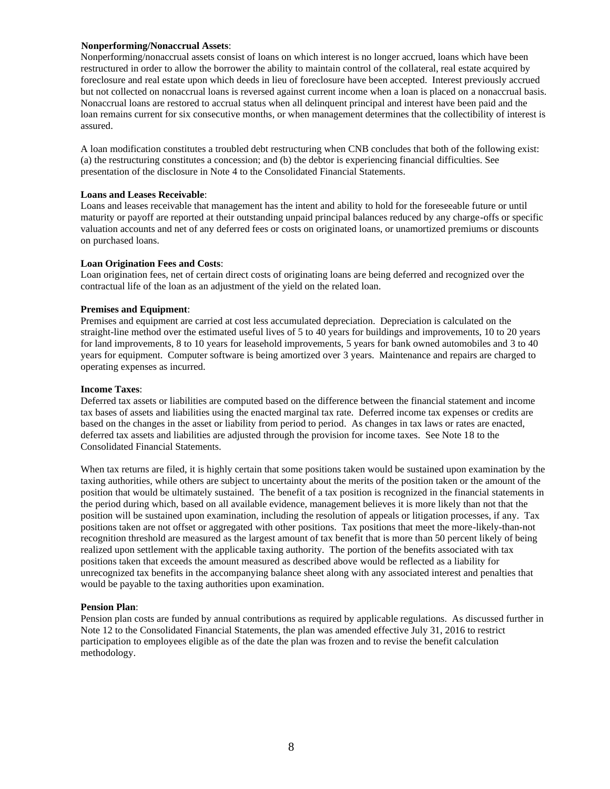#### **Nonperforming/Nonaccrual Assets**:

Nonperforming/nonaccrual assets consist of loans on which interest is no longer accrued, loans which have been restructured in order to allow the borrower the ability to maintain control of the collateral, real estate acquired by foreclosure and real estate upon which deeds in lieu of foreclosure have been accepted. Interest previously accrued but not collected on nonaccrual loans is reversed against current income when a loan is placed on a nonaccrual basis. Nonaccrual loans are restored to accrual status when all delinquent principal and interest have been paid and the loan remains current for six consecutive months, or when management determines that the collectibility of interest is assured.

A loan modification constitutes a troubled debt restructuring when CNB concludes that both of the following exist: (a) the restructuring constitutes a concession; and (b) the debtor is experiencing financial difficulties. See presentation of the disclosure in Note 4 to the Consolidated Financial Statements.

#### **Loans and Leases Receivable**:

Loans and leases receivable that management has the intent and ability to hold for the foreseeable future or until maturity or payoff are reported at their outstanding unpaid principal balances reduced by any charge-offs or specific valuation accounts and net of any deferred fees or costs on originated loans, or unamortized premiums or discounts on purchased loans.

#### **Loan Origination Fees and Costs**:

Loan origination fees, net of certain direct costs of originating loans are being deferred and recognized over the contractual life of the loan as an adjustment of the yield on the related loan.

#### **Premises and Equipment**:

Premises and equipment are carried at cost less accumulated depreciation. Depreciation is calculated on the straight-line method over the estimated useful lives of 5 to 40 years for buildings and improvements, 10 to 20 years for land improvements, 8 to 10 years for leasehold improvements, 5 years for bank owned automobiles and 3 to 40 years for equipment. Computer software is being amortized over 3 years. Maintenance and repairs are charged to operating expenses as incurred.

#### **Income Taxes**:

Deferred tax assets or liabilities are computed based on the difference between the financial statement and income tax bases of assets and liabilities using the enacted marginal tax rate. Deferred income tax expenses or credits are based on the changes in the asset or liability from period to period. As changes in tax laws or rates are enacted, deferred tax assets and liabilities are adjusted through the provision for income taxes. See Note 18 to the Consolidated Financial Statements.

When tax returns are filed, it is highly certain that some positions taken would be sustained upon examination by the taxing authorities, while others are subject to uncertainty about the merits of the position taken or the amount of the position that would be ultimately sustained. The benefit of a tax position is recognized in the financial statements in the period during which, based on all available evidence, management believes it is more likely than not that the position will be sustained upon examination, including the resolution of appeals or litigation processes, if any. Tax positions taken are not offset or aggregated with other positions. Tax positions that meet the more-likely-than-not recognition threshold are measured as the largest amount of tax benefit that is more than 50 percent likely of being realized upon settlement with the applicable taxing authority. The portion of the benefits associated with tax positions taken that exceeds the amount measured as described above would be reflected as a liability for unrecognized tax benefits in the accompanying balance sheet along with any associated interest and penalties that would be payable to the taxing authorities upon examination.

#### **Pension Plan**:

Pension plan costs are funded by annual contributions as required by applicable regulations. As discussed further in Note 12 to the Consolidated Financial Statements, the plan was amended effective July 31, 2016 to restrict participation to employees eligible as of the date the plan was frozen and to revise the benefit calculation methodology.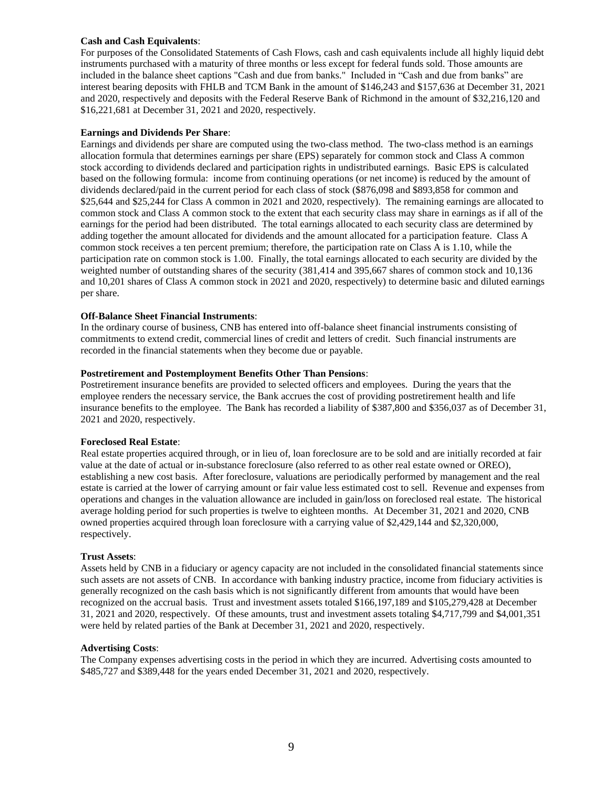#### **Cash and Cash Equivalents**:

For purposes of the Consolidated Statements of Cash Flows, cash and cash equivalents include all highly liquid debt instruments purchased with a maturity of three months or less except for federal funds sold. Those amounts are included in the balance sheet captions "Cash and due from banks." Included in "Cash and due from banks" are interest bearing deposits with FHLB and TCM Bank in the amount of \$146,243 and \$157,636 at December 31, 2021 and 2020, respectively and deposits with the Federal Reserve Bank of Richmond in the amount of \$32,216,120 and \$16,221,681 at December 31, 2021 and 2020, respectively.

#### **Earnings and Dividends Per Share**:

Earnings and dividends per share are computed using the two-class method. The two-class method is an earnings allocation formula that determines earnings per share (EPS) separately for common stock and Class A common stock according to dividends declared and participation rights in undistributed earnings. Basic EPS is calculated based on the following formula: income from continuing operations (or net income) is reduced by the amount of dividends declared/paid in the current period for each class of stock (\$876,098 and \$893,858 for common and \$25,644 and \$25,244 for Class A common in 2021 and 2020, respectively). The remaining earnings are allocated to common stock and Class A common stock to the extent that each security class may share in earnings as if all of the earnings for the period had been distributed. The total earnings allocated to each security class are determined by adding together the amount allocated for dividends and the amount allocated for a participation feature. Class A common stock receives a ten percent premium; therefore, the participation rate on Class A is 1.10, while the participation rate on common stock is 1.00. Finally, the total earnings allocated to each security are divided by the weighted number of outstanding shares of the security (381,414 and 395,667 shares of common stock and 10,136 and 10,201 shares of Class A common stock in 2021 and 2020, respectively) to determine basic and diluted earnings per share.

#### **Off-Balance Sheet Financial Instruments**:

In the ordinary course of business, CNB has entered into off-balance sheet financial instruments consisting of commitments to extend credit, commercial lines of credit and letters of credit. Such financial instruments are recorded in the financial statements when they become due or payable.

#### **Postretirement and Postemployment Benefits Other Than Pensions**:

Postretirement insurance benefits are provided to selected officers and employees. During the years that the employee renders the necessary service, the Bank accrues the cost of providing postretirement health and life insurance benefits to the employee. The Bank has recorded a liability of \$387,800 and \$356,037 as of December 31, 2021 and 2020, respectively.

#### **Foreclosed Real Estate**:

Real estate properties acquired through, or in lieu of, loan foreclosure are to be sold and are initially recorded at fair value at the date of actual or in-substance foreclosure (also referred to as other real estate owned or OREO), establishing a new cost basis. After foreclosure, valuations are periodically performed by management and the real estate is carried at the lower of carrying amount or fair value less estimated cost to sell. Revenue and expenses from operations and changes in the valuation allowance are included in gain/loss on foreclosed real estate. The historical average holding period for such properties is twelve to eighteen months. At December 31, 2021 and 2020, CNB owned properties acquired through loan foreclosure with a carrying value of \$2,429,144 and \$2,320,000, respectively.

#### **Trust Assets**:

Assets held by CNB in a fiduciary or agency capacity are not included in the consolidated financial statements since such assets are not assets of CNB. In accordance with banking industry practice, income from fiduciary activities is generally recognized on the cash basis which is not significantly different from amounts that would have been recognized on the accrual basis. Trust and investment assets totaled \$166,197,189 and \$105,279,428 at December 31, 2021 and 2020, respectively. Of these amounts, trust and investment assets totaling \$4,717,799 and \$4,001,351 were held by related parties of the Bank at December 31, 2021 and 2020, respectively.

#### **Advertising Costs**:

The Company expenses advertising costs in the period in which they are incurred. Advertising costs amounted to \$485,727 and \$389,448 for the years ended December 31, 2021 and 2020, respectively.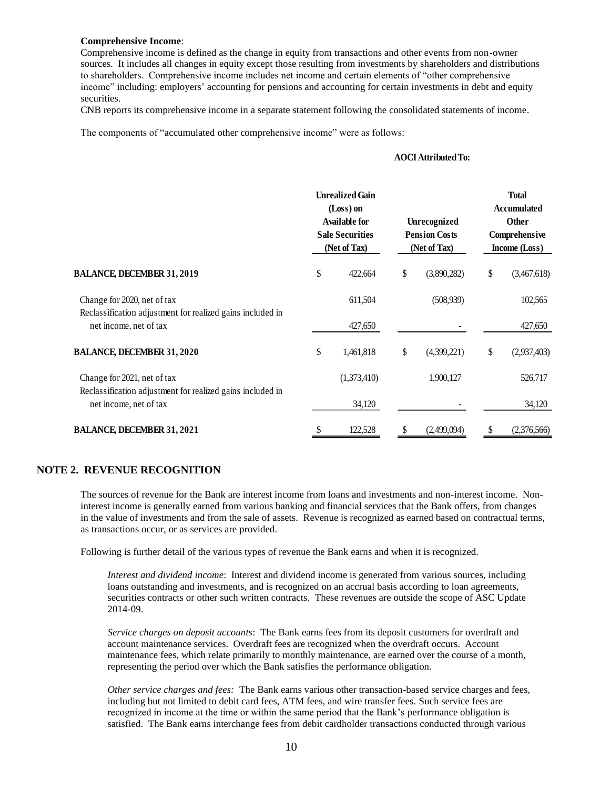#### **Comprehensive Income**:

Comprehensive income is defined as the change in equity from transactions and other events from non-owner sources. It includes all changes in equity except those resulting from investments by shareholders and distributions to shareholders. Comprehensive income includes net income and certain elements of "other comprehensive income" including: employers' accounting for pensions and accounting for certain investments in debt and equity securities.

CNB reports its comprehensive income in a separate statement following the consolidated statements of income.

The components of "accumulated other comprehensive income" were as follows:

#### **AOCI Attributed To:**

|                                                                                           | <b>Unrealized Gain</b><br>$(Loss)$ on<br><b>Available for</b><br><b>Sale Securities</b><br>(Net of Tax) | Unrecognized<br><b>Pension Costs</b><br>(Net of Tax) | <b>Total</b><br><b>Accumulated</b><br><b>Other</b><br>Comprehensive<br>Income (Loss) |
|-------------------------------------------------------------------------------------------|---------------------------------------------------------------------------------------------------------|------------------------------------------------------|--------------------------------------------------------------------------------------|
| <b>BALANCE, DECEMBER 31, 2019</b>                                                         | \$<br>422,664                                                                                           | \$<br>(3,890,282)                                    | \$<br>(3,467,618)                                                                    |
| Change for 2020, net of tax<br>Reclassification adjustment for realized gains included in | 611,504                                                                                                 | (508, 939)                                           | 102,565                                                                              |
| net income, net of tax                                                                    | 427,650                                                                                                 |                                                      | 427,650                                                                              |
| <b>BALANCE, DECEMBER 31, 2020</b>                                                         | \$<br>1,461,818                                                                                         | \$<br>(4,399,221)                                    | \$<br>(2,937,403)                                                                    |
| Change for 2021, net of tax                                                               | (1,373,410)                                                                                             | 1,900,127                                            | 526,717                                                                              |
| Reclassification adjustment for realized gains included in<br>net income, net of tax      | 34,120                                                                                                  |                                                      | 34,120                                                                               |
| <b>BALANCE DECEMBER 31, 2021</b>                                                          | 122,528                                                                                                 | (2,499,094)                                          | (2,376,566)                                                                          |

#### **NOTE 2. REVENUE RECOGNITION**

The sources of revenue for the Bank are interest income from loans and investments and non-interest income. Noninterest income is generally earned from various banking and financial services that the Bank offers, from changes in the value of investments and from the sale of assets. Revenue is recognized as earned based on contractual terms, as transactions occur, or as services are provided.

Following is further detail of the various types of revenue the Bank earns and when it is recognized.

*Interest and dividend income*: Interest and dividend income is generated from various sources, including loans outstanding and investments, and is recognized on an accrual basis according to loan agreements, securities contracts or other such written contracts. These revenues are outside the scope of ASC Update 2014-09.

*Service charges on deposit accounts*: The Bank earns fees from its deposit customers for overdraft and account maintenance services. Overdraft fees are recognized when the overdraft occurs. Account maintenance fees, which relate primarily to monthly maintenance, are earned over the course of a month, representing the period over which the Bank satisfies the performance obligation.

*Other service charges and fees:* The Bank earns various other transaction-based service charges and fees, including but not limited to debit card fees, ATM fees, and wire transfer fees. Such service fees are recognized in income at the time or within the same period that the Bank's performance obligation is satisfied. The Bank earns interchange fees from debit cardholder transactions conducted through various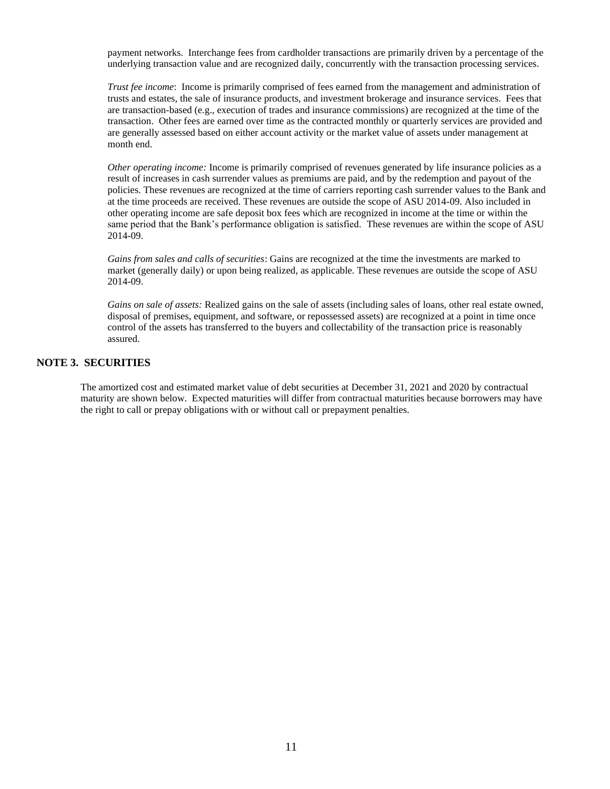payment networks. Interchange fees from cardholder transactions are primarily driven by a percentage of the underlying transaction value and are recognized daily, concurrently with the transaction processing services.

*Trust fee income*: Income is primarily comprised of fees earned from the management and administration of trusts and estates, the sale of insurance products, and investment brokerage and insurance services. Fees that are transaction-based (e.g., execution of trades and insurance commissions) are recognized at the time of the transaction. Other fees are earned over time as the contracted monthly or quarterly services are provided and are generally assessed based on either account activity or the market value of assets under management at month end.

*Other operating income:* Income is primarily comprised of revenues generated by life insurance policies as a result of increases in cash surrender values as premiums are paid, and by the redemption and payout of the policies. These revenues are recognized at the time of carriers reporting cash surrender values to the Bank and at the time proceeds are received. These revenues are outside the scope of ASU 2014-09. Also included in other operating income are safe deposit box fees which are recognized in income at the time or within the same period that the Bank's performance obligation is satisfied. These revenues are within the scope of ASU 2014-09.

*Gains from sales and calls of securities*: Gains are recognized at the time the investments are marked to market (generally daily) or upon being realized, as applicable. These revenues are outside the scope of ASU 2014-09.

*Gains on sale of assets:* Realized gains on the sale of assets (including sales of loans, other real estate owned, disposal of premises, equipment, and software, or repossessed assets) are recognized at a point in time once control of the assets has transferred to the buyers and collectability of the transaction price is reasonably assured.

#### **NOTE 3. SECURITIES**

The amortized cost and estimated market value of debt securities at December 31, 2021 and 2020 by contractual maturity are shown below. Expected maturities will differ from contractual maturities because borrowers may have the right to call or prepay obligations with or without call or prepayment penalties.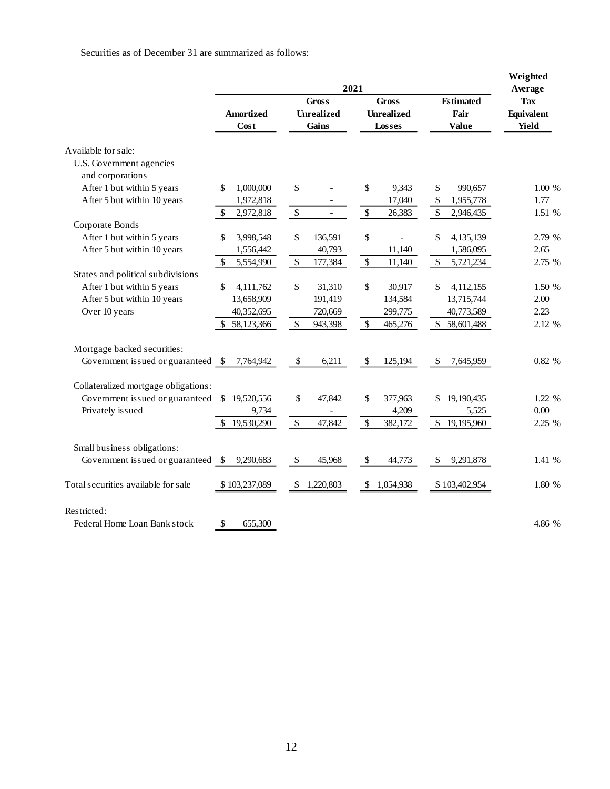|                                      |               | Weighted<br>Average      |                           |                                            |                           |                                             |              |                                          |                                          |
|--------------------------------------|---------------|--------------------------|---------------------------|--------------------------------------------|---------------------------|---------------------------------------------|--------------|------------------------------------------|------------------------------------------|
|                                      |               | <b>Amortized</b><br>Cost |                           | <b>Gross</b><br><b>Unrealized</b><br>Gains | 2021                      | <b>Gross</b><br><b>Unrealized</b><br>Losses |              | <b>Estimated</b><br>Fair<br><b>Value</b> | <b>Tax</b><br>Equivalent<br><b>Yield</b> |
| Available for sale:                  |               |                          |                           |                                            |                           |                                             |              |                                          |                                          |
| U.S. Government agencies             |               |                          |                           |                                            |                           |                                             |              |                                          |                                          |
| and corporations                     |               |                          |                           |                                            |                           |                                             |              |                                          |                                          |
| After 1 but within 5 years           | \$            | 1,000,000                | \$                        |                                            | \$                        | 9,343                                       | \$           | 990,657                                  | 1.00 %                                   |
| After 5 but within 10 years          |               | 1,972,818                |                           |                                            |                           | 17,040                                      | \$           | 1,955,778                                | 1.77                                     |
|                                      | \$            | 2,972,818                | $\mathbb{S}$              |                                            | $\mathbb{S}$              | 26,383                                      | $\mathbb{S}$ | 2,946,435                                | 1.51 %                                   |
| Corporate Bonds                      |               |                          |                           |                                            |                           |                                             |              |                                          |                                          |
| After 1 but within 5 years           | \$            | 3,998,548                | \$                        | 136,591                                    | \$                        |                                             | \$           | 4,135,139                                | 2.79 %                                   |
| After 5 but within 10 years          |               | 1,556,442                |                           | 40,793                                     |                           | 11,140                                      |              | 1,586,095                                | 2.65                                     |
|                                      | \$            | 5,554,990                | $\$\,$                    | 177,384                                    | $\mathbb{S}$              | 11,140                                      | \$           | 5,721,234                                | 2.75 %                                   |
| States and political subdivisions    |               |                          |                           |                                            |                           |                                             |              |                                          |                                          |
| After 1 but within 5 years           | \$            | 4,111,762                | \$                        | 31,310                                     | \$                        | 30,917                                      | \$           | 4,112,155                                | 1.50 %                                   |
| After 5 but within 10 years          |               | 13,658,909               |                           | 191,419                                    |                           | 134,584                                     |              | 13,715,744                               | 2.00                                     |
| Over 10 years                        |               | 40,352,695               |                           | 720,669                                    |                           | 299,775                                     |              | 40,773,589                               | 2.23                                     |
|                                      | \$            | 58,123,366               | $\boldsymbol{\mathbb{S}}$ | 943,398                                    | $\$$                      | 465,276                                     |              | \$58,601,488                             | 2.12 %                                   |
| Mortgage backed securities:          |               |                          |                           |                                            |                           |                                             |              |                                          |                                          |
| Government issued or guaranteed \$   |               | 7,764,942                | \$                        | 6,211                                      | \$                        | 125,194                                     | \$           | 7,645,959                                | 0.82 %                                   |
| Collateralized mortgage obligations: |               |                          |                           |                                            |                           |                                             |              |                                          |                                          |
| Government issued or guaranteed      | $\mathcal{S}$ | 19,520,556               | \$                        | 47,842                                     | \$                        | 377,963                                     | \$           | 19,190,435                               | 1.22 %                                   |
| Privately issued                     |               | 9,734                    |                           |                                            |                           | 4,209                                       |              | 5,525                                    | $0.00\,$                                 |
|                                      | $\mathbb{S}$  | 19,530,290               | $\$\,$                    | 47,842                                     | $\boldsymbol{\mathsf{S}}$ | 382,172                                     |              | \$19,195,960                             | 2.25 %                                   |
| Small business obligations:          |               |                          |                           |                                            |                           |                                             |              |                                          |                                          |
| Government issued or guaranteed \$   |               | 9,290,683                | $\boldsymbol{\mathsf{S}}$ | 45,968                                     | \$                        | 44,773                                      | \$           | 9,291,878                                | 1.41 %                                   |
| Total securities available for sale  |               | \$103,237,089            | \$                        | 1,220,803                                  | \$                        | 1,054,938                                   |              | \$103,402,954                            | 1.80 %                                   |
| Restricted:                          |               |                          |                           |                                            |                           |                                             |              |                                          |                                          |
| Federal Home Loan Bank stock         | \$            | 655,300                  |                           |                                            |                           |                                             |              |                                          | 4.86 %                                   |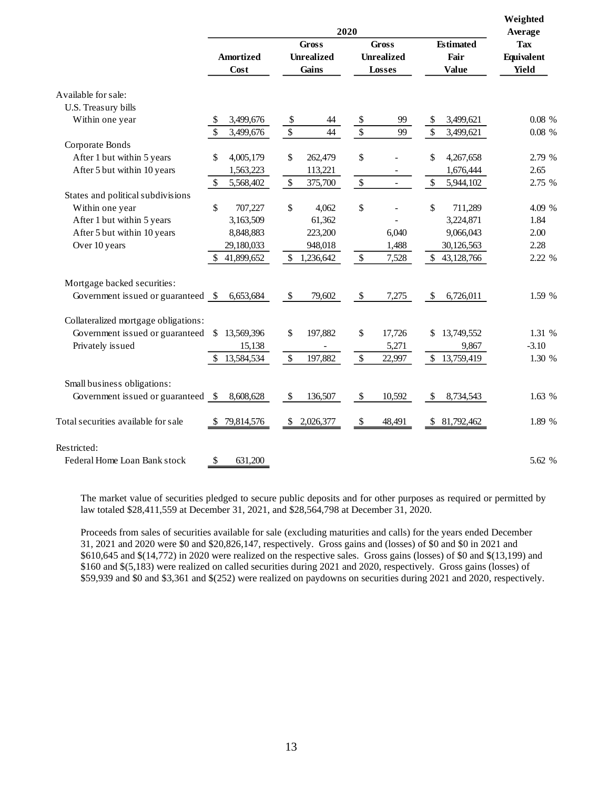|                                      |         |                  |               |                   |               |                          |              |                  | Weighted              |
|--------------------------------------|---------|------------------|---------------|-------------------|---------------|--------------------------|--------------|------------------|-----------------------|
|                                      |         |                  |               | <b>Gross</b>      | 2020          | <b>Gross</b>             |              | <b>Estimated</b> | Average<br><b>Tax</b> |
|                                      |         | <b>Amortized</b> |               | <b>Unrealized</b> |               | <b>Unrealized</b>        |              | Fair             | Equivalent            |
|                                      |         | Cost             | Gains         |                   |               | Losses                   | <b>Value</b> |                  | <b>Yield</b>          |
| Available for sale:                  |         |                  |               |                   |               |                          |              |                  |                       |
| U.S. Treasury bills                  |         |                  |               |                   |               |                          |              |                  |                       |
| Within one year                      | \$      | 3,499,676        | \$            | 44                | \$            | 99                       | \$           | 3,499,621        | 0.08%                 |
|                                      | \$      | 3,499,676        | $\mathsf{\$}$ | 44                | \$            | 99                       | $\mathbb{S}$ | 3,499,621        | $0.08\%$              |
| Corporate Bonds                      |         |                  |               |                   |               |                          |              |                  |                       |
| After 1 but within 5 years           | \$      | 4,005,179        | \$            | 262,479           | \$            |                          | \$           | 4,267,658        | 2.79 %                |
| After 5 but within 10 years          |         | 1,563,223        |               | 113,221           |               |                          |              | 1,676,444        | 2.65                  |
|                                      | \$      | 5,568,402        | \$            | 375,700           | $\$$          | $\overline{\phantom{0}}$ | \$           | 5,944,102        | 2.75 %                |
| States and political subdivisions    |         |                  |               |                   |               |                          |              |                  |                       |
| Within one year                      | \$      | 707,227          | \$            | 4,062             | \$            |                          | \$           | 711,289          | 4.09 %                |
| After 1 but within 5 years           |         | 3,163,509        |               | 61,362            |               |                          |              | 3,224,871        | 1.84                  |
| After 5 but within 10 years          |         | 8,848,883        |               | 223,200           |               | 6,040                    |              | 9,066,043        | 2.00                  |
| Over 10 years                        |         | 29,180,033       |               | 948,018           |               | 1,488                    |              | 30,126,563       | 2.28                  |
|                                      | \$      | 41,899,652       | \$            | 1,236,642         | $\$$          | 7,528                    | $\mathsf{S}$ | 43,128,766       | 2.22 %                |
| Mortgage backed securities:          |         |                  |               |                   |               |                          |              |                  |                       |
| Government issued or guaranteed \$   |         | 6,653,684        | \$            | 79,602            | \$            | 7,275                    | \$           | 6,726,011        | 1.59 %                |
| Collateralized mortgage obligations: |         |                  |               |                   |               |                          |              |                  |                       |
| Government issued or guaranteed      | $\sqrt$ | 13,569,396       | \$            | 197,882           | \$            | 17,726                   | \$           | 13,749,552       | 1.31 %                |
| Privately issued                     |         | 15,138           |               |                   |               | 5,271                    |              | 9,867            | $-3.10$               |
|                                      | \$      | 13,584,534       | $\mathcal{S}$ | 197,882           | $\mathsf{\$}$ | 22,997                   |              | \$13,759,419     | 1.30 %                |
| Small business obligations:          |         |                  |               |                   |               |                          |              |                  |                       |
| Government issued or guaranteed \$   |         | 8,608,628        | \$            | 136,507           | \$            | 10,592                   | \$           | 8,734,543        | 1.63 %                |
| Total securities available for sale  |         | 79,814,576       | \$            | 2,026,377         | \$            | 48,491                   | \$           | 81,792,462       | 1.89 %                |
| Restricted:                          |         |                  |               |                   |               |                          |              |                  |                       |
| Federal Home Loan Bank stock         | \$      | 631,200          |               |                   |               |                          |              |                  | 5.62 %                |

The market value of securities pledged to secure public deposits and for other purposes as required or permitted by law totaled \$28,411,559 at December 31, 2021, and \$28,564,798 at December 31, 2020.

Proceeds from sales of securities available for sale (excluding maturities and calls) for the years ended December 31, 2021 and 2020 were \$0 and \$20,826,147, respectively. Gross gains and (losses) of \$0 and \$0 in 2021 and \$610,645 and \$(14,772) in 2020 were realized on the respective sales. Gross gains (losses) of \$0 and \$(13,199) and \$160 and \$(5,183) were realized on called securities during 2021 and 2020, respectively. Gross gains (losses) of \$59,939 and \$0 and \$3,361 and \$(252) were realized on paydowns on securities during 2021 and 2020, respectively.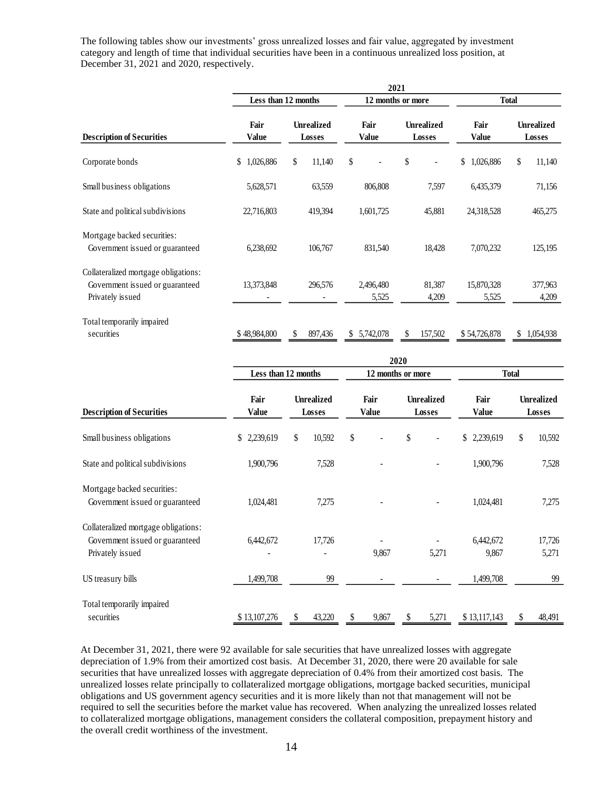The following tables show our investments' gross unrealized losses and fair value, aggregated by investment category and length of time that individual securities have been in a continuous unrealized loss position, at December 31, 2021 and 2020, respectively.

|                                                                                             |                      |                                     |                      | 2021                        |                      |                             |  |
|---------------------------------------------------------------------------------------------|----------------------|-------------------------------------|----------------------|-----------------------------|----------------------|-----------------------------|--|
|                                                                                             |                      | Less than 12 months                 |                      | 12 months or more           |                      | <b>Total</b>                |  |
| <b>Description of Securities</b>                                                            | Fair<br><b>Value</b> | <b>Unrealized</b><br>Losses         | Fair<br><b>Value</b> | <b>Unrealized</b><br>Losses | Fair<br><b>Value</b> | <b>Unrealized</b><br>Losses |  |
| Corporate bonds                                                                             | 1,026,886<br>\$      | \$<br>11,140                        | \$                   | \$                          | \$<br>1,026,886      | \$<br>11,140                |  |
| Small business obligations                                                                  | 5,628,571            | 63,559                              | 806,808              | 7,597                       | 6,435,379            | 71,156                      |  |
| State and political subdivisions                                                            | 22,716,803           | 419,394                             | 1,601,725            | 45,881                      | 24,318,528           | 465,275                     |  |
| Mortgage backed securities:<br>Government issued or guaranteed                              | 6,238,692            | 106,767                             | 831,540              | 18,428                      | 7,070,232            | 125,195                     |  |
| Collateralized mortgage obligations:<br>Government issued or guaranteed<br>Privately issued | 13,373,848           | 296,576<br>$\overline{\phantom{m}}$ | 2,496,480<br>5,525   | 81,387<br>4,209             | 15,870,328<br>5,525  | 377,963<br>4,209            |  |
| Total temporarily impaired<br>securities                                                    | \$48,984,800         | 897,436<br>S                        | \$5,742,078          | 157,502<br>S.               | \$54,726,878         | \$1,054,938                 |  |
|                                                                                             |                      |                                     |                      | 2020                        |                      |                             |  |

|                                                                                             |                      | Less than 12 months<br>12 months or more |               |                             |                      | <b>Total</b>                |  |
|---------------------------------------------------------------------------------------------|----------------------|------------------------------------------|---------------|-----------------------------|----------------------|-----------------------------|--|
| <b>Description of Securities</b>                                                            | Fair<br><b>Value</b> | <b>Unrealized</b><br>Losses              | Fair<br>Value | <b>Unrealized</b><br>Losses | Fair<br><b>Value</b> | <b>Unrealized</b><br>Losses |  |
| Small business obligations                                                                  | 2,239,619<br>S       | 10,592<br>\$                             | \$            | \$                          | \$2,239,619          | \$<br>10,592                |  |
| State and political subdivisions                                                            | 1,900,796            | 7,528                                    |               |                             | 1,900,796            | 7,528                       |  |
| Mortgage backed securities:<br>Government issued or guaranteed                              | 1,024,481            | 7,275                                    |               |                             | 1,024,481            | 7,275                       |  |
| Collateralized mortgage obligations:<br>Government issued or guaranteed<br>Privately issued | 6,442,672            | 17,726                                   | 9,867         | 5,271                       | 6,442,672<br>9,867   | 17,726<br>5,271             |  |
| US treasury bills                                                                           | 1,499,708            | 99                                       |               |                             | 1,499,708            | 99                          |  |
| Total temporarily impaired<br>securities                                                    | \$13,107,276         | 43,220<br>\$                             | \$<br>9,867   | \$<br>5,271                 | \$13,117,143         | \$<br>48,491                |  |

At December 31, 2021, there were 92 available for sale securities that have unrealized losses with aggregate depreciation of 1.9% from their amortized cost basis. At December 31, 2020, there were 20 available for sale securities that have unrealized losses with aggregate depreciation of 0.4% from their amortized cost basis. The unrealized losses relate principally to collateralized mortgage obligations, mortgage backed securities, municipal obligations and US government agency securities and it is more likely than not that management will not be required to sell the securities before the market value has recovered. When analyzing the unrealized losses related to collateralized mortgage obligations, management considers the collateral composition, prepayment history and the overall credit worthiness of the investment.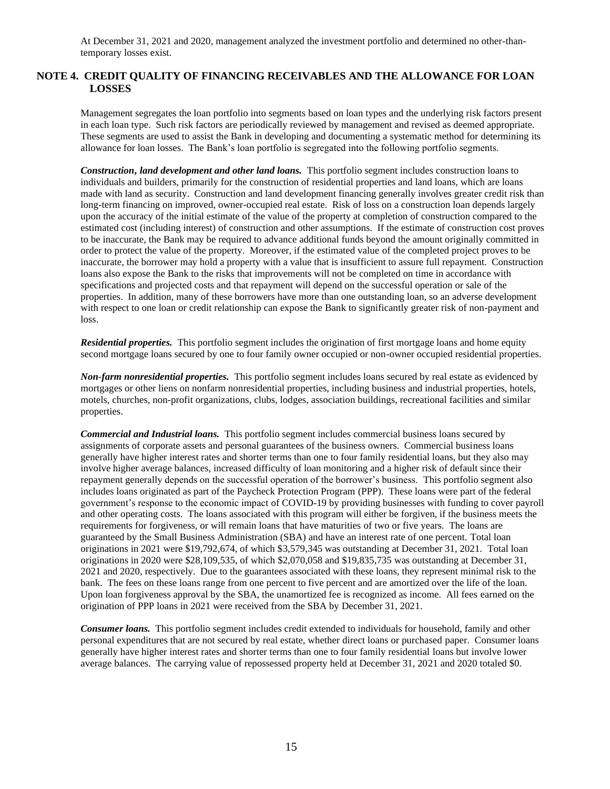At December 31, 2021 and 2020, management analyzed the investment portfolio and determined no other-thantemporary losses exist.

#### **NOTE 4. CREDIT QUALITY OF FINANCING RECEIVABLES AND THE ALLOWANCE FOR LOAN LOSSES**

Management segregates the loan portfolio into segments based on loan types and the underlying risk factors present in each loan type. Such risk factors are periodically reviewed by management and revised as deemed appropriate. These segments are used to assist the Bank in developing and documenting a systematic method for determining its allowance for loan losses. The Bank's loan portfolio is segregated into the following portfolio segments.

*Construction, land development and other land loans.* This portfolio segment includes construction loans to individuals and builders, primarily for the construction of residential properties and land loans, which are loans made with land as security. Construction and land development financing generally involves greater credit risk than long-term financing on improved, owner-occupied real estate. Risk of loss on a construction loan depends largely upon the accuracy of the initial estimate of the value of the property at completion of construction compared to the estimated cost (including interest) of construction and other assumptions. If the estimate of construction cost proves to be inaccurate, the Bank may be required to advance additional funds beyond the amount originally committed in order to protect the value of the property. Moreover, if the estimated value of the completed project proves to be inaccurate, the borrower may hold a property with a value that is insufficient to assure full repayment. Construction loans also expose the Bank to the risks that improvements will not be completed on time in accordance with specifications and projected costs and that repayment will depend on the successful operation or sale of the properties. In addition, many of these borrowers have more than one outstanding loan, so an adverse development with respect to one loan or credit relationship can expose the Bank to significantly greater risk of non-payment and loss.

*Residential properties.* This portfolio segment includes the origination of first mortgage loans and home equity second mortgage loans secured by one to four family owner occupied or non-owner occupied residential properties.

*Non-farm nonresidential properties.* This portfolio segment includes loans secured by real estate as evidenced by mortgages or other liens on nonfarm nonresidential properties, including business and industrial properties, hotels, motels, churches, non-profit organizations, clubs, lodges, association buildings, recreational facilities and similar properties.

*Commercial and Industrial loans.* This portfolio segment includes commercial business loans secured by assignments of corporate assets and personal guarantees of the business owners. Commercial business loans generally have higher interest rates and shorter terms than one to four family residential loans, but they also may involve higher average balances, increased difficulty of loan monitoring and a higher risk of default since their repayment generally depends on the successful operation of the borrower's business. This portfolio segment also includes loans originated as part of the Paycheck Protection Program (PPP). These loans were part of the federal government's response to the economic impact of COVID-19 by providing businesses with funding to cover payroll and other operating costs. The loans associated with this program will either be forgiven, if the business meets the requirements for forgiveness, or will remain loans that have maturities of two or five years. The loans are guaranteed by the Small Business Administration (SBA) and have an interest rate of one percent. Total loan originations in 2021 were \$19,792,674, of which \$3,579,345 was outstanding at December 31, 2021. Total loan originations in 2020 were \$28,109,535, of which \$2,070,058 and \$19,835,735 was outstanding at December 31, 2021 and 2020, respectively. Due to the guarantees associated with these loans, they represent minimal risk to the bank. The fees on these loans range from one percent to five percent and are amortized over the life of the loan. Upon loan forgiveness approval by the SBA, the unamortized fee is recognized as income. All fees earned on the origination of PPP loans in 2021 were received from the SBA by December 31, 2021.

*Consumer loans.* This portfolio segment includes credit extended to individuals for household, family and other personal expenditures that are not secured by real estate, whether direct loans or purchased paper. Consumer loans generally have higher interest rates and shorter terms than one to four family residential loans but involve lower average balances. The carrying value of repossessed property held at December 31, 2021 and 2020 totaled \$0.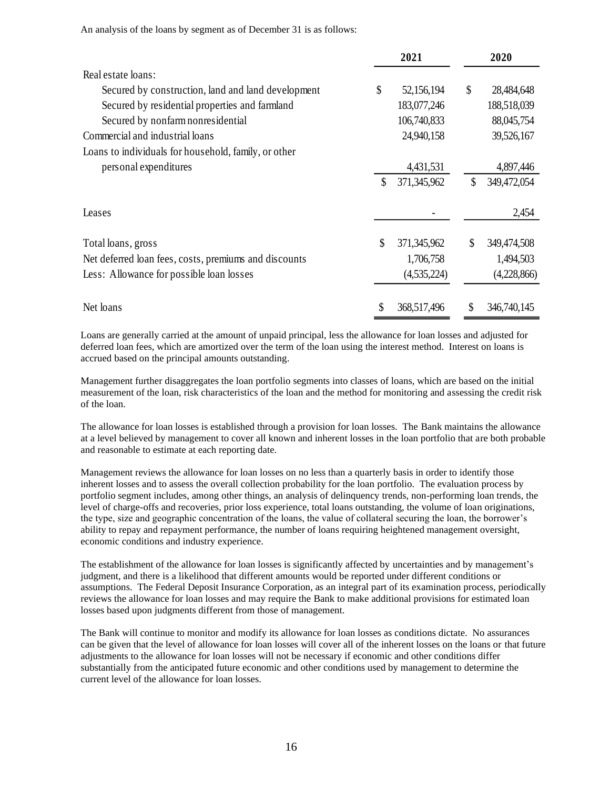An analysis of the loans by segment as of December 31 is as follows:

|                                                       | 2021              |               | 2020        |
|-------------------------------------------------------|-------------------|---------------|-------------|
| Real estate loans:                                    |                   |               |             |
| Secured by construction, land and land development    | \$<br>52,156,194  | \$            | 28,484,648  |
| Secured by residential properties and farmland        | 183,077,246       |               | 188,518,039 |
| Secured by nonfarm nonresidential                     | 106,740,833       |               | 88,045,754  |
| Commercial and industrial loans                       | 24,940,158        |               | 39,526,167  |
| Loans to individuals for household, family, or other  |                   |               |             |
| personal expenditures                                 | 4,431,531         |               | 4,897,446   |
|                                                       | \$<br>371,345,962 | $\mathcal{S}$ | 349,472,054 |
| Leases                                                |                   |               | 2,454       |
| Total loans, gross                                    | \$<br>371,345,962 | \$            | 349,474,508 |
| Net deferred loan fees, costs, premiums and discounts | 1,706,758         |               | 1,494,503   |
| Less: Allowance for possible loan losses              | (4,535,224)       |               | (4,228,866) |
| Net loans                                             | \$<br>368,517,496 | \$            | 346,740,145 |

Loans are generally carried at the amount of unpaid principal, less the allowance for loan losses and adjusted for deferred loan fees, which are amortized over the term of the loan using the interest method. Interest on loans is accrued based on the principal amounts outstanding.

Management further disaggregates the loan portfolio segments into classes of loans, which are based on the initial measurement of the loan, risk characteristics of the loan and the method for monitoring and assessing the credit risk of the loan.

The allowance for loan losses is established through a provision for loan losses. The Bank maintains the allowance at a level believed by management to cover all known and inherent losses in the loan portfolio that are both probable and reasonable to estimate at each reporting date.

Management reviews the allowance for loan losses on no less than a quarterly basis in order to identify those inherent losses and to assess the overall collection probability for the loan portfolio. The evaluation process by portfolio segment includes, among other things, an analysis of delinquency trends, non-performing loan trends, the level of charge-offs and recoveries, prior loss experience, total loans outstanding, the volume of loan originations, the type, size and geographic concentration of the loans, the value of collateral securing the loan, the borrower's ability to repay and repayment performance, the number of loans requiring heightened management oversight, economic conditions and industry experience.

The establishment of the allowance for loan losses is significantly affected by uncertainties and by management's judgment, and there is a likelihood that different amounts would be reported under different conditions or assumptions. The Federal Deposit Insurance Corporation, as an integral part of its examination process, periodically reviews the allowance for loan losses and may require the Bank to make additional provisions for estimated loan losses based upon judgments different from those of management.

The Bank will continue to monitor and modify its allowance for loan losses as conditions dictate. No assurances can be given that the level of allowance for loan losses will cover all of the inherent losses on the loans or that future adjustments to the allowance for loan losses will not be necessary if economic and other conditions differ substantially from the anticipated future economic and other conditions used by management to determine the current level of the allowance for loan losses.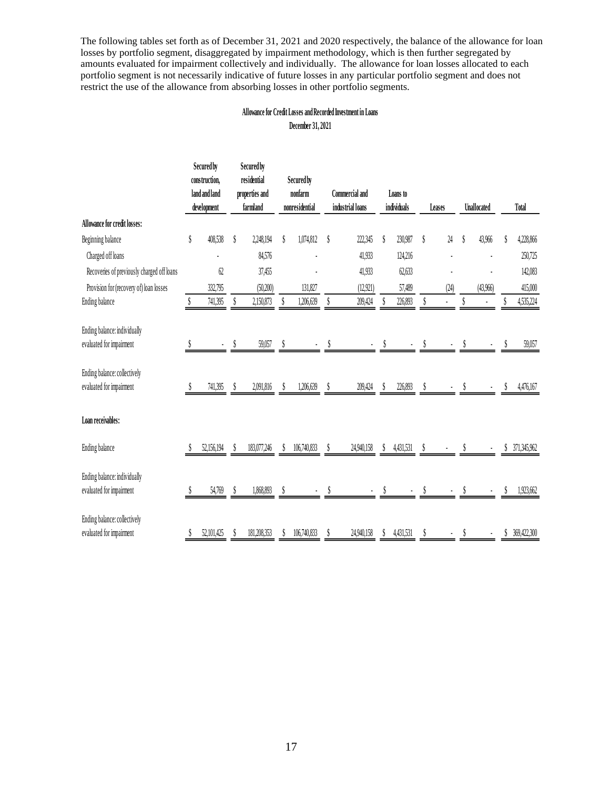The following tables set forth as of December 31, 2021 and 2020 respectively, the balance of the allowance for loan losses by portfolio segment, disaggregated by impairment methodology, which is then further segregated by amounts evaluated for impairment collectively and individually. The allowance for loan losses allocated to each portfolio segment is not necessarily indicative of future losses in any particular portfolio segment and does not restrict the use of the allowance from absorbing losses in other portfolio segments.

## **Allowance for Credit Losses and Recorded Investment in Loans December 31, 2021**

|                                                          | Secured by<br>construction,<br>land and land<br>development | Secured by<br>residential<br>properties and<br>farmland |             | Secured by<br>nonfarm<br>nonresidential |             | <b>Commercial and</b><br>industrial loans |            | Loans to<br>individuals |           | Leases |       | Unallocated  |    | Total       |
|----------------------------------------------------------|-------------------------------------------------------------|---------------------------------------------------------|-------------|-----------------------------------------|-------------|-------------------------------------------|------------|-------------------------|-----------|--------|-------|--------------|----|-------------|
| Allowance for credit losses:                             |                                                             |                                                         |             |                                         |             |                                           |            |                         |           |        |       |              |    |             |
| Beginning balance                                        | \$<br>408,538                                               | \$                                                      | 2,248,194   | \$                                      | 1,074,812   | \$                                        | 222,345    | \$                      | 230,987   | \$     | $2\!$ | \$<br>43,966 | \$ | 4,228,866   |
| Charged off loans                                        |                                                             |                                                         | 84,576      |                                         |             |                                           | 41,933     |                         | 124,216   |        |       |              |    | 250,725     |
| Recoveries of previously charged off loans               | 62                                                          |                                                         | 37,455      |                                         |             |                                           | 41,933     |                         | 62,633    |        |       |              |    | 142,083     |
| Provision for (recovery of) loan losses                  | 332,795                                                     |                                                         | (50,200)    |                                         | 131,827     |                                           | (12, 921)  |                         | 57,489    |        | (24)  | (43,966)     |    | 415,000     |
| Ending balance                                           | 741,395                                                     | S                                                       | 2,150,873   |                                         | 1,206,639   | S                                         | 209,424    |                         | 226,893   |        |       |              |    | 4,535,224   |
| Ending balance: individually<br>evaluated for impairment |                                                             | \$                                                      | 59,057      | S                                       |             |                                           |            |                         |           |        |       |              |    | 59,057      |
|                                                          |                                                             |                                                         |             |                                         |             |                                           |            |                         |           |        |       |              |    |             |
| Ending balance: collectively                             |                                                             |                                                         |             |                                         |             |                                           |            |                         |           |        |       |              |    |             |
| evaluated for impairment                                 | 741,395                                                     | S                                                       | 2,091,816   | \$                                      | 1,206,639   | S                                         | 209,424    | Ŝ                       | 226,893   | S      |       |              |    | 4,476,167   |
| Loan receivables:                                        |                                                             |                                                         |             |                                         |             |                                           |            |                         |           |        |       |              |    |             |
| Ending balance                                           | 52,156,194                                                  | S                                                       | 183,077,246 | S                                       | 106,740,833 | S                                         | 24,940,158 | s                       | 4,431,531 | S      |       |              | s  | 371,345,962 |
| Ending balance: individually<br>evaluated for impairment | 54,769                                                      | S                                                       | 1,868,893   | s                                       |             |                                           |            |                         |           |        |       |              |    | 1,923,662   |
| Ending balance: collectively<br>evaluated for impairment | 52,101,425                                                  |                                                         | 181,208,353 |                                         | 106,740,833 | S                                         | 24,940,158 |                         | 4,431,531 |        |       |              | S  | 369,422,300 |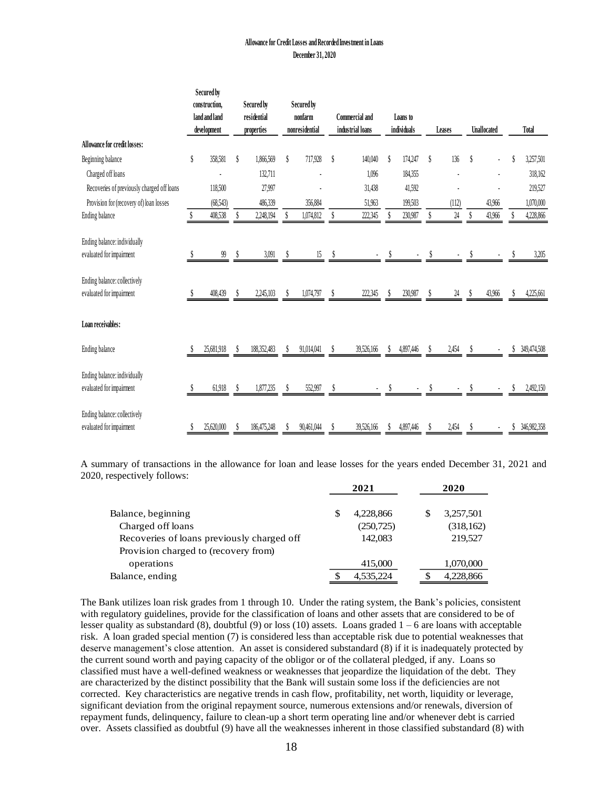#### **Allowance for Credit Losses and Recorded Investment in Loans December 31, 2020**

|                                                          |   | Secured by<br>construction,<br>land and land<br>development | Secured by<br>residential<br>properties |             | Secured by<br>nonfarm<br>nonresidential |            |    | Commercial and<br>industrial loans |   | Loans to<br>individuals |   | Leases |   | <b>Unallocated</b> |   | <b>Total</b> |
|----------------------------------------------------------|---|-------------------------------------------------------------|-----------------------------------------|-------------|-----------------------------------------|------------|----|------------------------------------|---|-------------------------|---|--------|---|--------------------|---|--------------|
| Allowance for credit losses:                             |   |                                                             |                                         | 1,866,569   |                                         |            |    |                                    |   |                         |   |        |   |                    |   |              |
| Beginning balance                                        | S | 358,581                                                     | S                                       |             | s                                       | 717,928    | S  | 140,040                            | S | 174,247                 | S | 136    | Ŝ | ÷.                 | S | 3,257,501    |
| Charged off loans                                        |   |                                                             |                                         | 132,711     |                                         |            |    | 1,096                              |   | 184,355                 |   |        |   |                    |   | 318,162      |
| Recoveries of previously charged off loans               |   | 118,500                                                     |                                         | 27,997      |                                         |            |    | 31,438                             |   | 41,592                  |   |        |   |                    |   | 219,527      |
| Provision for (recovery of) loan losses                  |   | (68,543)                                                    |                                         | 486,339     |                                         | 356,884    |    | 51,963                             |   | 199,503                 |   | (112)  |   | 43,966             |   | 1,070,000    |
| Ending balance                                           |   | 408,538                                                     | s                                       | 2,248,194   | S                                       | 1,074,812  | \$ | 222,345                            | S | 230,987                 |   | $24\,$ |   | 43,966             |   | 4,228,866    |
| Ending balance: individually<br>evaluated for impairment |   | 99                                                          |                                         | 3,091       |                                         | 15         |    |                                    |   |                         |   |        |   |                    |   | 3,205        |
| Ending balance: collectively<br>evaluated for impairment |   | 408,439                                                     | S                                       | 2,245,103   | S                                       | 1,074,797  | S  | 222,345                            | S | 230,987                 | S | 24     | S | 43,966             | S | 4,225,661    |
| Loan receivables:                                        |   |                                                             |                                         |             |                                         |            |    |                                    |   |                         |   |        |   |                    |   |              |
| Ending balance                                           |   | 25,681,918                                                  | S                                       | 188,352,483 | <b>S</b>                                | 91,014,041 | S  | 39,526,166                         | S | 4,897,446               |   | 2,454  |   |                    | S | 349,474,508  |
| Ending balance: individually<br>evaluated for impairment |   | 61,918                                                      | S                                       | 1,877,235   | S                                       | 552,997    | S  |                                    |   |                         |   |        |   |                    | S | 2,492,150    |
| Ending balance: collectively<br>evaluated for impairment | S | 25,620,000                                                  | S                                       | 186,475,248 | S                                       | 90,461,044 | S  | 39,526,166                         | S | 4,897,446               | S | 2,454  | S |                    | s | 346,982,358  |

A summary of transactions in the allowance for loan and lease losses for the years ended December 31, 2021 and 2020, respectively follows:

|                                            | 2021            |   | 2020       |
|--------------------------------------------|-----------------|---|------------|
| Balance, beginning                         | \$<br>4,228,866 | S | 3,257,501  |
| Charged off loans                          | (250, 725)      |   | (318, 162) |
| Recoveries of loans previously charged off | 142,083         |   | 219,527    |
| Provision charged to (recovery from)       |                 |   |            |
| operations                                 | 415,000         |   | 1,070,000  |
| Balance, ending                            | 4,535,224       |   | 4,228,866  |

The Bank utilizes loan risk grades from 1 through 10. Under the rating system, the Bank's policies, consistent with regulatory guidelines, provide for the classification of loans and other assets that are considered to be of lesser quality as substandard  $(8)$ , doubtful  $(9)$  or loss  $(10)$  assets. Loans graded  $1 - 6$  are loans with acceptable risk. A loan graded special mention (7) is considered less than acceptable risk due to potential weaknesses that deserve management's close attention. An asset is considered substandard (8) if it is inadequately protected by the current sound worth and paying capacity of the obligor or of the collateral pledged, if any. Loans so classified must have a well-defined weakness or weaknesses that jeopardize the liquidation of the debt. They are characterized by the distinct possibility that the Bank will sustain some loss if the deficiencies are not corrected. Key characteristics are negative trends in cash flow, profitability, net worth, liquidity or leverage, significant deviation from the original repayment source, numerous extensions and/or renewals, diversion of repayment funds, delinquency, failure to clean-up a short term operating line and/or whenever debt is carried over. Assets classified as doubtful (9) have all the weaknesses inherent in those classified substandard (8) with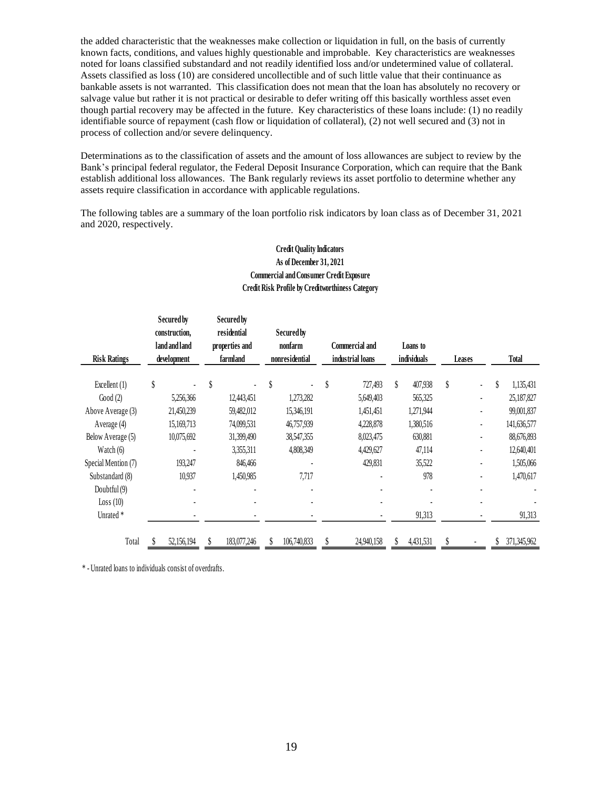the added characteristic that the weaknesses make collection or liquidation in full, on the basis of currently known facts, conditions, and values highly questionable and improbable. Key characteristics are weaknesses noted for loans classified substandard and not readily identified loss and/or undetermined value of collateral. Assets classified as loss (10) are considered uncollectible and of such little value that their continuance as bankable assets is not warranted. This classification does not mean that the loan has absolutely no recovery or salvage value but rather it is not practical or desirable to defer writing off this basically worthless asset even though partial recovery may be affected in the future. Key characteristics of these loans include: (1) no readily identifiable source of repayment (cash flow or liquidation of collateral), (2) not well secured and (3) not in process of collection and/or severe delinquency.

Determinations as to the classification of assets and the amount of loss allowances are subject to review by the Bank's principal federal regulator, the Federal Deposit Insurance Corporation, which can require that the Bank establish additional loss allowances. The Bank regularly reviews its asset portfolio to determine whether any assets require classification in accordance with applicable regulations.

The following tables are a summary of the loan portfolio risk indicators by loan class as of December 31, 2021 and 2020, respectively.

#### **Credit Quality Indicators As of December 31, 2021 Commercial and Consumer Credit Exposure Credit Risk Profile by Creditworthiness Category**

| <b>Risk Ratings</b> | Secured by<br>construction,<br>land and land<br>development | Secured by<br>residential<br>properties and<br>farmland |             | Secured by<br>nonfarm<br>nonresidential |             | <b>Commercial and</b><br>industrial loans |            | Loans to<br>individuals |           | Leases |   | <b>Total</b> |
|---------------------|-------------------------------------------------------------|---------------------------------------------------------|-------------|-----------------------------------------|-------------|-------------------------------------------|------------|-------------------------|-----------|--------|---|--------------|
| Excellent (1)       | \$                                                          | S                                                       |             | \$                                      |             | \$                                        | 727,493    | \$                      | 407,938   | \$     | ٠ | 1,135,431    |
| Good(2)             | 5,256,366                                                   |                                                         | 12,443,451  |                                         | 1,273,282   |                                           | 5,649,403  |                         | 565,325   |        | ٠ | 25,187,827   |
| Above Average (3)   | 21,450,239                                                  |                                                         | 59,482,012  |                                         | 15,346,191  |                                           | 1,451,451  |                         | 1,271,944 |        | ٠ | 99,001,837   |
| Average $(4)$       | 15,169,713                                                  |                                                         | 74,099,531  |                                         | 46,757,939  |                                           | 4,228,878  |                         | 1,380,516 |        | ٠ | 141,636,577  |
| Below Average (5)   | 10,075,692                                                  |                                                         | 31,399,490  |                                         | 38,547,355  |                                           | 8,023,475  |                         | 630,881   |        | ٠ | 88,676,893   |
| Watch (6)           |                                                             |                                                         | 3,355,311   |                                         | 4,808,349   |                                           | 4,429,627  |                         | 47,114    |        |   | 12,640,401   |
| Special Mention (7) | 193,247                                                     |                                                         | 846,466     |                                         |             |                                           | 429,831    |                         | 35,522    |        |   | 1,505,066    |
| Substandard (8)     | 10,937                                                      |                                                         | 1,450,985   |                                         | 7,717       |                                           |            |                         | 978       |        |   | 1,470,617    |
| Doubtful (9)        |                                                             |                                                         |             |                                         |             |                                           |            |                         |           |        |   |              |
| Loss $(10)$         |                                                             |                                                         |             |                                         |             |                                           |            |                         |           |        |   |              |
| Unrated *           |                                                             |                                                         |             |                                         |             |                                           |            |                         | 91,313    |        |   | 91,313       |
| Total               | 52,156,194                                                  |                                                         | 183,077,246 |                                         | 106,740,833 |                                           | 24,940,158 | S                       | 4,431,531 |        |   | 371,345,962  |

\* - Unrated loans to individuals consist of overdrafts.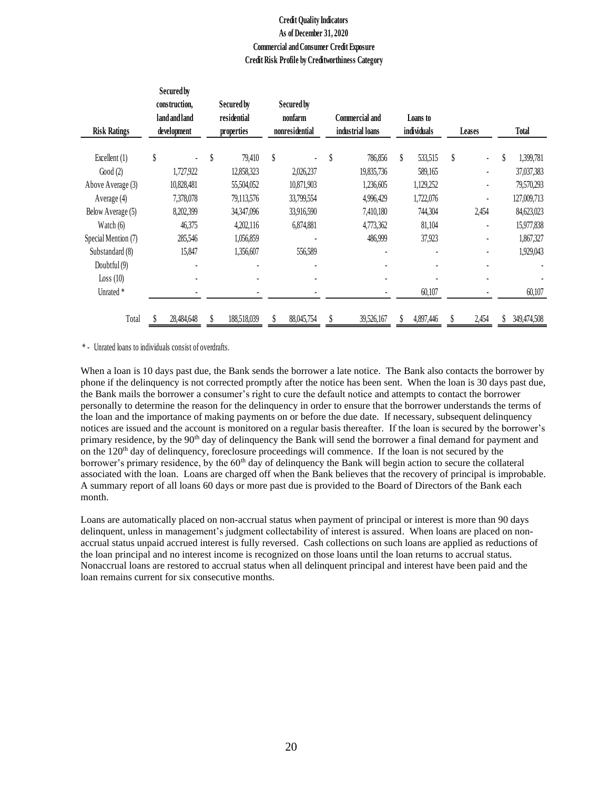#### **Credit Quality Indicators As of December 31, 2020 Commercial and Consumer Credit Exposure Credit Risk Profile by Creditworthiness Category**

| <b>Risk Ratings</b>  | Secured by<br>construction,<br>land and land<br>development | Secured by<br>residential<br>properties |             | Secured by<br>nonfarm<br>nonresidential |   | <b>Commercial and</b><br>industrial loans |    | Loans to<br>individuals |    | Leases |   | Total       |
|----------------------|-------------------------------------------------------------|-----------------------------------------|-------------|-----------------------------------------|---|-------------------------------------------|----|-------------------------|----|--------|---|-------------|
| Excellent $(1)$      | \$                                                          | \$                                      | 79,410      | \$                                      | Ŝ | 786,856                                   | \$ | 533,515                 | \$ | ä,     | Ŝ | 1,399,781   |
| Good $(2)$           | 1,727,922                                                   |                                         | 12,858,323  | 2,026,237                               |   | 19,835,736                                |    | 589,165                 |    |        |   | 37,037,383  |
| Above Average (3)    | 10,828,481                                                  |                                         | 55,504,052  | 10,871,903                              |   | 1,236,605                                 |    | 1,129,252               |    |        |   | 79,570,293  |
| Average $(4)$        | 7,378,078                                                   |                                         | 79,113,576  | 33,799,554                              |   | 4,996,429                                 |    | 1,722,076               |    |        |   | 127,009,713 |
| Below Average (5)    | 8,202,399                                                   |                                         | 34,347,096  | 33,916,590                              |   | 7,410,180                                 |    | 744,304                 |    | 2,454  |   | 84,623,023  |
| Watch (6)            | 46,375                                                      |                                         | 4,202,116   | 6,874,881                               |   | 4,773,362                                 |    | 81,104                  |    |        |   | 15,977,838  |
| Special Mention (7)  | 285,546                                                     |                                         | 1,056,859   |                                         |   | 486,999                                   |    | 37,923                  |    |        |   | 1,867,327   |
| Substandard (8)      | 15,847                                                      |                                         | 1,356,607   | 556,589                                 |   |                                           |    |                         |    |        |   | 1,929,043   |
| Doubtful $(9)$       |                                                             |                                         |             |                                         |   |                                           |    |                         |    |        |   |             |
| Loss(10)             |                                                             |                                         |             |                                         |   |                                           |    |                         |    |        |   |             |
| Unrated <sup>*</sup> |                                                             |                                         |             |                                         |   |                                           |    | 60,107                  |    |        |   | 60,107      |
| Total                | 28,484,648                                                  |                                         | 188,518,039 | 88,045,754                              |   | 39,526,167                                | S  | 4,897,446               | S  | 2,454  |   | 349,474,508 |

\* - Unrated loans to individuals consist of overdrafts.

When a loan is 10 days past due, the Bank sends the borrower a late notice. The Bank also contacts the borrower by phone if the delinquency is not corrected promptly after the notice has been sent. When the loan is 30 days past due, the Bank mails the borrower a consumer's right to cure the default notice and attempts to contact the borrower personally to determine the reason for the delinquency in order to ensure that the borrower understands the terms of the loan and the importance of making payments on or before the due date. If necessary, subsequent delinquency notices are issued and the account is monitored on a regular basis thereafter. If the loan is secured by the borrower's primary residence, by the 90<sup>th</sup> day of delinquency the Bank will send the borrower a final demand for payment and on the  $120<sup>th</sup>$  day of delinquency, foreclosure proceedings will commence. If the loan is not secured by the borrower's primary residence, by the  $60<sup>th</sup>$  day of delinquency the Bank will begin action to secure the collateral associated with the loan. Loans are charged off when the Bank believes that the recovery of principal is improbable. A summary report of all loans 60 days or more past due is provided to the Board of Directors of the Bank each month.

Loans are automatically placed on non-accrual status when payment of principal or interest is more than 90 days delinquent, unless in management's judgment collectability of interest is assured. When loans are placed on nonaccrual status unpaid accrued interest is fully reversed. Cash collections on such loans are applied as reductions of the loan principal and no interest income is recognized on those loans until the loan returns to accrual status. Nonaccrual loans are restored to accrual status when all delinquent principal and interest have been paid and the loan remains current for six consecutive months.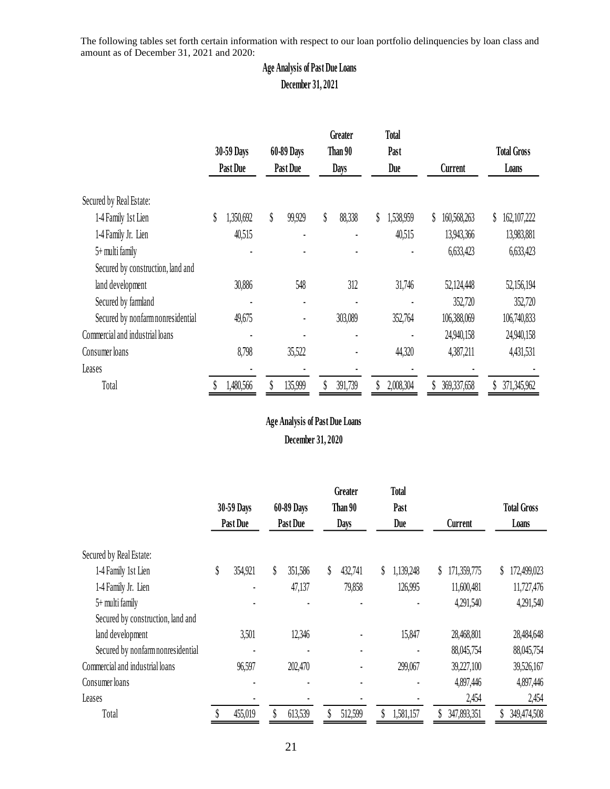The following tables set forth certain information with respect to our loan portfolio delinquencies by loan class and amount as of December 31, 2021 and 2020:

## **Age Analysis of Past Due Loans December 31, 2021**

|                                   | 30-59 Days<br>Past Due | 60-89 Days<br>Past Due | Greater<br>Than 90<br><b>Days</b> | <b>Total</b><br>Past<br>Due |    | Current     |    | <b>Total Gross</b><br>Loans |
|-----------------------------------|------------------------|------------------------|-----------------------------------|-----------------------------|----|-------------|----|-----------------------------|
| Secured by Real Estate:           |                        |                        |                                   |                             |    |             |    |                             |
| 1-4 Family 1st Lien               | 1,350,692              | \$<br>99,929           | \$<br>88,338                      | \$<br>1,538,959             | \$ | 160,568,263 | \$ | 162, 107, 222               |
| 1-4 Family Jr. Lien               | 40,515                 | ٠                      |                                   | 40,515                      |    | 13,943,366  |    | 13,983,881                  |
| 5+ multi family                   |                        |                        |                                   |                             |    | 6,633,423   |    | 6,633,423                   |
| Secured by construction, land and |                        |                        |                                   |                             |    |             |    |                             |
| land development                  | 30,886                 | 548                    | 312                               | 31,746                      |    | 52,124,448  |    | 52,156,194                  |
| Secured by farmland               |                        |                        |                                   |                             |    | 352,720     |    | 352,720                     |
| Secured by nonfarm nonresidential | 49,675                 |                        | 303,089                           | 352,764                     |    | 106,388,069 |    | 106,740,833                 |
| Commercial and industrial loans   |                        |                        |                                   |                             |    | 24,940,158  |    | 24,940,158                  |
| Consumer loans                    | 8,798                  | 35,522                 |                                   | 44,320                      |    | 4,387,211   |    | 4,431,531                   |
| Leases                            |                        |                        |                                   |                             |    |             |    |                             |
| Total                             | 1,480,566              | 135,999                | 391,739                           | \$<br>2,008,304             | S  | 369,337,658 | S  | 371,345,962                 |

## **Age Analysis of Past Due Loans December 31, 2020**

|                                   |               |    |            | Greater       | <b>Total</b>    |   |             |   |                    |
|-----------------------------------|---------------|----|------------|---------------|-----------------|---|-------------|---|--------------------|
|                                   | 30-59 Days    |    | 60-89 Days | Than 90       | Past            |   |             |   | <b>Total Gross</b> |
|                                   | Past Due      |    | Past Due   | Days          | Due             |   | Current     |   | Loans              |
| Secured by Real Estate:           |               |    |            |               |                 |   |             |   |                    |
| 1-4 Family 1st Lien               | \$<br>354,921 | S. | 351,586    | \$<br>432,741 | \$<br>1,139,248 | S | 171,359,775 | S | 172,499,023        |
| 1-4 Family Jr. Lien               |               |    | 47,137     | 79,858        | 126,995         |   | 11,600,481  |   | 11,727,476         |
| 5+ multi family                   |               |    |            |               |                 |   | 4,291,540   |   | 4,291,540          |
| Secured by construction, land and |               |    |            |               |                 |   |             |   |                    |
| land development                  | 3,501         |    | 12,346     |               | 15,847          |   | 28,468,801  |   | 28,484,648         |
| Secured by nonfarm nonresidential |               |    |            |               |                 |   | 88,045,754  |   | 88,045,754         |
| Commercial and industrial loans   | 96,597        |    | 202,470    |               | 299,067         |   | 39,227,100  |   | 39,526,167         |
| Consumer loans                    |               |    |            |               |                 |   | 4,897,446   |   | 4,897,446          |
| Leases                            |               |    |            |               |                 |   | 2,454       |   | 2,454              |
| Total                             | 455,019       |    | 613,539    | 512,599       | 1,581,157       |   | 347,893,351 |   | 349,474,508        |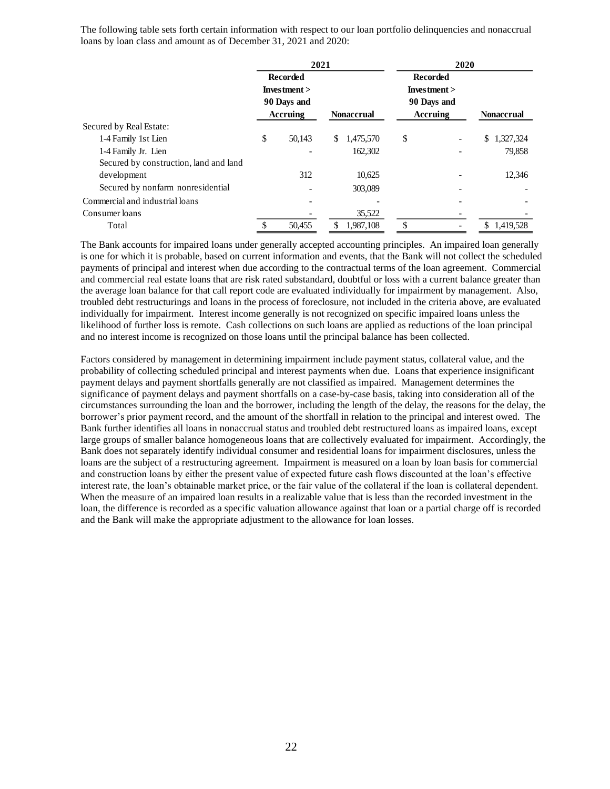The following table sets forth certain information with respect to our loan portfolio delinquencies and nonaccrual loans by loan class and amount as of December 31, 2021 and 2020:

|                                        | 2021                                           |                   |                 | 2020                        |                   |  |
|----------------------------------------|------------------------------------------------|-------------------|-----------------|-----------------------------|-------------------|--|
|                                        | <b>Recorded</b><br>Investment ><br>90 Days and |                   | <b>Recorded</b> | Investment ><br>90 Days and |                   |  |
|                                        | <b>Accruing</b>                                | <b>Nonaccrual</b> |                 | <b>Accruing</b>             | <b>Nonaccrual</b> |  |
| Secured by Real Estate:                |                                                |                   |                 |                             |                   |  |
| 1-4 Family 1st Lien                    | \$<br>50,143                                   | \$<br>1,475,570   | \$              | $\overline{\phantom{a}}$    | 1,327,324<br>\$   |  |
| 1-4 Family Jr. Lien                    |                                                | 162,302           |                 |                             | 79,858            |  |
| Secured by construction, land and land |                                                |                   |                 |                             |                   |  |
| development                            | 312                                            | 10.625            |                 |                             | 12.346            |  |
| Secured by nonfarm nonresidential      |                                                | 303,089           |                 | -                           |                   |  |
| Commercial and industrial loans        |                                                |                   |                 |                             |                   |  |
| Consumer loans                         |                                                | 35,522            |                 |                             |                   |  |
| Total                                  | 50.455                                         | 1,987,108         |                 |                             | 1,419,528         |  |

The Bank accounts for impaired loans under generally accepted accounting principles. An impaired loan generally is one for which it is probable, based on current information and events, that the Bank will not collect the scheduled payments of principal and interest when due according to the contractual terms of the loan agreement. Commercial and commercial real estate loans that are risk rated substandard, doubtful or loss with a current balance greater than the average loan balance for that call report code are evaluated individually for impairment by management. Also, troubled debt restructurings and loans in the process of foreclosure, not included in the criteria above, are evaluated individually for impairment. Interest income generally is not recognized on specific impaired loans unless the likelihood of further loss is remote. Cash collections on such loans are applied as reductions of the loan principal and no interest income is recognized on those loans until the principal balance has been collected.

Factors considered by management in determining impairment include payment status, collateral value, and the probability of collecting scheduled principal and interest payments when due. Loans that experience insignificant payment delays and payment shortfalls generally are not classified as impaired. Management determines the significance of payment delays and payment shortfalls on a case-by-case basis, taking into consideration all of the circumstances surrounding the loan and the borrower, including the length of the delay, the reasons for the delay, the borrower's prior payment record, and the amount of the shortfall in relation to the principal and interest owed. The Bank further identifies all loans in nonaccrual status and troubled debt restructured loans as impaired loans, except large groups of smaller balance homogeneous loans that are collectively evaluated for impairment. Accordingly, the Bank does not separately identify individual consumer and residential loans for impairment disclosures, unless the loans are the subject of a restructuring agreement. Impairment is measured on a loan by loan basis for commercial and construction loans by either the present value of expected future cash flows discounted at the loan's effective interest rate, the loan's obtainable market price, or the fair value of the collateral if the loan is collateral dependent. When the measure of an impaired loan results in a realizable value that is less than the recorded investment in the loan, the difference is recorded as a specific valuation allowance against that loan or a partial charge off is recorded and the Bank will make the appropriate adjustment to the allowance for loan losses.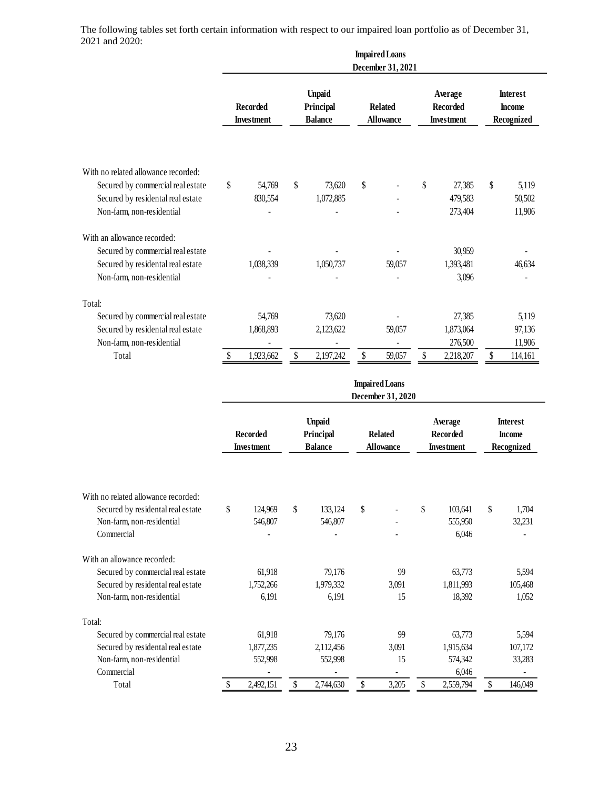The following tables set forth certain information with respect to our impaired loan portfolio as of December 31, 2021 and 2020:

|                                     |                                      |                                              |                                 | <b>Impaired Loans</b><br>December 31, 2021 |                                                 |                                                |
|-------------------------------------|--------------------------------------|----------------------------------------------|---------------------------------|--------------------------------------------|-------------------------------------------------|------------------------------------------------|
|                                     | <b>Recorded</b><br><b>Investment</b> | <b>Unpaid</b><br>Principal<br><b>Balance</b> |                                 | <b>Related</b><br><b>Allowance</b>         | Average<br><b>Recorded</b><br><b>Investment</b> | <b>Interest</b><br><b>Income</b><br>Recognized |
| With no related allowance recorded: |                                      |                                              |                                 |                                            |                                                 |                                                |
| Secured by commercial real estate   | \$<br>54,769                         | \$<br>73,620                                 | $\boldsymbol{\hat{\mathsf{S}}}$ |                                            | \$<br>27,385                                    | \$<br>5,119                                    |
| Secured by residental real estate   | 830,554                              | 1,072,885                                    |                                 |                                            | 479,583                                         | 50,502                                         |
| Non-farm, non-residential           |                                      |                                              |                                 |                                            | 273,404                                         | 11,906                                         |
| With an allowance recorded:         |                                      |                                              |                                 |                                            |                                                 |                                                |
| Secured by commercial real estate   |                                      |                                              |                                 |                                            | 30,959                                          |                                                |
| Secured by residental real estate   | 1,038,339                            | 1,050,737                                    |                                 | 59,057                                     | 1,393,481                                       | 46,634                                         |
| Non-farm, non-residential           |                                      |                                              |                                 |                                            | 3,096                                           |                                                |
| Total:                              |                                      |                                              |                                 |                                            |                                                 |                                                |
| Secured by commercial real estate   | 54,769                               | 73,620                                       |                                 |                                            | 27,385                                          | 5,119                                          |
| Secured by residental real estate   | 1,868,893                            | 2,123,622                                    |                                 | 59,057                                     | 1,873,064                                       | 97,136                                         |
| Non-farm, non-residential           |                                      |                                              |                                 |                                            | 276,500                                         | 11,906                                         |
| Total                               | 1,923,662                            | 2,197,242                                    | \$                              | 59,057                                     | 2,218,207                                       | \$<br>114,161                                  |

|                                     |                                      |                                              | <b>Impaired Loans</b><br>December 31, 2020 |                                                 |                                                |
|-------------------------------------|--------------------------------------|----------------------------------------------|--------------------------------------------|-------------------------------------------------|------------------------------------------------|
|                                     | <b>Recorded</b><br><b>Investment</b> | <b>Unpaid</b><br>Principal<br><b>Balance</b> | <b>Related</b><br><b>Allowance</b>         | Average<br><b>Recorded</b><br><b>Investment</b> | <b>Interest</b><br><b>Income</b><br>Recognized |
| With no related allowance recorded: |                                      |                                              |                                            |                                                 |                                                |
| Secured by residental real estate   | \$<br>124,969                        | \$<br>133,124                                | \$                                         | \$<br>103,641                                   | \$<br>1,704                                    |
| Non-farm, non-residential           | 546,807                              | 546,807                                      |                                            | 555,950                                         | 32,231                                         |
| Commercial                          |                                      |                                              |                                            | 6,046                                           |                                                |
| With an allowance recorded:         |                                      |                                              |                                            |                                                 |                                                |
| Secured by commercial real estate   | 61,918                               | 79,176                                       | 99                                         | 63,773                                          | 5,594                                          |
| Secured by residental real estate   | 1,752,266                            | 1,979,332                                    | 3,091                                      | 1,811,993                                       | 105,468                                        |
| Non-farm, non-residential           | 6,191                                | 6,191                                        | 15                                         | 18,392                                          | 1,052                                          |
| Total:                              |                                      |                                              |                                            |                                                 |                                                |
| Secured by commercial real estate   | 61,918                               | 79,176                                       | 99                                         | 63,773                                          | 5,594                                          |
| Secured by residental real estate   | 1,877,235                            | 2,112,456                                    | 3,091                                      | 1,915,634                                       | 107,172                                        |
| Non-farm, non-residential           | 552,998                              | 552,998                                      | 15                                         | 574,342                                         | 33,283                                         |
| Commercial                          |                                      |                                              | $\overline{\phantom{0}}$                   | 6,046                                           |                                                |
| Total                               | \$<br>2,492,151                      | \$<br>2,744,630                              | \$<br>3,205                                | \$<br>2,559,794                                 | \$<br>146,049                                  |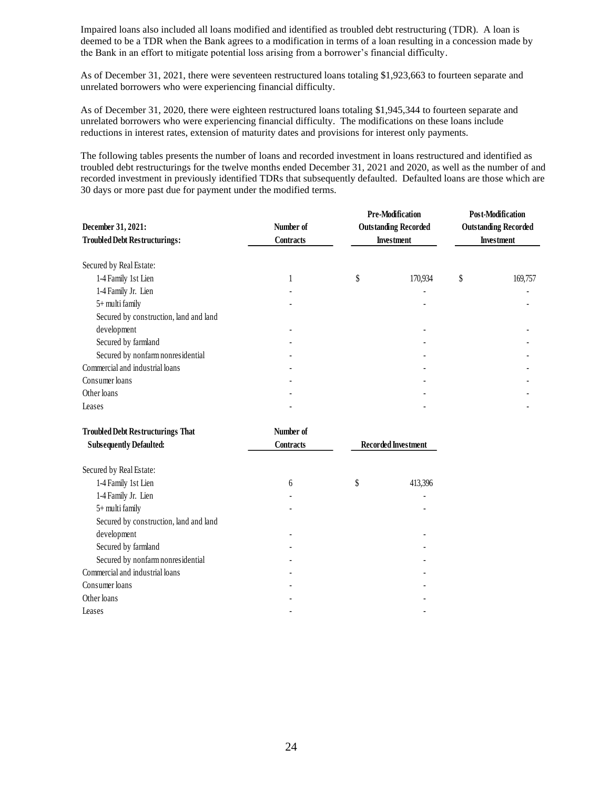Impaired loans also included all loans modified and identified as troubled debt restructuring (TDR). A loan is deemed to be a TDR when the Bank agrees to a modification in terms of a loan resulting in a concession made by the Bank in an effort to mitigate potential loss arising from a borrower's financial difficulty.

As of December 31, 2021, there were seventeen restructured loans totaling \$1,923,663 to fourteen separate and unrelated borrowers who were experiencing financial difficulty.

As of December 31, 2020, there were eighteen restructured loans totaling \$1,945,344 to fourteen separate and unrelated borrowers who were experiencing financial difficulty. The modifications on these loans include reductions in interest rates, extension of maturity dates and provisions for interest only payments.

The following tables presents the number of loans and recorded investment in loans restructured and identified as troubled debt restructurings for the twelve months ended December 31, 2021 and 2020, as well as the number of and recorded investment in previously identified TDRs that subsequently defaulted. Defaulted loans are those which are 30 days or more past due for payment under the modified terms.

| December 31, 2021:<br><b>Troubled Debt Restructurings:</b> | Number of<br>Contracts | <b>Pre-Modification</b><br><b>Outstanding Recorded</b><br><b>Investment</b> | Post-Modification<br><b>Outstanding Recorded</b><br><b>Investment</b> |         |  |  |
|------------------------------------------------------------|------------------------|-----------------------------------------------------------------------------|-----------------------------------------------------------------------|---------|--|--|
| Secured by Real Estate:                                    |                        |                                                                             |                                                                       |         |  |  |
| 1-4 Family 1st Lien                                        | 1                      | \$<br>170,934                                                               | \$                                                                    | 169,757 |  |  |
| 1-4 Family Jr. Lien                                        |                        |                                                                             |                                                                       |         |  |  |
| 5+ multi family                                            |                        |                                                                             |                                                                       |         |  |  |
| Secured by construction, land and land                     |                        |                                                                             |                                                                       |         |  |  |
| development                                                |                        |                                                                             |                                                                       |         |  |  |
| Secured by farmland                                        |                        |                                                                             |                                                                       |         |  |  |
| Secured by nonfarm nonresidential                          |                        |                                                                             |                                                                       |         |  |  |
| Commercial and industrial loans                            |                        |                                                                             |                                                                       |         |  |  |
| Consumer loans                                             |                        |                                                                             |                                                                       |         |  |  |
| Other loans                                                |                        |                                                                             |                                                                       |         |  |  |
| Leases                                                     |                        |                                                                             |                                                                       |         |  |  |
| <b>Troubled Debt Restructurings That</b>                   | Number of              |                                                                             |                                                                       |         |  |  |
| <b>Subsequently Defaulted:</b>                             | <b>Contracts</b>       | <b>Recorded Investment</b>                                                  |                                                                       |         |  |  |
| Secured by Real Estate:                                    |                        |                                                                             |                                                                       |         |  |  |
| 1-4 Family 1st Lien                                        | 6                      | \$<br>413,396                                                               |                                                                       |         |  |  |
| 1-4 Family Jr. Lien                                        |                        |                                                                             |                                                                       |         |  |  |
| 5+ multi family                                            |                        |                                                                             |                                                                       |         |  |  |
| Secured by construction, land and land                     |                        |                                                                             |                                                                       |         |  |  |
| development                                                |                        |                                                                             |                                                                       |         |  |  |
| Secured by farmland                                        |                        |                                                                             |                                                                       |         |  |  |
| Secured by nonfarm nonresidential                          |                        |                                                                             |                                                                       |         |  |  |
| Commercial and industrial loans                            |                        |                                                                             |                                                                       |         |  |  |

| Consumer loans |  |
|----------------|--|
| Other loans    |  |
| Leases         |  |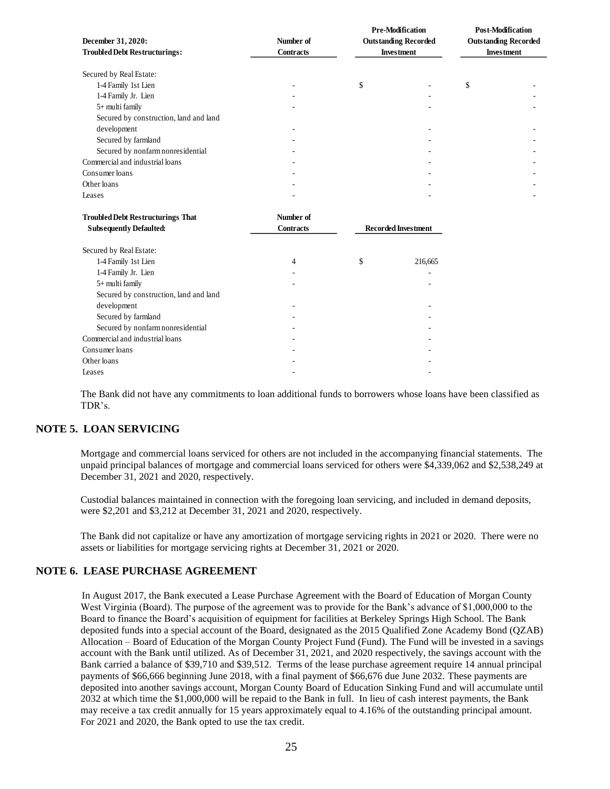| December 31, 2020:<br><b>Troubled Debt Restructurings:</b>                                                                                                                                                                                                                                                                                                                                                                                                                                                                                                                                                                                                                                                                                                                                                                                                                                                                                                                                                                                                                                                                                                                                                                                                                                                                                                                | Number of<br><b>Contracts</b> | <b>Pre-Modification</b><br><b>Outstanding Recorded</b><br><b>Investment</b> | <b>Post-Modification</b><br><b>Outstanding Recorded</b><br><b>Investment</b> |  |  |
|---------------------------------------------------------------------------------------------------------------------------------------------------------------------------------------------------------------------------------------------------------------------------------------------------------------------------------------------------------------------------------------------------------------------------------------------------------------------------------------------------------------------------------------------------------------------------------------------------------------------------------------------------------------------------------------------------------------------------------------------------------------------------------------------------------------------------------------------------------------------------------------------------------------------------------------------------------------------------------------------------------------------------------------------------------------------------------------------------------------------------------------------------------------------------------------------------------------------------------------------------------------------------------------------------------------------------------------------------------------------------|-------------------------------|-----------------------------------------------------------------------------|------------------------------------------------------------------------------|--|--|
| Secured by Real Estate:                                                                                                                                                                                                                                                                                                                                                                                                                                                                                                                                                                                                                                                                                                                                                                                                                                                                                                                                                                                                                                                                                                                                                                                                                                                                                                                                                   |                               |                                                                             |                                                                              |  |  |
| 1-4 Family 1st Lien                                                                                                                                                                                                                                                                                                                                                                                                                                                                                                                                                                                                                                                                                                                                                                                                                                                                                                                                                                                                                                                                                                                                                                                                                                                                                                                                                       |                               | \$                                                                          | \$                                                                           |  |  |
| 1-4 Family Jr. Lien                                                                                                                                                                                                                                                                                                                                                                                                                                                                                                                                                                                                                                                                                                                                                                                                                                                                                                                                                                                                                                                                                                                                                                                                                                                                                                                                                       |                               |                                                                             |                                                                              |  |  |
| 5+ multi family                                                                                                                                                                                                                                                                                                                                                                                                                                                                                                                                                                                                                                                                                                                                                                                                                                                                                                                                                                                                                                                                                                                                                                                                                                                                                                                                                           |                               |                                                                             |                                                                              |  |  |
| Secured by construction, land and land                                                                                                                                                                                                                                                                                                                                                                                                                                                                                                                                                                                                                                                                                                                                                                                                                                                                                                                                                                                                                                                                                                                                                                                                                                                                                                                                    |                               |                                                                             |                                                                              |  |  |
| development                                                                                                                                                                                                                                                                                                                                                                                                                                                                                                                                                                                                                                                                                                                                                                                                                                                                                                                                                                                                                                                                                                                                                                                                                                                                                                                                                               |                               |                                                                             |                                                                              |  |  |
| Secured by farmland                                                                                                                                                                                                                                                                                                                                                                                                                                                                                                                                                                                                                                                                                                                                                                                                                                                                                                                                                                                                                                                                                                                                                                                                                                                                                                                                                       |                               |                                                                             |                                                                              |  |  |
| Secured by nonfarm nonresidential                                                                                                                                                                                                                                                                                                                                                                                                                                                                                                                                                                                                                                                                                                                                                                                                                                                                                                                                                                                                                                                                                                                                                                                                                                                                                                                                         |                               |                                                                             |                                                                              |  |  |
| Commercial and industrial loans                                                                                                                                                                                                                                                                                                                                                                                                                                                                                                                                                                                                                                                                                                                                                                                                                                                                                                                                                                                                                                                                                                                                                                                                                                                                                                                                           |                               |                                                                             |                                                                              |  |  |
| Consumer loans                                                                                                                                                                                                                                                                                                                                                                                                                                                                                                                                                                                                                                                                                                                                                                                                                                                                                                                                                                                                                                                                                                                                                                                                                                                                                                                                                            |                               |                                                                             |                                                                              |  |  |
| Other loans                                                                                                                                                                                                                                                                                                                                                                                                                                                                                                                                                                                                                                                                                                                                                                                                                                                                                                                                                                                                                                                                                                                                                                                                                                                                                                                                                               |                               |                                                                             |                                                                              |  |  |
| Leases                                                                                                                                                                                                                                                                                                                                                                                                                                                                                                                                                                                                                                                                                                                                                                                                                                                                                                                                                                                                                                                                                                                                                                                                                                                                                                                                                                    |                               |                                                                             |                                                                              |  |  |
| <b>Troubled Debt Restructurings That</b>                                                                                                                                                                                                                                                                                                                                                                                                                                                                                                                                                                                                                                                                                                                                                                                                                                                                                                                                                                                                                                                                                                                                                                                                                                                                                                                                  | Number of                     |                                                                             |                                                                              |  |  |
| <b>Subsequently Defaulted:</b>                                                                                                                                                                                                                                                                                                                                                                                                                                                                                                                                                                                                                                                                                                                                                                                                                                                                                                                                                                                                                                                                                                                                                                                                                                                                                                                                            | <b>Contracts</b>              | <b>Recorded Investment</b>                                                  |                                                                              |  |  |
|                                                                                                                                                                                                                                                                                                                                                                                                                                                                                                                                                                                                                                                                                                                                                                                                                                                                                                                                                                                                                                                                                                                                                                                                                                                                                                                                                                           |                               |                                                                             |                                                                              |  |  |
| Secured by Real Estate:                                                                                                                                                                                                                                                                                                                                                                                                                                                                                                                                                                                                                                                                                                                                                                                                                                                                                                                                                                                                                                                                                                                                                                                                                                                                                                                                                   |                               |                                                                             |                                                                              |  |  |
| 1-4 Family 1st Lien                                                                                                                                                                                                                                                                                                                                                                                                                                                                                                                                                                                                                                                                                                                                                                                                                                                                                                                                                                                                                                                                                                                                                                                                                                                                                                                                                       | 4                             | \$<br>216,665                                                               |                                                                              |  |  |
| 1-4 Family Jr. Lien                                                                                                                                                                                                                                                                                                                                                                                                                                                                                                                                                                                                                                                                                                                                                                                                                                                                                                                                                                                                                                                                                                                                                                                                                                                                                                                                                       |                               |                                                                             |                                                                              |  |  |
| 5+ multi family                                                                                                                                                                                                                                                                                                                                                                                                                                                                                                                                                                                                                                                                                                                                                                                                                                                                                                                                                                                                                                                                                                                                                                                                                                                                                                                                                           |                               |                                                                             |                                                                              |  |  |
| Secured by construction, land and land                                                                                                                                                                                                                                                                                                                                                                                                                                                                                                                                                                                                                                                                                                                                                                                                                                                                                                                                                                                                                                                                                                                                                                                                                                                                                                                                    |                               |                                                                             |                                                                              |  |  |
| development                                                                                                                                                                                                                                                                                                                                                                                                                                                                                                                                                                                                                                                                                                                                                                                                                                                                                                                                                                                                                                                                                                                                                                                                                                                                                                                                                               |                               |                                                                             |                                                                              |  |  |
| Secured by farmland                                                                                                                                                                                                                                                                                                                                                                                                                                                                                                                                                                                                                                                                                                                                                                                                                                                                                                                                                                                                                                                                                                                                                                                                                                                                                                                                                       |                               |                                                                             |                                                                              |  |  |
| Secured by nonfarm nonresidential<br>Commercial and industrial loans                                                                                                                                                                                                                                                                                                                                                                                                                                                                                                                                                                                                                                                                                                                                                                                                                                                                                                                                                                                                                                                                                                                                                                                                                                                                                                      |                               |                                                                             |                                                                              |  |  |
| Consumer loans                                                                                                                                                                                                                                                                                                                                                                                                                                                                                                                                                                                                                                                                                                                                                                                                                                                                                                                                                                                                                                                                                                                                                                                                                                                                                                                                                            |                               |                                                                             |                                                                              |  |  |
| Other loans                                                                                                                                                                                                                                                                                                                                                                                                                                                                                                                                                                                                                                                                                                                                                                                                                                                                                                                                                                                                                                                                                                                                                                                                                                                                                                                                                               |                               |                                                                             |                                                                              |  |  |
| Leases                                                                                                                                                                                                                                                                                                                                                                                                                                                                                                                                                                                                                                                                                                                                                                                                                                                                                                                                                                                                                                                                                                                                                                                                                                                                                                                                                                    |                               |                                                                             |                                                                              |  |  |
| The Bank did not have any commitments to loan additional funds to borrowers whose loans have been classified as<br>TDR's.<br><b>LOAN SERVICING</b><br>Mortgage and commercial loans serviced for others are not included in the accompanying financial statements. The<br>unpaid principal balances of mortgage and commercial loans serviced for others were \$4,339,062 and \$2,538,249 at<br>December 31, 2021 and 2020, respectively.                                                                                                                                                                                                                                                                                                                                                                                                                                                                                                                                                                                                                                                                                                                                                                                                                                                                                                                                 |                               |                                                                             |                                                                              |  |  |
| Custodial balances maintained in connection with the foregoing loan servicing, and included in demand deposits,<br>were \$2,201 and \$3,212 at December 31, 2021 and 2020, respectively.                                                                                                                                                                                                                                                                                                                                                                                                                                                                                                                                                                                                                                                                                                                                                                                                                                                                                                                                                                                                                                                                                                                                                                                  |                               |                                                                             |                                                                              |  |  |
| The Bank did not capitalize or have any amortization of mortgage servicing rights in 2021 or 2020. There were no<br>assets or liabilities for mortgage servicing rights at December 31, 2021 or 2020.                                                                                                                                                                                                                                                                                                                                                                                                                                                                                                                                                                                                                                                                                                                                                                                                                                                                                                                                                                                                                                                                                                                                                                     |                               |                                                                             |                                                                              |  |  |
| <b>LEASE PURCHASE AGREEMENT</b>                                                                                                                                                                                                                                                                                                                                                                                                                                                                                                                                                                                                                                                                                                                                                                                                                                                                                                                                                                                                                                                                                                                                                                                                                                                                                                                                           |                               |                                                                             |                                                                              |  |  |
| In August 2017, the Bank executed a Lease Purchase Agreement with the Board of Education of Morgan County<br>West Virginia (Board). The purpose of the agreement was to provide for the Bank's advance of \$1,000,000 to the<br>Board to finance the Board's acquisition of equipment for facilities at Berkeley Springs High School. The Bank<br>deposited funds into a special account of the Board, designated as the 2015 Qualified Zone Academy Bond (QZAB)<br>Allocation - Board of Education of the Morgan County Project Fund (Fund). The Fund will be invested in a savings<br>account with the Bank until utilized. As of December 31, 2021, and 2020 respectively, the savings account with the<br>Bank carried a balance of \$39,710 and \$39,512. Terms of the lease purchase agreement require 14 annual principal<br>payments of \$66,666 beginning June 2018, with a final payment of \$66,676 due June 2032. These payments are<br>deposited into another savings account, Morgan County Board of Education Sinking Fund and will accumulate until<br>2032 at which time the \$1,000,000 will be repaid to the Bank in full. In lieu of cash interest payments, the Bank<br>may receive a tax credit annually for 15 years approximately equal to 4.16% of the outstanding principal amount.<br>For 2021 and 2020, the Bank opted to use the tax credit. |                               |                                                                             |                                                                              |  |  |

| <b>Troubled Debt Restructurings That</b> | Number of        |                            |         |  |
|------------------------------------------|------------------|----------------------------|---------|--|
| <b>Subsequently Defaulted:</b>           | <b>Contracts</b> | <b>Recorded Investment</b> |         |  |
|                                          |                  |                            |         |  |
| Secured by Real Estate:                  |                  |                            |         |  |
| 1-4 Family 1st Lien                      | 4                | \$                         | 216,665 |  |
| 1-4 Family Jr. Lien                      |                  |                            |         |  |
| 5+ multi family                          |                  |                            |         |  |
| Secured by construction, land and land   |                  |                            |         |  |
| development                              |                  |                            |         |  |
| Secured by farmland                      |                  |                            |         |  |
| Secured by nonfarm nonresidential        |                  |                            |         |  |
| Commercial and industrial loans          |                  |                            |         |  |
| Consumer loans                           |                  |                            |         |  |
| Other loans                              |                  |                            |         |  |
| Leases                                   |                  |                            |         |  |

#### **NOTE 5. LOAN SERVICING**

#### **NOTE 6. LEASE PURCHASE AGREEMENT**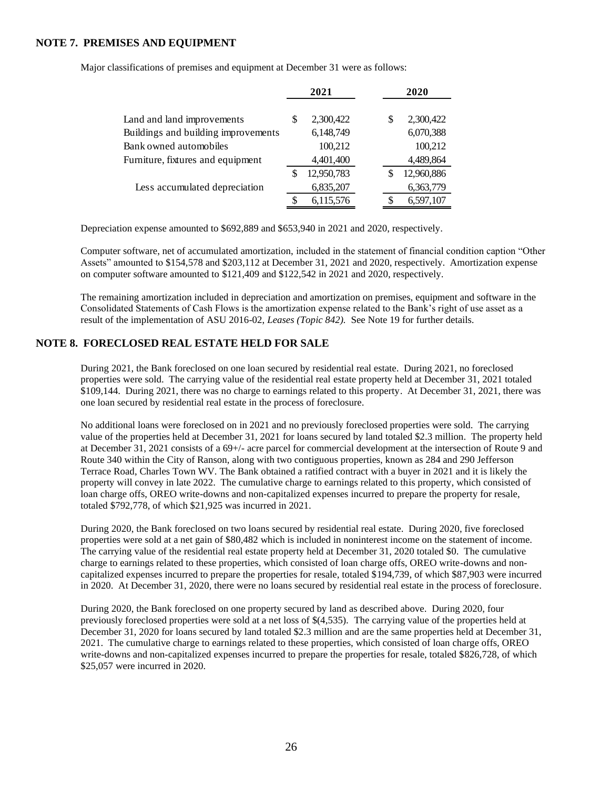#### **NOTE 7. PREMISES AND EQUIPMENT**

Major classifications of premises and equipment at December 31 were as follows:

|                                     | 2021 |            |    | 2020       |  |
|-------------------------------------|------|------------|----|------------|--|
| Land and land improvements          | \$   | 2,300,422  | \$ | 2,300,422  |  |
| Buildings and building improvements |      | 6,148,749  |    | 6,070,388  |  |
| Bank owned automobiles              |      | 100,212    |    | 100,212    |  |
| Furniture, fixtures and equipment   |      | 4,401,400  |    | 4,489,864  |  |
|                                     | S    | 12,950,783 | \$ | 12,960,886 |  |
| Less accumulated depreciation       |      | 6,835,207  |    | 6,363,779  |  |
|                                     | \$   | 6,115,576  | \$ | 6,597,107  |  |

Depreciation expense amounted to \$692,889 and \$653,940 in 2021 and 2020, respectively.

Computer software, net of accumulated amortization, included in the statement of financial condition caption "Other Assets" amounted to \$154,578 and \$203,112 at December 31, 2021 and 2020, respectively. Amortization expense on computer software amounted to \$121,409 and \$122,542 in 2021 and 2020, respectively.

The remaining amortization included in depreciation and amortization on premises, equipment and software in the Consolidated Statements of Cash Flows is the amortization expense related to the Bank's right of use asset as a result of the implementation of ASU 2016-02, *Leases (Topic 842).* See Note 19 for further details.

#### **NOTE 8. FORECLOSED REAL ESTATE HELD FOR SALE**

During 2021, the Bank foreclosed on one loan secured by residential real estate. During 2021, no foreclosed properties were sold. The carrying value of the residential real estate property held at December 31, 2021 totaled \$109,144. During 2021, there was no charge to earnings related to this property. At December 31, 2021, there was one loan secured by residential real estate in the process of foreclosure.

No additional loans were foreclosed on in 2021 and no previously foreclosed properties were sold. The carrying value of the properties held at December 31, 2021 for loans secured by land totaled \$2.3 million. The property held at December 31, 2021 consists of a 69+/- acre parcel for commercial development at the intersection of Route 9 and Route 340 within the City of Ranson, along with two contiguous properties, known as 284 and 290 Jefferson Terrace Road, Charles Town WV. The Bank obtained a ratified contract with a buyer in 2021 and it is likely the property will convey in late 2022. The cumulative charge to earnings related to this property, which consisted of loan charge offs, OREO write-downs and non-capitalized expenses incurred to prepare the property for resale, totaled \$792,778, of which \$21,925 was incurred in 2021.

During 2020, the Bank foreclosed on two loans secured by residential real estate. During 2020, five foreclosed properties were sold at a net gain of \$80,482 which is included in noninterest income on the statement of income. The carrying value of the residential real estate property held at December 31, 2020 totaled \$0. The cumulative charge to earnings related to these properties, which consisted of loan charge offs, OREO write-downs and noncapitalized expenses incurred to prepare the properties for resale, totaled \$194,739, of which \$87,903 were incurred in 2020. At December 31, 2020, there were no loans secured by residential real estate in the process of foreclosure.

During 2020, the Bank foreclosed on one property secured by land as described above. During 2020, four previously foreclosed properties were sold at a net loss of \$(4,535). The carrying value of the properties held at December 31, 2020 for loans secured by land totaled \$2.3 million and are the same properties held at December 31, 2021. The cumulative charge to earnings related to these properties, which consisted of loan charge offs, OREO write-downs and non-capitalized expenses incurred to prepare the properties for resale, totaled \$826,728, of which \$25,057 were incurred in 2020.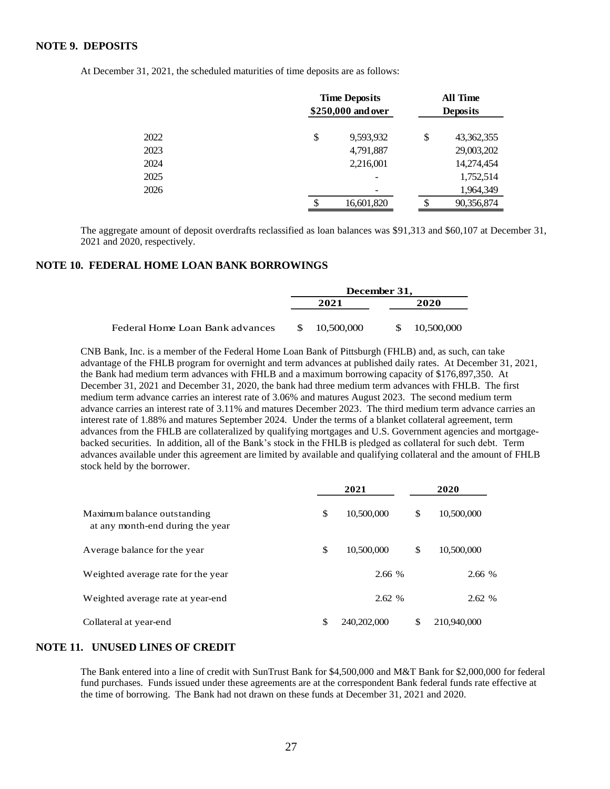#### **NOTE 9. DEPOSITS**

At December 31, 2021, the scheduled maturities of time deposits are as follows:

|      | <b>Time Deposits</b><br>\$250,000 and over | <b>All Time</b><br><b>Deposits</b> |  |  |
|------|--------------------------------------------|------------------------------------|--|--|
| 2022 | \$<br>9,593,932                            | \$<br>43, 362, 355                 |  |  |
| 2023 | 4,791,887                                  | 29,003,202                         |  |  |
| 2024 | 2,216,001                                  | 14,274,454                         |  |  |
| 2025 |                                            | 1,752,514                          |  |  |
| 2026 |                                            | 1,964,349                          |  |  |
|      | \$<br>16,601,820                           | \$<br>90,356,874                   |  |  |

The aggregate amount of deposit overdrafts reclassified as loan balances was \$91,313 and \$60,107 at December 31, 2021 and 2020, respectively.

#### **NOTE 10. FEDERAL HOME LOAN BANK BORROWINGS**

|                                 | December 31, |            |  |     |            |
|---------------------------------|--------------|------------|--|-----|------------|
|                                 |              | 2021       |  |     | 2020       |
|                                 |              |            |  |     |            |
| Federal Home Loan Bank advances | -SS          | 10,500,000 |  | -SS | 10,500,000 |

CNB Bank, Inc. is a member of the Federal Home Loan Bank of Pittsburgh (FHLB) and, as such, can take advantage of the FHLB program for overnight and term advances at published daily rates. At December 31, 2021, the Bank had medium term advances with FHLB and a maximum borrowing capacity of \$176,897,350. At December 31, 2021 and December 31, 2020, the bank had three medium term advances with FHLB. The first medium term advance carries an interest rate of 3.06% and matures August 2023. The second medium term advance carries an interest rate of 3.11% and matures December 2023. The third medium term advance carries an interest rate of 1.88% and matures September 2024. Under the terms of a blanket collateral agreement, term advances from the FHLB are collateralized by qualifying mortgages and U.S. Government agencies and mortgagebacked securities. In addition, all of the Bank's stock in the FHLB is pledged as collateral for such debt. Term advances available under this agreement are limited by available and qualifying collateral and the amount of FHLB stock held by the borrower.

|                                                                 | 2021              | 2020              |
|-----------------------------------------------------------------|-------------------|-------------------|
| Maximum balance outstanding<br>at any month-end during the year | \$<br>10,500,000  | \$<br>10,500,000  |
| Average balance for the year                                    | \$<br>10,500,000  | \$<br>10,500,000  |
| Weighted average rate for the year                              | 2.66%             | 2.66 %            |
| Weighted average rate at year-end                               | 2.62%             | 2.62 %            |
| Collateral at year-end                                          | \$<br>240,202,000 | \$<br>210,940,000 |

#### **NOTE 11. UNUSED LINES OF CREDIT**

The Bank entered into a line of credit with SunTrust Bank for \$4,500,000 and M&T Bank for \$2,000,000 for federal fund purchases. Funds issued under these agreements are at the correspondent Bank federal funds rate effective at the time of borrowing. The Bank had not drawn on these funds at December 31, 2021 and 2020.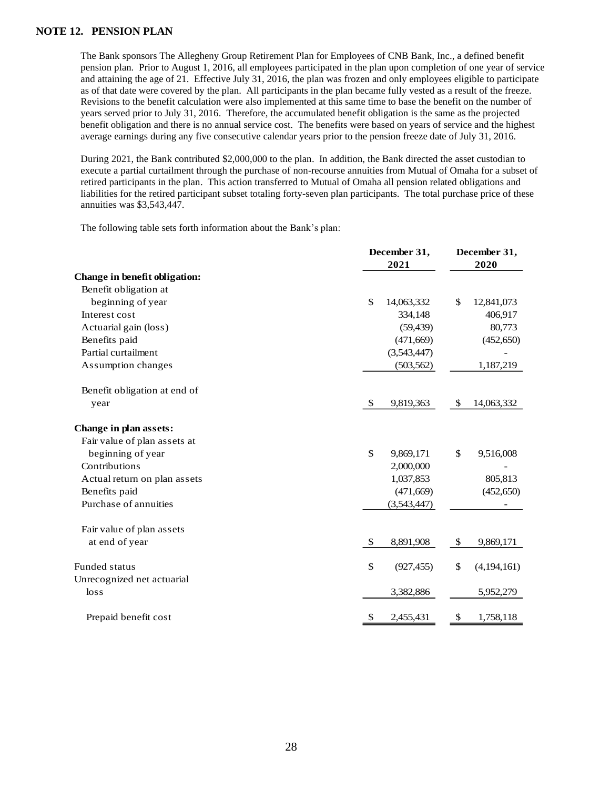#### **NOTE 12. PENSION PLAN**

The Bank sponsors The Allegheny Group Retirement Plan for Employees of CNB Bank, Inc., a defined benefit pension plan. Prior to August 1, 2016, all employees participated in the plan upon completion of one year of service and attaining the age of 21. Effective July 31, 2016, the plan was frozen and only employees eligible to participate as of that date were covered by the plan. All participants in the plan became fully vested as a result of the freeze. Revisions to the benefit calculation were also implemented at this same time to base the benefit on the number of years served prior to July 31, 2016. Therefore, the accumulated benefit obligation is the same as the projected benefit obligation and there is no annual service cost. The benefits were based on years of service and the highest average earnings during any five consecutive calendar years prior to the pension freeze date of July 31, 2016.

During 2021, the Bank contributed \$2,000,000 to the plan. In addition, the Bank directed the asset custodian to execute a partial curtailment through the purchase of non-recourse annuities from Mutual of Omaha for a subset of retired participants in the plan. This action transferred to Mutual of Omaha all pension related obligations and liabilities for the retired participant subset totaling forty-seven plan participants. The total purchase price of these annuities was \$3,543,447.

The following table sets forth information about the Bank's plan:

|                               | December 31, |             | December 31,              |             |
|-------------------------------|--------------|-------------|---------------------------|-------------|
|                               |              | 2021        |                           | 2020        |
| Change in benefit obligation: |              |             |                           |             |
| Benefit obligation at         |              |             |                           |             |
| beginning of year             | \$           | 14,063,332  | \$                        | 12,841,073  |
| Interest cost                 |              | 334,148     |                           | 406,917     |
| Actuarial gain (loss)         |              | (59, 439)   |                           | 80,773      |
| Benefits paid                 |              | (471, 669)  |                           | (452, 650)  |
| Partial curtailment           |              | (3,543,447) |                           |             |
| Assumption changes            |              | (503, 562)  |                           | 1,187,219   |
| Benefit obligation at end of  |              |             |                           |             |
| year                          | \$           | 9,819,363   | $\boldsymbol{\mathsf{S}}$ | 14,063,332  |
| Change in plan assets:        |              |             |                           |             |
| Fair value of plan assets at  |              |             |                           |             |
| beginning of year             | \$           | 9,869,171   | \$                        | 9,516,008   |
| Contributions                 |              | 2,000,000   |                           |             |
| Actual return on plan assets  |              | 1,037,853   |                           | 805,813     |
| Benefits paid                 |              | (471,669)   |                           | (452, 650)  |
| Purchase of annuities         |              | (3,543,447) |                           |             |
| Fair value of plan assets     |              |             |                           |             |
| at end of year                | $\mathbb{S}$ | 8,891,908   | \$                        | 9,869,171   |
| Funded status                 | \$           | (927, 455)  | \$                        | (4,194,161) |
| Unrecognized net actuarial    |              |             |                           |             |
| $\log s$                      |              | 3,382,886   |                           | 5,952,279   |
| Prepaid benefit cost          | \$           | 2,455,431   | \$                        | 1,758,118   |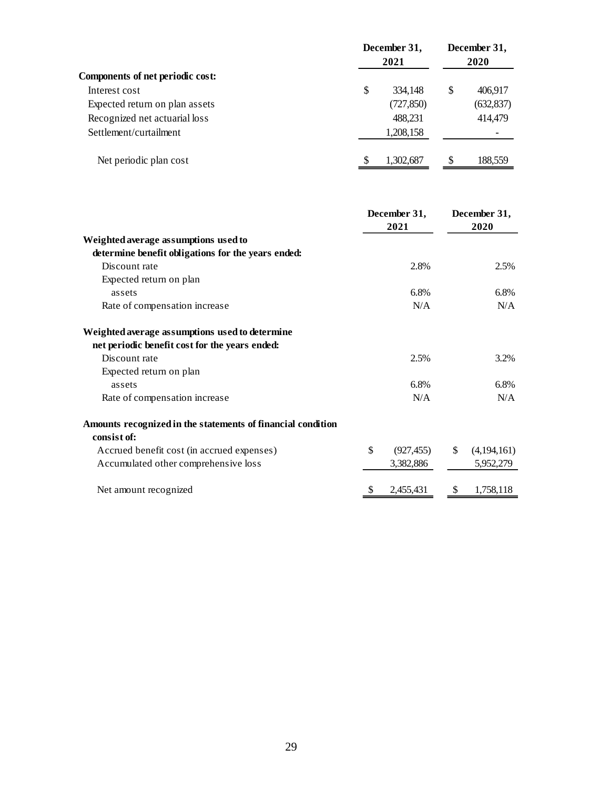|                                  | December 31,<br>2021 |     | December 31,<br>2020 |
|----------------------------------|----------------------|-----|----------------------|
| Components of net periodic cost: |                      |     |                      |
| Interest cost                    | \$<br>334,148        | \$  | 406.917              |
| Expected return on plan assets   | (727, 850)           |     | (632, 837)           |
| Recognized net actuarial loss    | 488,231              |     | 414,479              |
| Settlement/curtailment           | 1,208,158            |     |                      |
| Net periodic plan cost           | 1,302,687            | \$. | 188,559              |
|                                  |                      |     |                      |

|                                                                            | December 31,<br>2021 | December 31,<br>2020 |
|----------------------------------------------------------------------------|----------------------|----------------------|
| Weighted average assumptions used to                                       |                      |                      |
| determine benefit obligations for the years ended:                         |                      |                      |
| Discount rate                                                              | 2.8%                 | 2.5%                 |
| Expected return on plan                                                    |                      |                      |
| assets                                                                     | 6.8%                 | 6.8%                 |
| Rate of compensation increase                                              | N/A                  | N/A                  |
| Weighted average assumptions used to determine                             |                      |                      |
| net periodic benefit cost for the years ended:                             |                      |                      |
| Discount rate                                                              | 2.5%                 | 3.2%                 |
| Expected return on plan                                                    |                      |                      |
| assets                                                                     | 6.8%                 | 6.8%                 |
| Rate of compensation increase                                              | N/A                  | N/A                  |
| Amounts recognized in the statements of financial condition<br>consist of: |                      |                      |
| Accrued benefit cost (in accrued expenses)                                 | \$<br>(927, 455)     | \$<br>(4,194,161)    |
| Accumulated other comprehensive loss                                       | 3,382,886            | 5,952,279            |
| Net amount recognized                                                      | 2,455,431            | 1,758,118            |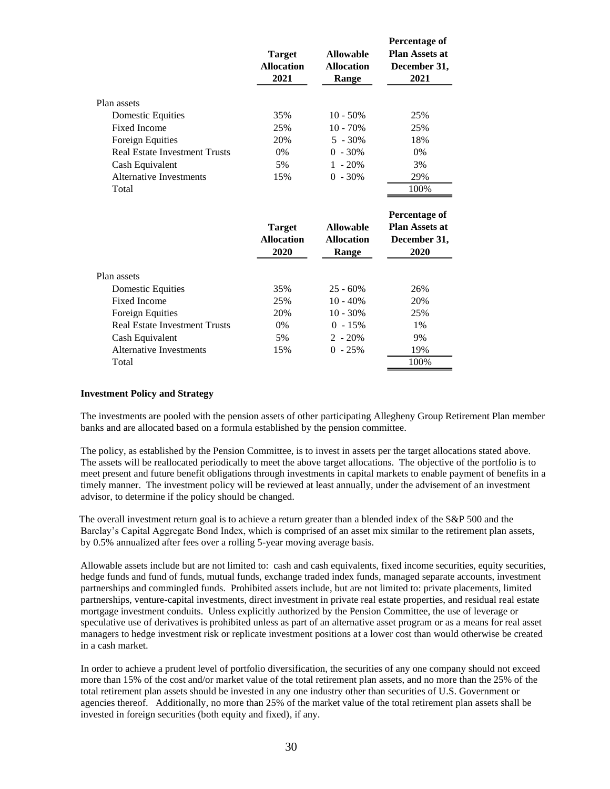|                                      | <b>Target</b><br><b>Allocation</b><br>2021 | <b>Allowable</b><br><b>Allocation</b><br><b>Range</b> | Percentage of<br><b>Plan Assets at</b><br>December 31,<br>2021 |
|--------------------------------------|--------------------------------------------|-------------------------------------------------------|----------------------------------------------------------------|
| Plan assets                          |                                            |                                                       |                                                                |
| Domestic Equities                    | 35%                                        | $10 - 50\%$                                           | 25%                                                            |
| Fixed Income                         | 25%                                        | $10 - 70%$                                            | 25%                                                            |
| <b>Foreign Equities</b>              | 20%                                        | $5 - 30\%$                                            | 18%                                                            |
| <b>Real Estate Investment Trusts</b> | $0\%$                                      | $0 - 30\%$                                            | 0%                                                             |
| Cash Equivalent                      | 5%                                         | $1 - 20\%$                                            | 3%                                                             |
| Alternative Investments              | 15%                                        | $0 - 30\%$                                            | 29%                                                            |
| Total                                |                                            |                                                       | 100%                                                           |
|                                      | <b>Target</b><br><b>Allocation</b>         | <b>Allowable</b><br><b>Allocation</b>                 | Percentage of<br><b>Plan Assets at</b><br>December 31,         |

|                                      | 2020 | <b>Range</b> | 2020 |
|--------------------------------------|------|--------------|------|
| Plan assets                          |      |              |      |
| Domestic Equities                    | 35%  | $25 - 60\%$  | 26%  |
| Fixed Income                         | 25%  | $10 - 40%$   | 20%  |
| <b>Foreign Equities</b>              | 20%  | $10 - 30\%$  | 25%  |
| <b>Real Estate Investment Trusts</b> | 0%   | $0 - 15\%$   | 1%   |
| Cash Equivalent                      | 5%   | $2 - 20%$    | 9%   |
| Alternative Investments              | 15%  | $0 - 25%$    | 19%  |
| Total                                |      |              | 100% |

#### **Investment Policy and Strategy**

The investments are pooled with the pension assets of other participating Allegheny Group Retirement Plan member banks and are allocated based on a formula established by the pension committee.

The policy, as established by the Pension Committee, is to invest in assets per the target allocations stated above. The assets will be reallocated periodically to meet the above target allocations. The objective of the portfolio is to meet present and future benefit obligations through investments in capital markets to enable payment of benefits in a timely manner. The investment policy will be reviewed at least annually, under the advisement of an investment advisor, to determine if the policy should be changed.

 The overall investment return goal is to achieve a return greater than a blended index of the S&P 500 and the Barclay's Capital Aggregate Bond Index, which is comprised of an asset mix similar to the retirement plan assets, by 0.5% annualized after fees over a rolling 5-year moving average basis.

Allowable assets include but are not limited to: cash and cash equivalents, fixed income securities, equity securities, hedge funds and fund of funds, mutual funds, exchange traded index funds, managed separate accounts, investment partnerships and commingled funds. Prohibited assets include, but are not limited to: private placements, limited partnerships, venture-capital investments, direct investment in private real estate properties, and residual real estate mortgage investment conduits. Unless explicitly authorized by the Pension Committee, the use of leverage or speculative use of derivatives is prohibited unless as part of an alternative asset program or as a means for real asset managers to hedge investment risk or replicate investment positions at a lower cost than would otherwise be created in a cash market.

In order to achieve a prudent level of portfolio diversification, the securities of any one company should not exceed more than 15% of the cost and/or market value of the total retirement plan assets, and no more than the 25% of the total retirement plan assets should be invested in any one industry other than securities of U.S. Government or agencies thereof. Additionally, no more than 25% of the market value of the total retirement plan assets shall be invested in foreign securities (both equity and fixed), if any.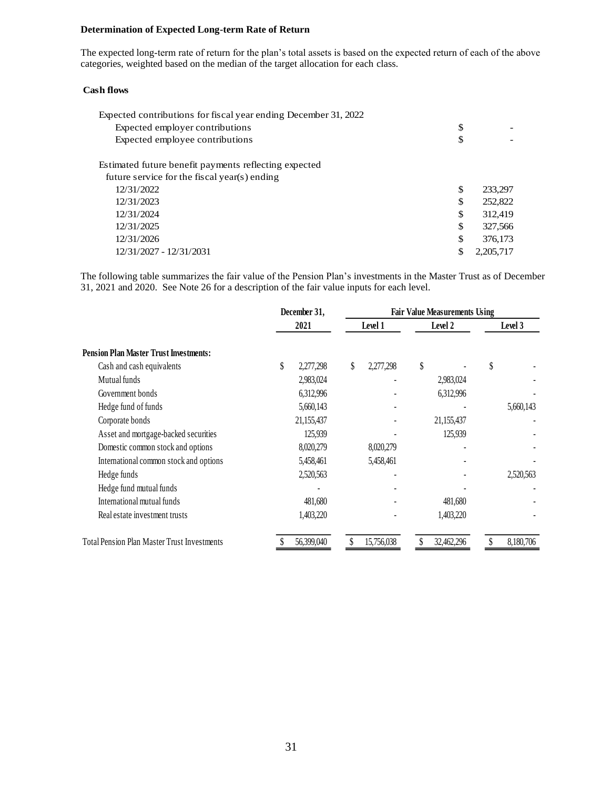#### **Determination of Expected Long-term Rate of Return**

The expected long-term rate of return for the plan's total assets is based on the expected return of each of the above categories, weighted based on the median of the target allocation for each class.

#### **Cash flows**

| Expected contributions for fiscal year ending December 31, 2022 |                 |
|-----------------------------------------------------------------|-----------------|
| Expected employer contributions                                 | \$              |
| Expected employee contributions                                 | \$              |
| Estimated future benefit payments reflecting expected           |                 |
| future service for the fiscal year(s) ending                    |                 |
| 12/31/2022                                                      | \$<br>233,297   |
| 12/31/2023                                                      | \$<br>252,822   |
| 12/31/2024                                                      | \$<br>312,419   |
| 12/31/2025                                                      | \$<br>327,566   |
| 12/31/2026                                                      | \$<br>376,173   |
| 12/31/2027 - 12/31/2031                                         | \$<br>2,205,717 |

The following table summarizes the fair value of the Pension Plan's investments in the Master Trust as of December 31, 2021 and 2020. See Note 26 for a description of the fair value inputs for each level.

|                                                    | December 31, |            |         | <b>Fair Value Measurements Using</b> |         |            |         |           |  |
|----------------------------------------------------|--------------|------------|---------|--------------------------------------|---------|------------|---------|-----------|--|
|                                                    | 2021         |            | Level 1 |                                      | Level 2 |            | Level 3 |           |  |
| <b>Pension Plan Master Trust Investments:</b>      |              |            |         |                                      |         |            |         |           |  |
| Cash and cash equivalents                          | \$           | 2,277,298  | \$      | 2,277,298                            | \$      |            | \$      |           |  |
| Mutual funds                                       |              | 2,983,024  |         |                                      |         | 2,983,024  |         |           |  |
| Government bonds                                   |              | 6,312,996  |         |                                      |         | 6,312,996  |         |           |  |
| Hedge fund of funds                                |              | 5,660,143  |         |                                      |         |            |         | 5,660,143 |  |
| Corporate bonds                                    |              | 21,155,437 |         |                                      |         | 21,155,437 |         |           |  |
| Asset and mortgage-backed securities               |              | 125,939    |         |                                      |         | 125,939    |         |           |  |
| Domestic common stock and options                  |              | 8,020,279  |         | 8,020,279                            |         |            |         |           |  |
| International common stock and options             |              | 5,458,461  |         | 5,458,461                            |         |            |         |           |  |
| Hedge funds                                        |              | 2,520,563  |         |                                      |         |            |         | 2,520,563 |  |
| Hedge fund mutual funds                            |              |            |         |                                      |         |            |         |           |  |
| International mutual funds                         |              | 481,680    |         |                                      |         | 481,680    |         |           |  |
| Real estate investment trusts                      |              | 1,403,220  |         |                                      |         | 1,403,220  |         |           |  |
| <b>Total Pension Plan Master Trust Investments</b> |              | 56,399,040 |         | 15,756,038                           |         | 32,462,296 |         | 8,180,706 |  |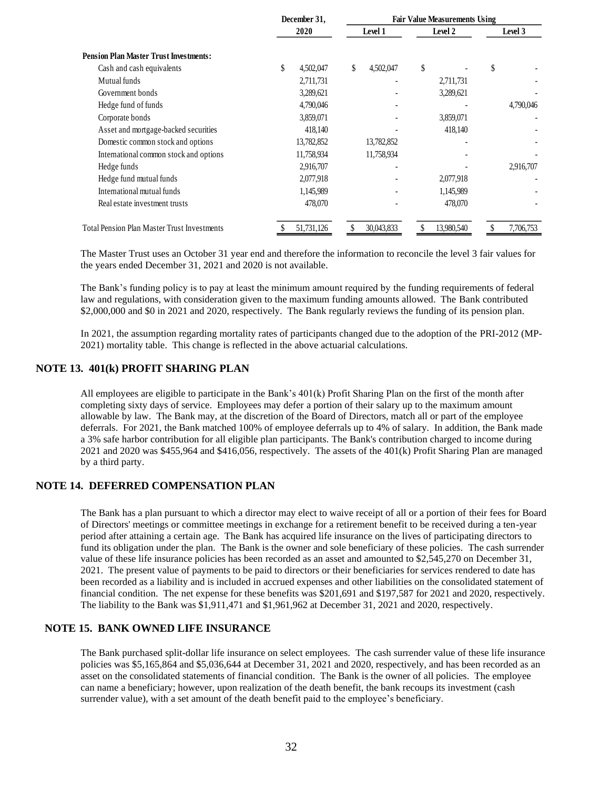|                                                    | December 31, |            |    | <b>Fair Value Measurements Using</b> |    |            |    |           |  |
|----------------------------------------------------|--------------|------------|----|--------------------------------------|----|------------|----|-----------|--|
|                                                    | 2020         |            |    | Level 1                              |    | Level 2    |    | Level 3   |  |
| <b>Pension Plan Master Trust Investments:</b>      |              |            |    |                                      |    |            |    |           |  |
| Cash and cash equivalents                          | \$           | 4,502,047  | \$ | 4,502,047                            | \$ |            | \$ |           |  |
| Mutual funds                                       |              | 2,711,731  |    |                                      |    | 2,711,731  |    |           |  |
| Government bonds                                   |              | 3,289,621  |    |                                      |    | 3,289,621  |    |           |  |
| Hedge fund of funds                                |              | 4,790,046  |    |                                      |    |            |    | 4,790,046 |  |
| Corporate bonds                                    |              | 3,859,071  |    |                                      |    | 3,859,071  |    |           |  |
| Asset and mortgage-backed securities               |              | 418,140    |    |                                      |    | 418,140    |    |           |  |
| Domestic common stock and options                  |              | 13,782,852 |    | 13,782,852                           |    |            |    |           |  |
| International common stock and options             |              | 11,758,934 |    | 11,758,934                           |    |            |    |           |  |
| Hedge funds                                        |              | 2,916,707  |    |                                      |    |            |    | 2,916,707 |  |
| Hedge fund mutual funds                            |              | 2,077,918  |    |                                      |    | 2,077,918  |    |           |  |
| International mutual funds                         |              | 1,145,989  |    |                                      |    | 1,145,989  |    |           |  |
| Real estate investment trusts                      |              | 478,070    |    |                                      |    | 478,070    |    |           |  |
| <b>Total Pension Plan Master Trust Investments</b> |              | 51,731,126 |    | 30,043,833                           |    | 13,980,540 |    | 7,706,753 |  |

The Master Trust uses an October 31 year end and therefore the information to reconcile the level 3 fair values for the years ended December 31, 2021 and 2020 is not available.

The Bank's funding policy is to pay at least the minimum amount required by the funding requirements of federal law and regulations, with consideration given to the maximum funding amounts allowed. The Bank contributed \$2,000,000 and \$0 in 2021 and 2020, respectively. The Bank regularly reviews the funding of its pension plan.

In 2021, the assumption regarding mortality rates of participants changed due to the adoption of the PRI-2012 (MP-2021) mortality table. This change is reflected in the above actuarial calculations.

#### **NOTE 13. 401(k) PROFIT SHARING PLAN**

All employees are eligible to participate in the Bank's 401(k) Profit Sharing Plan on the first of the month after completing sixty days of service. Employees may defer a portion of their salary up to the maximum amount allowable by law. The Bank may, at the discretion of the Board of Directors, match all or part of the employee deferrals. For 2021, the Bank matched 100% of employee deferrals up to 4% of salary. In addition, the Bank made a 3% safe harbor contribution for all eligible plan participants. The Bank's contribution charged to income during 2021 and 2020 was \$455,964 and \$416,056, respectively. The assets of the 401(k) Profit Sharing Plan are managed by a third party.

#### **NOTE 14. DEFERRED COMPENSATION PLAN**

 The Bank has a plan pursuant to which a director may elect to waive receipt of all or a portion of their fees for Board of Directors' meetings or committee meetings in exchange for a retirement benefit to be received during a ten-year period after attaining a certain age. The Bank has acquired life insurance on the lives of participating directors to fund its obligation under the plan. The Bank is the owner and sole beneficiary of these policies. The cash surrender value of these life insurance policies has been recorded as an asset and amounted to \$2,545,270 on December 31, 2021. The present value of payments to be paid to directors or their beneficiaries for services rendered to date has been recorded as a liability and is included in accrued expenses and other liabilities on the consolidated statement of financial condition. The net expense for these benefits was \$201,691 and \$197,587 for 2021 and 2020, respectively. The liability to the Bank was \$1,911,471 and \$1,961,962 at December 31, 2021 and 2020, respectively.

#### **NOTE 15. BANK OWNED LIFE INSURANCE**

The Bank purchased split-dollar life insurance on select employees. The cash surrender value of these life insurance policies was \$5,165,864 and \$5,036,644 at December 31, 2021 and 2020, respectively, and has been recorded as an asset on the consolidated statements of financial condition. The Bank is the owner of all policies. The employee can name a beneficiary; however, upon realization of the death benefit, the bank recoups its investment (cash surrender value), with a set amount of the death benefit paid to the employee's beneficiary.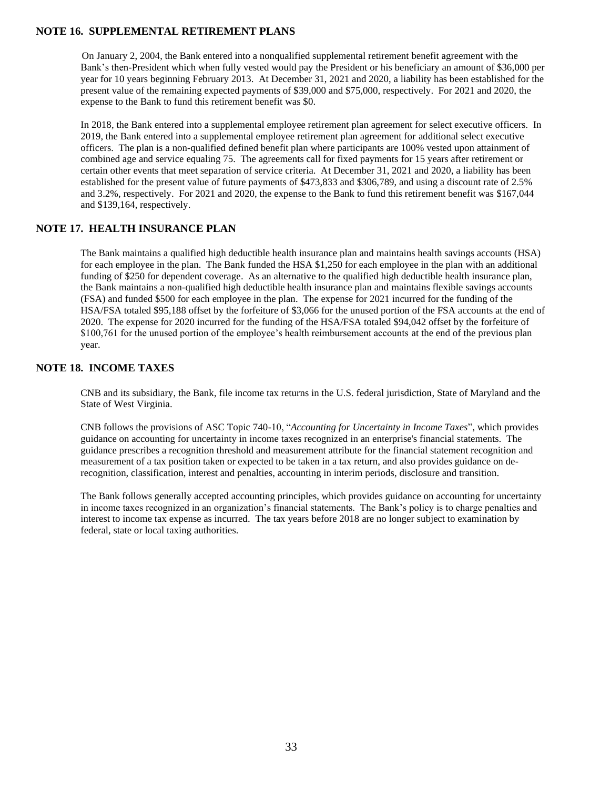#### **NOTE 16. SUPPLEMENTAL RETIREMENT PLANS**

On January 2, 2004, the Bank entered into a nonqualified supplemental retirement benefit agreement with the Bank's then-President which when fully vested would pay the President or his beneficiary an amount of \$36,000 per year for 10 years beginning February 2013. At December 31, 2021 and 2020, a liability has been established for the present value of the remaining expected payments of \$39,000 and \$75,000, respectively. For 2021 and 2020, the expense to the Bank to fund this retirement benefit was \$0.

In 2018, the Bank entered into a supplemental employee retirement plan agreement for select executive officers. In 2019, the Bank entered into a supplemental employee retirement plan agreement for additional select executive officers. The plan is a non-qualified defined benefit plan where participants are 100% vested upon attainment of combined age and service equaling 75. The agreements call for fixed payments for 15 years after retirement or certain other events that meet separation of service criteria. At December 31, 2021 and 2020, a liability has been established for the present value of future payments of \$473,833 and \$306,789, and using a discount rate of 2.5% and 3.2%, respectively. For 2021 and 2020, the expense to the Bank to fund this retirement benefit was \$167,044 and \$139,164, respectively.

#### **NOTE 17. HEALTH INSURANCE PLAN**

The Bank maintains a qualified high deductible health insurance plan and maintains health savings accounts (HSA) for each employee in the plan. The Bank funded the HSA \$1,250 for each employee in the plan with an additional funding of \$250 for dependent coverage. As an alternative to the qualified high deductible health insurance plan, the Bank maintains a non-qualified high deductible health insurance plan and maintains flexible savings accounts (FSA) and funded \$500 for each employee in the plan. The expense for 2021 incurred for the funding of the HSA/FSA totaled \$95,188 offset by the forfeiture of \$3,066 for the unused portion of the FSA accounts at the end of 2020. The expense for 2020 incurred for the funding of the HSA/FSA totaled \$94,042 offset by the forfeiture of \$100,761 for the unused portion of the employee's health reimbursement accounts at the end of the previous plan year.

#### **NOTE 18. INCOME TAXES**

CNB and its subsidiary, the Bank, file income tax returns in the U.S. federal jurisdiction, State of Maryland and the State of West Virginia.

CNB follows the provisions of ASC Topic 740-10, "*Accounting for Uncertainty in Income Taxes*", which provides guidance on accounting for uncertainty in income taxes recognized in an enterprise's financial statements. The guidance prescribes a recognition threshold and measurement attribute for the financial statement recognition and measurement of a tax position taken or expected to be taken in a tax return, and also provides guidance on derecognition, classification, interest and penalties, accounting in interim periods, disclosure and transition.

The Bank follows generally accepted accounting principles, which provides guidance on accounting for uncertainty in income taxes recognized in an organization's financial statements. The Bank's policy is to charge penalties and interest to income tax expense as incurred. The tax years before 2018 are no longer subject to examination by federal, state or local taxing authorities.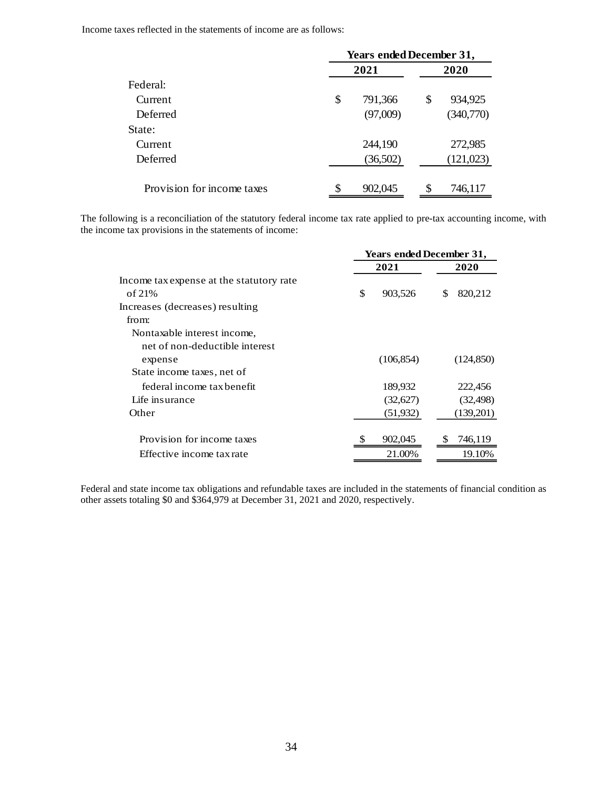Income taxes reflected in the statements of income are as follows:

|                            | <b>Years ended December 31,</b> |          |    |            |  |  |
|----------------------------|---------------------------------|----------|----|------------|--|--|
|                            |                                 | 2021     |    | 2020       |  |  |
| Federal:                   |                                 |          |    |            |  |  |
| Current                    | \$                              | 791,366  | \$ | 934,925    |  |  |
| Deferred                   |                                 | (97,009) |    | (340,770)  |  |  |
| State:                     |                                 |          |    |            |  |  |
| Current                    |                                 | 244,190  |    | 272,985    |  |  |
| Deferred                   |                                 | (36,502) |    | (121, 023) |  |  |
|                            |                                 |          |    |            |  |  |
| Provision for income taxes |                                 | 902,045  |    | 746,117    |  |  |

The following is a reconciliation of the statutory federal income tax rate applied to pre-tax accounting income, with the income tax provisions in the statements of income:

|                                          |    | <b>Years ended December 31,</b> |     |            |  |  |  |  |  |  |
|------------------------------------------|----|---------------------------------|-----|------------|--|--|--|--|--|--|
|                                          |    | 2021                            |     | 2020       |  |  |  |  |  |  |
| Income tax expense at the statutory rate |    |                                 |     |            |  |  |  |  |  |  |
| of 21%                                   | \$ | 903,526                         | \$  | 820,212    |  |  |  |  |  |  |
| Increases (decreases) resulting          |    |                                 |     |            |  |  |  |  |  |  |
| from:                                    |    |                                 |     |            |  |  |  |  |  |  |
| Nontaxable interest income,              |    |                                 |     |            |  |  |  |  |  |  |
| net of non-deductible interest           |    |                                 |     |            |  |  |  |  |  |  |
| expense                                  |    | (106, 854)                      |     | (124, 850) |  |  |  |  |  |  |
| State income taxes, net of               |    |                                 |     |            |  |  |  |  |  |  |
| federal income tax benefit               |    | 189,932                         |     | 222,456    |  |  |  |  |  |  |
| Life insurance                           |    | (32,627)                        |     | (32, 498)  |  |  |  |  |  |  |
| Other                                    |    | (51, 932)                       |     | (139,201)  |  |  |  |  |  |  |
|                                          |    |                                 |     |            |  |  |  |  |  |  |
| Provision for income taxes               |    | 902,045                         | \$. | 746,119    |  |  |  |  |  |  |
| Effective income tax rate                |    | 21.00%                          |     | 19.10%     |  |  |  |  |  |  |
|                                          |    |                                 |     |            |  |  |  |  |  |  |

Federal and state income tax obligations and refundable taxes are included in the statements of financial condition as other assets totaling \$0 and \$364,979 at December 31, 2021 and 2020, respectively.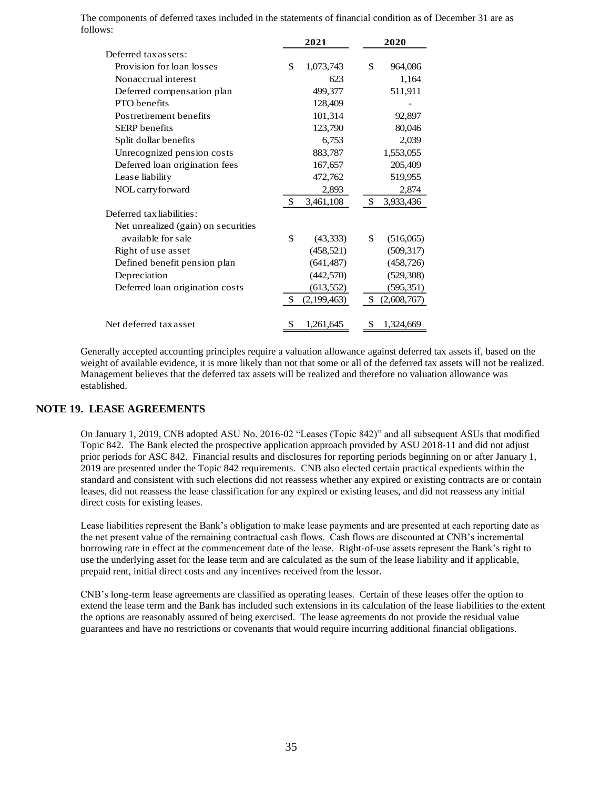|                                     | 2021          |             |              | 2020        |
|-------------------------------------|---------------|-------------|--------------|-------------|
| Deferred tax assets:                |               |             |              |             |
| Provision for loan losses           | \$            | 1,073,743   | \$           | 964,086     |
| Nonaccrual interest                 |               | 623         |              | 1,164       |
| Deferred compensation plan          |               | 499,377     |              | 511,911     |
| <b>PTO</b> benefits                 |               | 128,409     |              |             |
| Postretirement benefits             |               | 101,314     |              | 92,897      |
| <b>SERP</b> benefits                |               | 123,790     |              | 80,046      |
| Split dollar benefits               |               | 6,753       |              | 2,039       |
| Unrecognized pension costs          |               | 883,787     |              | 1,553,055   |
| Deferred loan origination fees      |               | 167,657     |              | 205,409     |
| Lease liability                     |               | 472,762     |              | 519,955     |
| NOL carry forward                   |               | 2,893       |              | 2,874       |
|                                     | $\mathcal{S}$ | 3,461,108   | $\mathbb{S}$ | 3,933,436   |
| Deferred tax liabilities:           |               |             |              |             |
| Net unrealized (gain) on securities |               |             |              |             |
| available for sale                  | \$            | (43, 333)   | \$           | (516,065)   |
| Right of use asset                  |               | (458, 521)  |              | (509, 317)  |
| Defined benefit pension plan        |               | (641, 487)  |              | (458, 726)  |
| Depreciation                        |               | (442,570)   |              | (529, 308)  |
| Deferred loan origination costs     |               | (613, 552)  |              | (595, 351)  |
|                                     | \$            | (2,199,463) | \$           | (2,608,767) |
|                                     |               |             |              |             |
| Net deferred tax asset              | \$            | 1,261,645   | \$           | 1,324,669   |

The components of deferred taxes included in the statements of financial condition as of December 31 are as follows:

Generally accepted accounting principles require a valuation allowance against deferred tax assets if, based on the weight of available evidence, it is more likely than not that some or all of the deferred tax assets will not be realized. Management believes that the deferred tax assets will be realized and therefore no valuation allowance was established.

#### **NOTE 19. LEASE AGREEMENTS**

On January 1, 2019, CNB adopted ASU No. 2016-02 "Leases (Topic 842)" and all subsequent ASUs that modified Topic 842. The Bank elected the prospective application approach provided by ASU 2018-11 and did not adjust prior periods for ASC 842. Financial results and disclosures for reporting periods beginning on or after January 1, 2019 are presented under the Topic 842 requirements. CNB also elected certain practical expedients within the standard and consistent with such elections did not reassess whether any expired or existing contracts are or contain leases, did not reassess the lease classification for any expired or existing leases, and did not reassess any initial direct costs for existing leases.

Lease liabilities represent the Bank's obligation to make lease payments and are presented at each reporting date as the net present value of the remaining contractual cash flows. Cash flows are discounted at CNB's incremental borrowing rate in effect at the commencement date of the lease. Right-of-use assets represent the Bank's right to use the underlying asset for the lease term and are calculated as the sum of the lease liability and if applicable, prepaid rent, initial direct costs and any incentives received from the lessor.

CNB's long-term lease agreements are classified as operating leases. Certain of these leases offer the option to extend the lease term and the Bank has included such extensions in its calculation of the lease liabilities to the extent the options are reasonably assured of being exercised. The lease agreements do not provide the residual value guarantees and have no restrictions or covenants that would require incurring additional financial obligations.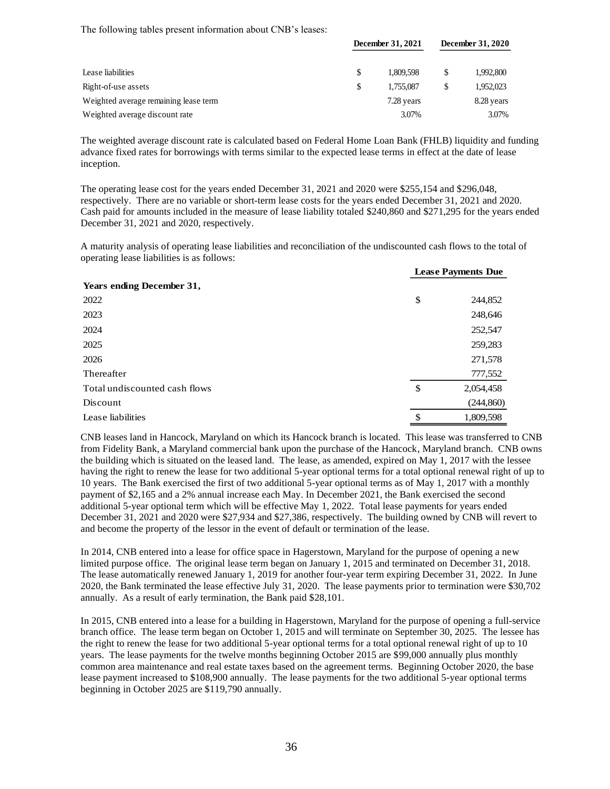The following tables present information about CNB's leases:

|                                       | December 31, 2021 | December 31, 2020 |            |  |
|---------------------------------------|-------------------|-------------------|------------|--|
| Lease liabilities                     | \$<br>1.809.598   | S                 | 1,992,800  |  |
| Right-of-use assets                   | \$<br>1.755.087   | S                 | 1,952,023  |  |
| Weighted average remaining lease term | 7.28 years        |                   | 8.28 years |  |
| Weighted average discount rate        | 3.07%             |                   | 3.07%      |  |

The weighted average discount rate is calculated based on Federal Home Loan Bank (FHLB) liquidity and funding advance fixed rates for borrowings with terms similar to the expected lease terms in effect at the date of lease inception.

The operating lease cost for the years ended December 31, 2021 and 2020 were \$255,154 and \$296,048, respectively. There are no variable or short-term lease costs for the years ended December 31, 2021 and 2020. Cash paid for amounts included in the measure of lease liability totaled \$240,860 and \$271,295 for the years ended December 31, 2021 and 2020, respectively.

A maturity analysis of operating lease liabilities and reconciliation of the undiscounted cash flows to the total of operating lease liabilities is as follows:

|                                  | <b>Lease Payments Due</b> |
|----------------------------------|---------------------------|
| <b>Years ending December 31,</b> |                           |
| 2022                             | \$<br>244,852             |
| 2023                             | 248,646                   |
| 2024                             | 252,547                   |
| 2025                             | 259,283                   |
| 2026                             | 271,578                   |
| Thereafter                       | 777,552                   |
| Total undiscounted cash flows    | \$<br>2,054,458           |
| Discount                         | (244, 860)                |
| Lease liabilities                | \$<br>1,809,598           |

CNB leases land in Hancock, Maryland on which its Hancock branch is located. This lease was transferred to CNB from Fidelity Bank, a Maryland commercial bank upon the purchase of the Hancock, Maryland branch. CNB owns the building which is situated on the leased land. The lease, as amended, expired on May 1, 2017 with the lessee having the right to renew the lease for two additional 5-year optional terms for a total optional renewal right of up to 10 years. The Bank exercised the first of two additional 5-year optional terms as of May 1, 2017 with a monthly payment of \$2,165 and a 2% annual increase each May. In December 2021, the Bank exercised the second additional 5-year optional term which will be effective May 1, 2022. Total lease payments for years ended December 31, 2021 and 2020 were \$27,934 and \$27,386, respectively. The building owned by CNB will revert to and become the property of the lessor in the event of default or termination of the lease.

In 2014, CNB entered into a lease for office space in Hagerstown, Maryland for the purpose of opening a new limited purpose office. The original lease term began on January 1, 2015 and terminated on December 31, 2018. The lease automatically renewed January 1, 2019 for another four-year term expiring December 31, 2022. In June 2020, the Bank terminated the lease effective July 31, 2020. The lease payments prior to termination were \$30,702 annually. As a result of early termination, the Bank paid \$28,101.

In 2015, CNB entered into a lease for a building in Hagerstown, Maryland for the purpose of opening a full-service branch office. The lease term began on October 1, 2015 and will terminate on September 30, 2025. The lessee has the right to renew the lease for two additional 5-year optional terms for a total optional renewal right of up to 10 years. The lease payments for the twelve months beginning October 2015 are \$99,000 annually plus monthly common area maintenance and real estate taxes based on the agreement terms. Beginning October 2020, the base lease payment increased to \$108,900 annually. The lease payments for the two additional 5-year optional terms beginning in October 2025 are \$119,790 annually.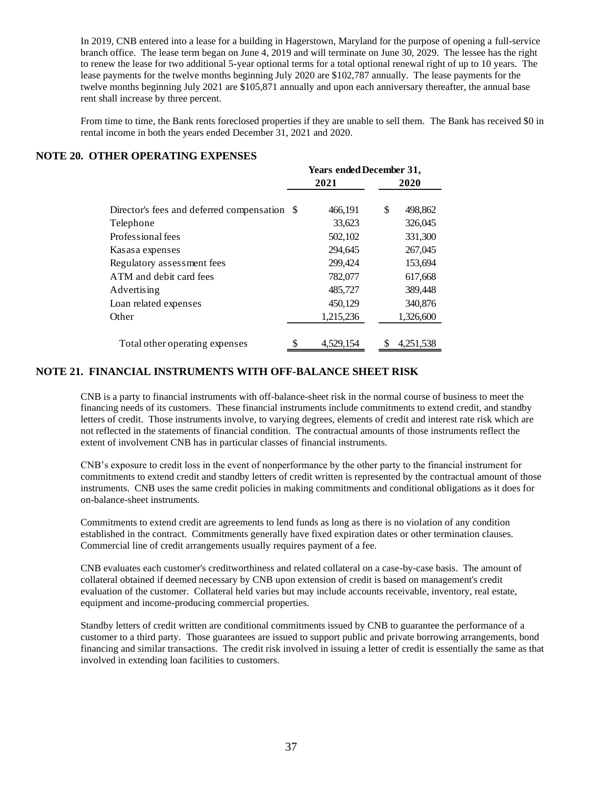In 2019, CNB entered into a lease for a building in Hagerstown, Maryland for the purpose of opening a full-service branch office. The lease term began on June 4, 2019 and will terminate on June 30, 2029. The lessee has the right to renew the lease for two additional 5-year optional terms for a total optional renewal right of up to 10 years. The lease payments for the twelve months beginning July 2020 are \$102,787 annually. The lease payments for the twelve months beginning July 2021 are \$105,871 annually and upon each anniversary thereafter, the annual base rent shall increase by three percent.

From time to time, the Bank rents foreclosed properties if they are unable to sell them. The Bank has received \$0 in rental income in both the years ended December 31, 2021 and 2020.

#### **NOTE 20. OTHER OPERATING EXPENSES**

|                                              | <b>Years ended December 31,</b> |           |    |           |  |  |
|----------------------------------------------|---------------------------------|-----------|----|-----------|--|--|
| Director's fees and deferred compensation \$ |                                 | 2021      |    | 2020      |  |  |
|                                              |                                 | 466,191   | \$ | 498,862   |  |  |
| Telephone                                    |                                 | 33,623    |    | 326,045   |  |  |
| Professional fees                            |                                 | 502,102   |    | 331,300   |  |  |
| Kasasa expenses                              |                                 | 294,645   |    | 267,045   |  |  |
| Regulatory assessment fees                   |                                 | 299,424   |    | 153,694   |  |  |
| ATM and debit card fees                      |                                 | 782,077   |    | 617,668   |  |  |
| Advertising                                  |                                 | 485,727   |    | 389,448   |  |  |
| Loan related expenses                        |                                 | 450,129   |    | 340,876   |  |  |
| Other                                        |                                 | 1,215,236 |    | 1,326,600 |  |  |
| Total other operating expenses               | \$                              | 4.529.154 | S  | 4.251.538 |  |  |

#### **NOTE 21. FINANCIAL INSTRUMENTS WITH OFF-BALANCE SHEET RISK**

CNB is a party to financial instruments with off-balance-sheet risk in the normal course of business to meet the financing needs of its customers. These financial instruments include commitments to extend credit, and standby letters of credit. Those instruments involve, to varying degrees, elements of credit and interest rate risk which are not reflected in the statements of financial condition. The contractual amounts of those instruments reflect the extent of involvement CNB has in particular classes of financial instruments.

CNB's exposure to credit loss in the event of nonperformance by the other party to the financial instrument for commitments to extend credit and standby letters of credit written is represented by the contractual amount of those instruments. CNB uses the same credit policies in making commitments and conditional obligations as it does for on-balance-sheet instruments.

Commitments to extend credit are agreements to lend funds as long as there is no violation of any condition established in the contract. Commitments generally have fixed expiration dates or other termination clauses. Commercial line of credit arrangements usually requires payment of a fee.

CNB evaluates each customer's creditworthiness and related collateral on a case-by-case basis. The amount of collateral obtained if deemed necessary by CNB upon extension of credit is based on management's credit evaluation of the customer. Collateral held varies but may include accounts receivable, inventory, real estate, equipment and income-producing commercial properties.

Standby letters of credit written are conditional commitments issued by CNB to guarantee the performance of a customer to a third party. Those guarantees are issued to support public and private borrowing arrangements, bond financing and similar transactions. The credit risk involved in issuing a letter of credit is essentially the same as that involved in extending loan facilities to customers.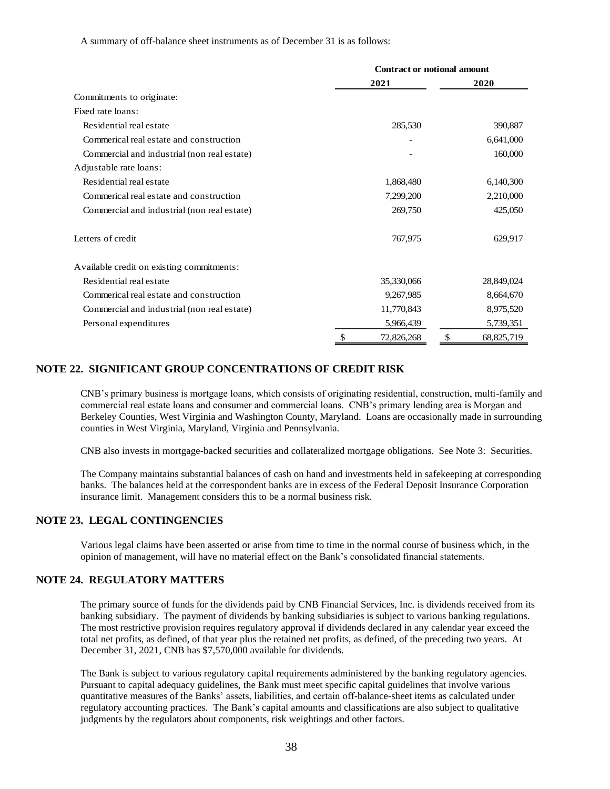A summary of off-balance sheet instruments as of December 31 is as follows:

|                                             | <b>Contract or notional amount</b> |    |            |  |  |
|---------------------------------------------|------------------------------------|----|------------|--|--|
|                                             | 2021                               |    | 2020       |  |  |
| Commitments to originate:                   |                                    |    |            |  |  |
| Fixed rate loans:                           |                                    |    |            |  |  |
| Residential real estate                     | 285,530                            |    | 390,887    |  |  |
| Commerical real estate and construction     |                                    |    | 6,641,000  |  |  |
| Commercial and industrial (non real estate) |                                    |    | 160,000    |  |  |
| Adjustable rate loans:                      |                                    |    |            |  |  |
| Residential real estate                     | 1,868,480                          |    | 6,140,300  |  |  |
| Commerical real estate and construction     | 7,299,200                          |    | 2,210,000  |  |  |
| Commercial and industrial (non real estate) | 269,750                            |    | 425,050    |  |  |
| Letters of credit                           | 767,975                            |    | 629,917    |  |  |
| Available credit on existing commitments:   |                                    |    |            |  |  |
| Residential real estate                     | 35,330,066                         |    | 28,849,024 |  |  |
| Commerical real estate and construction     | 9,267,985                          |    | 8,664,670  |  |  |
| Commercial and industrial (non real estate) | 11,770,843                         |    | 8,975,520  |  |  |
| Personal expenditures                       | 5,966,439                          |    | 5,739,351  |  |  |
|                                             | \$<br>72,826,268                   | \$ | 68,825,719 |  |  |

#### **NOTE 22. SIGNIFICANT GROUP CONCENTRATIONS OF CREDIT RISK**

CNB's primary business is mortgage loans, which consists of originating residential, construction, multi-family and commercial real estate loans and consumer and commercial loans. CNB's primary lending area is Morgan and Berkeley Counties, West Virginia and Washington County, Maryland. Loans are occasionally made in surrounding counties in West Virginia, Maryland, Virginia and Pennsylvania.

CNB also invests in mortgage-backed securities and collateralized mortgage obligations. See Note 3: Securities.

The Company maintains substantial balances of cash on hand and investments held in safekeeping at corresponding banks. The balances held at the correspondent banks are in excess of the Federal Deposit Insurance Corporation insurance limit. Management considers this to be a normal business risk.

#### **NOTE 23. LEGAL CONTINGENCIES**

Various legal claims have been asserted or arise from time to time in the normal course of business which, in the opinion of management, will have no material effect on the Bank's consolidated financial statements.

#### **NOTE 24. REGULATORY MATTERS**

The primary source of funds for the dividends paid by CNB Financial Services, Inc. is dividends received from its banking subsidiary. The payment of dividends by banking subsidiaries is subject to various banking regulations. The most restrictive provision requires regulatory approval if dividends declared in any calendar year exceed the total net profits, as defined, of that year plus the retained net profits, as defined, of the preceding two years. At December 31, 2021, CNB has \$7,570,000 available for dividends.

The Bank is subject to various regulatory capital requirements administered by the banking regulatory agencies. Pursuant to capital adequacy guidelines, the Bank must meet specific capital guidelines that involve various quantitative measures of the Banks' assets, liabilities, and certain off-balance-sheet items as calculated under regulatory accounting practices. The Bank's capital amounts and classifications are also subject to qualitative judgments by the regulators about components, risk weightings and other factors.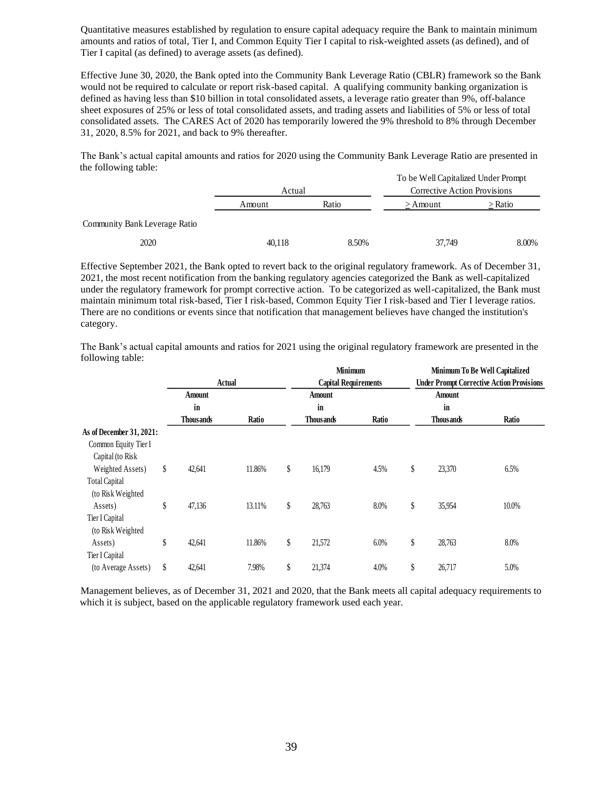Quantitative measures established by regulation to ensure capital adequacy require the Bank to maintain minimum amounts and ratios of total, Tier I, and Common Equity Tier I capital to risk-weighted assets (as defined), and of Tier I capital (as defined) to average assets (as defined).

Effective June 30, 2020, the Bank opted into the Community Bank Leverage Ratio (CBLR) framework so the Bank would not be required to calculate or report risk-based capital. A qualifying community banking organization is defined as having less than \$10 billion in total consolidated assets, a leverage ratio greater than 9%, off-balance sheet exposures of 25% or less of total consolidated assets, and trading assets and liabilities of 5% or less of total consolidated assets. The CARES Act of 2020 has temporarily lowered the 9% threshold to 8% through December 31, 2020, 8.5% for 2021, and back to 9% thereafter.

The Bank's actual capital amounts and ratios for 2020 using the Community Bank Leverage Ratio are presented in the following table:  $T$  be  $T$  and  $T$  and  $T$ 

|                                       | Actual |       | To be Well Capitalized Under Prompt<br>Corrective Action Provisions |         |
|---------------------------------------|--------|-------|---------------------------------------------------------------------|---------|
| Community Bank Leverage Ratio<br>2020 | Amount | Ratio | $> A$ mount                                                         | > Ratio |
|                                       |        |       |                                                                     |         |
|                                       | 40.118 | 8.50% | 37.749                                                              | 8.00%   |

Effective September 2021, the Bank opted to revert back to the original regulatory framework. As of December 31, 2021, the most recent notification from the banking regulatory agencies categorized the Bank as well-capitalized under the regulatory framework for prompt corrective action. To be categorized as well-capitalized, the Bank must maintain minimum total risk-based, Tier I risk-based, Common Equity Tier I risk-based and Tier I leverage ratios. There are no conditions or events since that notification that management believes have changed the institution's category.

The Bank's actual capital amounts and ratios for 2021 using the original regulatory framework are presented in the following table:

|                          |                   |        |    | <b>Minimum</b>              |       |    | Minimum To Be Well Capitalized                   |       |
|--------------------------|-------------------|--------|----|-----------------------------|-------|----|--------------------------------------------------|-------|
|                          |                   | Actual |    | <b>Capital Requirements</b> |       |    | <b>Under Prompt Corrective Action Provisions</b> |       |
|                          | Amount            |        |    | Amount                      |       |    | Amount                                           |       |
|                          | in                |        |    | in                          |       |    | in                                               |       |
|                          | <b>Thous ands</b> | Ratio  |    | Thousands                   | Ratio |    | <b>Thous ands</b>                                | Ratio |
| As of December 31, 2021: |                   |        |    |                             |       |    |                                                  |       |
| Common Equity Tier I     |                   |        |    |                             |       |    |                                                  |       |
| Capital (to Risk         |                   |        |    |                             |       |    |                                                  |       |
| Weighted Assets)         | \$<br>42,641      | 11.86% | \$ | 16,179                      | 4.5%  | \$ | 23,370                                           | 6.5%  |
| <b>Total Capital</b>     |                   |        |    |                             |       |    |                                                  |       |
| (to Risk Weighted        |                   |        |    |                             |       |    |                                                  |       |
| Assets)                  | \$<br>47,136      | 13.11% | \$ | 28,763                      | 8.0%  | \$ | 35,954                                           | 10.0% |
| Tier I Capital           |                   |        |    |                             |       |    |                                                  |       |
| (to Risk Weighted        |                   |        |    |                             |       |    |                                                  |       |
| Assets)                  | \$<br>42,641      | 11.86% | \$ | 21,572                      | 6.0%  | \$ | 28,763                                           | 8.0%  |
| Tier I Capital           |                   |        |    |                             |       |    |                                                  |       |
| (to Average Assets)      | \$<br>42,641      | 7.98%  | \$ | 21,374                      | 4.0%  | \$ | 26,717                                           | 5.0%  |
|                          |                   |        |    |                             |       |    |                                                  |       |

Management believes, as of December 31, 2021 and 2020, that the Bank meets all capital adequacy requirements to which it is subject, based on the applicable regulatory framework used each year.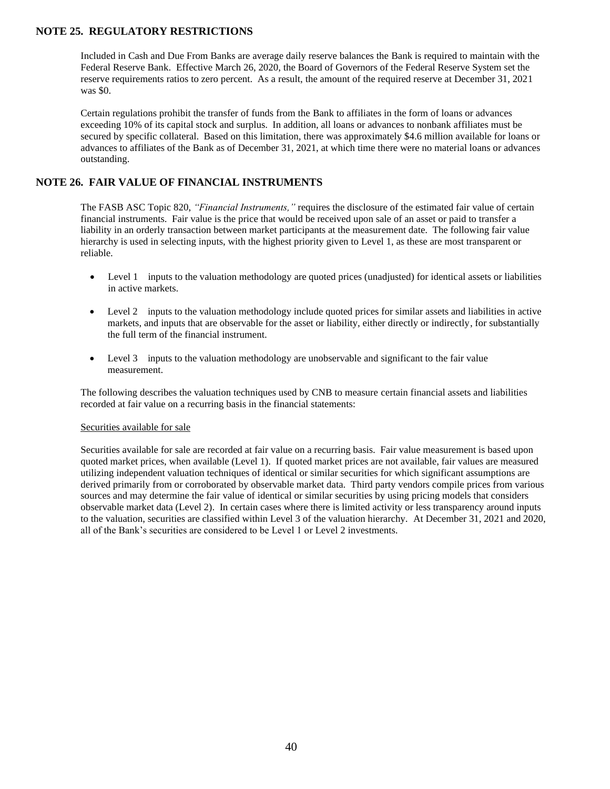#### **NOTE 25. REGULATORY RESTRICTIONS**

Included in Cash and Due From Banks are average daily reserve balances the Bank is required to maintain with the Federal Reserve Bank. Effective March 26, 2020, the Board of Governors of the Federal Reserve System set the reserve requirements ratios to zero percent. As a result, the amount of the required reserve at December 31, 2021 was \$0.

Certain regulations prohibit the transfer of funds from the Bank to affiliates in the form of loans or advances exceeding 10% of its capital stock and surplus. In addition, all loans or advances to nonbank affiliates must be secured by specific collateral. Based on this limitation, there was approximately \$4.6 million available for loans or advances to affiliates of the Bank as of December 31, 2021, at which time there were no material loans or advances outstanding.

#### **NOTE 26. FAIR VALUE OF FINANCIAL INSTRUMENTS**

The FASB ASC Topic 820, *"Financial Instruments,"* requires the disclosure of the estimated fair value of certain financial instruments. Fair value is the price that would be received upon sale of an asset or paid to transfer a liability in an orderly transaction between market participants at the measurement date. The following fair value hierarchy is used in selecting inputs, with the highest priority given to Level 1, as these are most transparent or reliable.

- Level 1 inputs to the valuation methodology are quoted prices (unadjusted) for identical assets or liabilities in active markets.
- Level 2 inputs to the valuation methodology include quoted prices for similar assets and liabilities in active markets, and inputs that are observable for the asset or liability, either directly or indirectly, for substantially the full term of the financial instrument.
- Level 3 inputs to the valuation methodology are unobservable and significant to the fair value measurement.

The following describes the valuation techniques used by CNB to measure certain financial assets and liabilities recorded at fair value on a recurring basis in the financial statements:

#### Securities available for sale

Securities available for sale are recorded at fair value on a recurring basis. Fair value measurement is based upon quoted market prices, when available (Level 1). If quoted market prices are not available, fair values are measured utilizing independent valuation techniques of identical or similar securities for which significant assumptions are derived primarily from or corroborated by observable market data. Third party vendors compile prices from various sources and may determine the fair value of identical or similar securities by using pricing models that considers observable market data (Level 2). In certain cases where there is limited activity or less transparency around inputs to the valuation, securities are classified within Level 3 of the valuation hierarchy. At December 31, 2021 and 2020, all of the Bank's securities are considered to be Level 1 or Level 2 investments.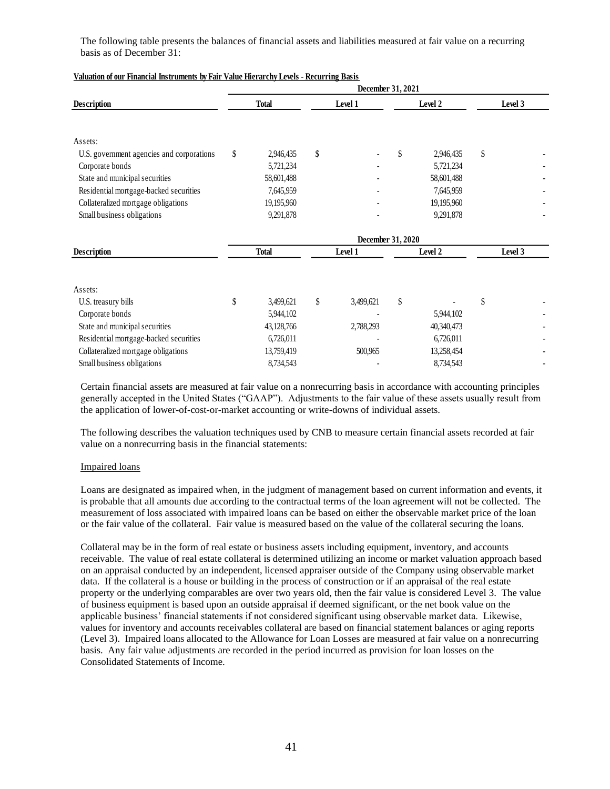The following table presents the balances of financial assets and liabilities measured at fair value on a recurring basis as of December 31:

|                                           | December 31, 2021 |    |                   |    |            |    |         |  |  |  |
|-------------------------------------------|-------------------|----|-------------------|----|------------|----|---------|--|--|--|
| <b>Description</b>                        | <b>Total</b>      |    | Level 1           |    | Level 2    |    | Level 3 |  |  |  |
| Assets:                                   |                   |    |                   |    |            |    |         |  |  |  |
| U.S. government agencies and corporations | \$<br>2,946,435   | \$ |                   | \$ | 2,946,435  | \$ |         |  |  |  |
| Corporate bonds                           | 5,721,234         |    |                   |    | 5,721,234  |    |         |  |  |  |
| State and municipal securities            | 58,601,488        |    |                   |    | 58,601,488 |    |         |  |  |  |
| Residential mortgage-backed securities    | 7,645,959         |    |                   |    | 7,645,959  |    |         |  |  |  |
| Collateralized mortgage obligations       | 19,195,960        |    |                   |    | 19,195,960 |    |         |  |  |  |
| Small business obligations                | 9,291,878         |    |                   |    | 9,291,878  |    |         |  |  |  |
|                                           |                   |    | December 31, 2020 |    |            |    |         |  |  |  |
| <b>Description</b>                        | <b>Total</b>      |    | Level 1           |    | Level 2    |    | Level 3 |  |  |  |
| Assets:                                   |                   |    |                   |    |            |    |         |  |  |  |
| U.S. treasury bills                       | \$<br>3,499,621   | \$ | 3,499,621         | \$ |            | \$ |         |  |  |  |
| Corporate bonds                           | 5,944,102         |    |                   |    | 5,944,102  |    |         |  |  |  |
| State and municipal securities            | 43,128,766        |    | 2,788,293         |    | 40,340,473 |    |         |  |  |  |
| Residential mortgage-backed securities    | 6,726,011         |    |                   |    | 6,726,011  |    |         |  |  |  |
| Collateralized mortgage obligations       | 13,759,419        |    | 500,965           |    | 13,258,454 |    |         |  |  |  |
| Small business obligations                | 8,734,543         |    |                   |    | 8,734,543  |    |         |  |  |  |

#### **Valuation of our Financial Instruments by Fair Value Hierarchy Levels - Recurring Basis**

Certain financial assets are measured at fair value on a nonrecurring basis in accordance with accounting principles generally accepted in the United States ("GAAP"). Adjustments to the fair value of these assets usually result from the application of lower-of-cost-or-market accounting or write-downs of individual assets.

The following describes the valuation techniques used by CNB to measure certain financial assets recorded at fair value on a nonrecurring basis in the financial statements:

#### Impaired loans

Loans are designated as impaired when, in the judgment of management based on current information and events, it is probable that all amounts due according to the contractual terms of the loan agreement will not be collected. The measurement of loss associated with impaired loans can be based on either the observable market price of the loan or the fair value of the collateral. Fair value is measured based on the value of the collateral securing the loans.

Collateral may be in the form of real estate or business assets including equipment, inventory, and accounts receivable. The value of real estate collateral is determined utilizing an income or market valuation approach based on an appraisal conducted by an independent, licensed appraiser outside of the Company using observable market data. If the collateral is a house or building in the process of construction or if an appraisal of the real estate property or the underlying comparables are over two years old, then the fair value is considered Level 3. The value of business equipment is based upon an outside appraisal if deemed significant, or the net book value on the applicable business' financial statements if not considered significant using observable market data. Likewise, values for inventory and accounts receivables collateral are based on financial statement balances or aging reports (Level 3). Impaired loans allocated to the Allowance for Loan Losses are measured at fair value on a nonrecurring basis. Any fair value adjustments are recorded in the period incurred as provision for loan losses on the Consolidated Statements of Income.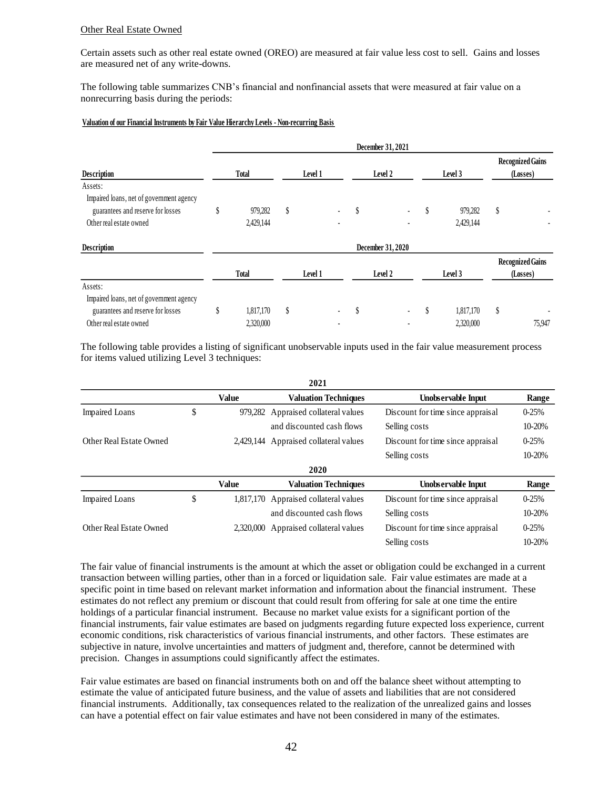#### Other Real Estate Owned

Certain assets such as other real estate owned (OREO) are measured at fair value less cost to sell. Gains and losses are measured net of any write-downs.

The following table summarizes CNB's financial and nonfinancial assets that were measured at fair value on a nonrecurring basis during the periods:

#### **Valuation of our Financial Instruments by Fair Value Hierarchy Levels - Non-recurring Basis**

|                                                                                                          | December 31, 2021 |                      |         |         |                          |         |                          |         |                      |                                     |                                     |
|----------------------------------------------------------------------------------------------------------|-------------------|----------------------|---------|---------|--------------------------|---------|--------------------------|---------|----------------------|-------------------------------------|-------------------------------------|
| <b>Description</b>                                                                                       |                   | <b>Total</b>         | Level 1 |         |                          | Level 2 |                          | Level 3 |                      | <b>Recognized Gains</b><br>(Losses) |                                     |
| Assets:                                                                                                  |                   |                      |         |         |                          |         |                          |         |                      |                                     |                                     |
| Impaired loans, net of government agency<br>guarantees and reserve for losses<br>Other real estate owned | $\triangle$<br>Ð  | 979,282<br>2,429,144 | \$      |         | $\overline{\phantom{0}}$ | \$      | $\overline{\phantom{a}}$ | \$      | 979,282<br>2,429,144 | \$                                  |                                     |
| <b>Description</b>                                                                                       |                   |                      |         |         |                          |         | December 31, 2020        |         |                      |                                     |                                     |
|                                                                                                          |                   | <b>Total</b>         |         | Level 1 |                          |         | Level 2                  |         | Level 3              |                                     | <b>Recognized Gains</b><br>(Losses) |
| Assets:                                                                                                  |                   |                      |         |         |                          |         |                          |         |                      |                                     |                                     |
| Impaired loans, net of government agency                                                                 |                   |                      |         |         |                          |         |                          |         |                      |                                     |                                     |
| guarantees and reserve for losses                                                                        | $\triangle$<br>J. | 1,817,170            | \$      |         | ۰.                       | \$      |                          | S       | 1,817,170            | \$                                  |                                     |
| Other real estate owned                                                                                  |                   | 2,320,000            |         |         |                          |         |                          |         | 2,320,000            |                                     | 75,947                              |

The following table provides a listing of significant unobservable inputs used in the fair value measurement process for items valued utilizing Level 3 techniques:

|                         |              | 2021                                  |                                   |            |
|-------------------------|--------------|---------------------------------------|-----------------------------------|------------|
|                         | <b>Value</b> | <b>Valuation Techniques</b>           | Unobservable Input                | Range      |
| <b>Impaired Loans</b>   | \$           | 979,282 Appraised collateral values   | Discount for time since appraisal | $0-25%$    |
|                         |              | and discounted cash flows             | Selling costs                     | 10-20%     |
| Other Real Estate Owned | 2.429.144    | Appraised collateral values           | Discount for time since appraisal | $0 - 25%$  |
|                         |              |                                       | Selling costs                     | $10 - 20%$ |
|                         |              | 2020                                  |                                   |            |
|                         | <b>Value</b> | <b>Valuation Techniques</b>           | Unobservable Input                | Range      |
| <b>Impaired Loans</b>   | \$           | 1,817,170 Appraised collateral values | Discount for time since appraisal | $0-25%$    |
|                         |              | and discounted cash flows             | Selling costs                     | 10-20%     |
| Other Real Estate Owned | 2.320,000    | Appraised collateral values           | Discount for time since appraisal | $0 - 25%$  |
|                         |              |                                       | Selling costs                     | $10 - 20%$ |

The fair value of financial instruments is the amount at which the asset or obligation could be exchanged in a current transaction between willing parties, other than in a forced or liquidation sale. Fair value estimates are made at a specific point in time based on relevant market information and information about the financial instrument. These estimates do not reflect any premium or discount that could result from offering for sale at one time the entire holdings of a particular financial instrument. Because no market value exists for a significant portion of the financial instruments, fair value estimates are based on judgments regarding future expected loss experience, current economic conditions, risk characteristics of various financial instruments, and other factors. These estimates are subjective in nature, involve uncertainties and matters of judgment and, therefore, cannot be determined with precision. Changes in assumptions could significantly affect the estimates.

Fair value estimates are based on financial instruments both on and off the balance sheet without attempting to estimate the value of anticipated future business, and the value of assets and liabilities that are not considered financial instruments. Additionally, tax consequences related to the realization of the unrealized gains and losses can have a potential effect on fair value estimates and have not been considered in many of the estimates.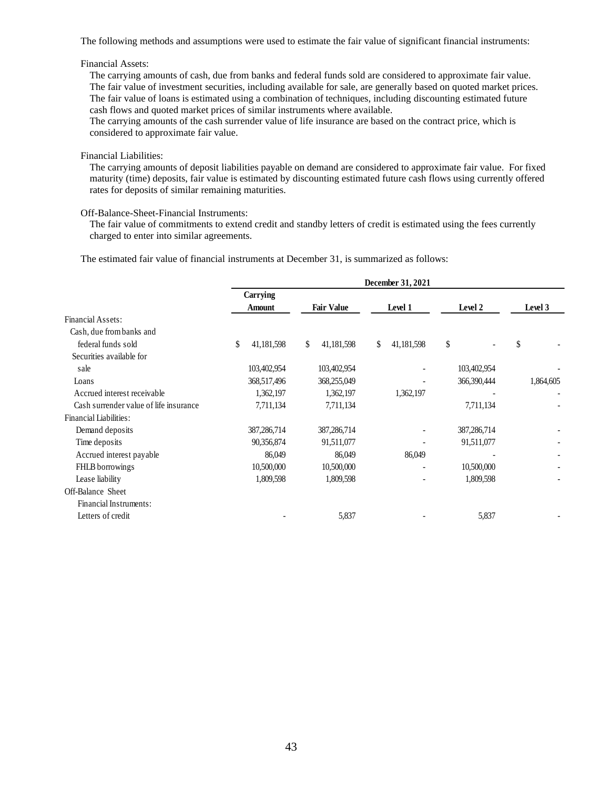The following methods and assumptions were used to estimate the fair value of significant financial instruments:

#### Financial Assets:

The carrying amounts of cash, due from banks and federal funds sold are considered to approximate fair value. The fair value of investment securities, including available for sale, are generally based on quoted market prices. The fair value of loans is estimated using a combination of techniques, including discounting estimated future cash flows and quoted market prices of similar instruments where available.

The carrying amounts of the cash surrender value of life insurance are based on the contract price, which is considered to approximate fair value.

#### Financial Liabilities:

The carrying amounts of deposit liabilities payable on demand are considered to approximate fair value. For fixed maturity (time) deposits, fair value is estimated by discounting estimated future cash flows using currently offered rates for deposits of similar remaining maturities.

#### Off-Balance-Sheet-Financial Instruments:

The fair value of commitments to extend credit and standby letters of credit is estimated using the fees currently charged to enter into similar agreements.

The estimated fair value of financial instruments at December 31, is summarized as follows:

|                                        | December 31, 2021  |             |    |                   |         |            |             |           |  |
|----------------------------------------|--------------------|-------------|----|-------------------|---------|------------|-------------|-----------|--|
|                                        | Carrying<br>Amount |             |    | <b>Fair Value</b> | Level 1 |            | Level 2     | Level 3   |  |
| Financial Assets:                      |                    |             |    |                   |         |            |             |           |  |
| Cash, due from banks and               |                    |             |    |                   |         |            |             |           |  |
| federal funds sold                     | \$                 | 41,181,598  | \$ | 41,181,598        | \$      | 41,181,598 | \$          | \$        |  |
| Securities available for               |                    |             |    |                   |         |            |             |           |  |
| sale                                   |                    | 103,402,954 |    | 103,402,954       |         |            | 103,402,954 |           |  |
| Loans                                  |                    | 368,517,496 |    | 368,255,049       |         |            | 366,390,444 | 1,864,605 |  |
| Accrued interest receivable            |                    | 1,362,197   |    | 1,362,197         |         | 1,362,197  |             |           |  |
| Cash surrender value of life insurance |                    | 7,711,134   |    | 7,711,134         |         |            | 7,711,134   |           |  |
| Financial Liabilities:                 |                    |             |    |                   |         |            |             |           |  |
| Demand deposits                        |                    | 387,286,714 |    | 387,286,714       |         |            | 387,286,714 |           |  |
| Time deposits                          |                    | 90,356,874  |    | 91,511,077        |         |            | 91,511,077  |           |  |
| Accrued interest payable               |                    | 86,049      |    | 86,049            |         | 86,049     |             |           |  |
| FHLB borrowings                        |                    | 10,500,000  |    | 10,500,000        |         |            | 10,500,000  |           |  |
| Lease liability                        |                    | 1,809,598   |    | 1,809,598         |         |            | 1,809,598   |           |  |
| Off-Balance Sheet                      |                    |             |    |                   |         |            |             |           |  |
| Financial Instruments:                 |                    |             |    |                   |         |            |             |           |  |
| Letters of credit                      |                    |             |    | 5,837             |         |            | 5,837       |           |  |
|                                        |                    |             |    |                   |         |            |             |           |  |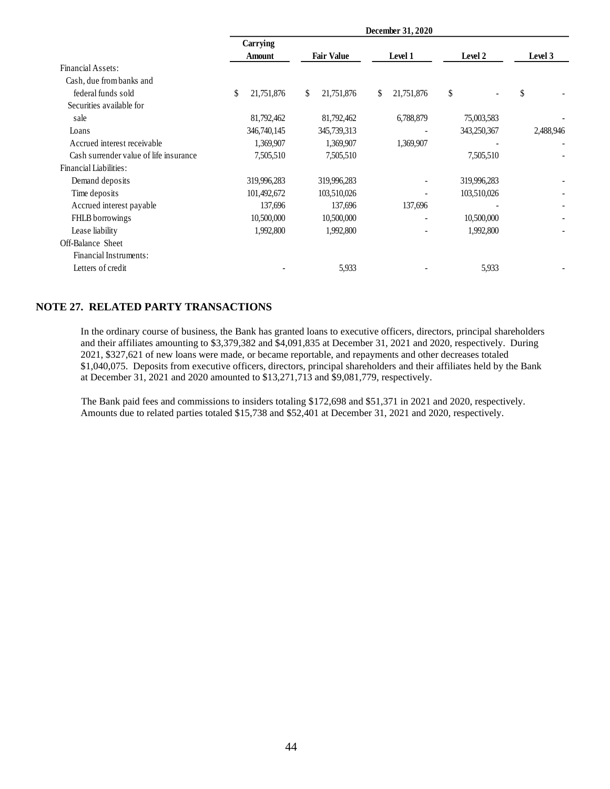|                                        | December 31, 2020  |             |    |                   |         |            |         |             |           |  |
|----------------------------------------|--------------------|-------------|----|-------------------|---------|------------|---------|-------------|-----------|--|
|                                        | Carrying<br>Amount |             |    | <b>Fair Value</b> | Level 1 |            | Level 2 |             | Level 3   |  |
| Financial Assets:                      |                    |             |    |                   |         |            |         |             |           |  |
| Cash, due from banks and               |                    |             |    |                   |         |            |         |             |           |  |
| federal funds sold                     | \$                 | 21,751,876  | \$ | 21,751,876        | \$      | 21,751,876 | \$      |             | \$        |  |
| Securities available for               |                    |             |    |                   |         |            |         |             |           |  |
| sale                                   |                    | 81,792,462  |    | 81,792,462        |         | 6,788,879  |         | 75,003,583  |           |  |
| Loans                                  |                    | 346,740,145 |    | 345,739,313       |         |            |         | 343,250,367 | 2,488,946 |  |
| Accrued interest receivable            |                    | 1,369,907   |    | 1,369,907         |         | 1,369,907  |         |             |           |  |
| Cash surrender value of life insurance |                    | 7,505,510   |    | 7,505,510         |         |            |         | 7,505,510   |           |  |
| Financial Liabilities:                 |                    |             |    |                   |         |            |         |             |           |  |
| Demand deposits                        |                    | 319,996,283 |    | 319,996,283       |         |            |         | 319,996,283 |           |  |
| Time deposits                          |                    | 101,492,672 |    | 103,510,026       |         |            |         | 103,510,026 |           |  |
| Accrued interest payable               |                    | 137,696     |    | 137,696           |         | 137,696    |         |             |           |  |
| FHLB borrowings                        |                    | 10,500,000  |    | 10,500,000        |         |            |         | 10,500,000  |           |  |
| Lease liability                        |                    | 1,992,800   |    | 1,992,800         |         |            |         | 1,992,800   |           |  |
| Off-Balance Sheet                      |                    |             |    |                   |         |            |         |             |           |  |
| Financial Instruments:                 |                    |             |    |                   |         |            |         |             |           |  |
| Letters of credit                      |                    |             |    | 5,933             |         |            |         | 5,933       |           |  |
|                                        |                    |             |    |                   |         |            |         |             |           |  |

### **NOTE 27. RELATED PARTY TRANSACTIONS**

In the ordinary course of business, the Bank has granted loans to executive officers, directors, principal shareholders and their affiliates amounting to \$3,379,382 and \$4,091,835 at December 31, 2021 and 2020, respectively. During 2021, \$327,621 of new loans were made, or became reportable, and repayments and other decreases totaled \$1,040,075. Deposits from executive officers, directors, principal shareholders and their affiliates held by the Bank at December 31, 2021 and 2020 amounted to \$13,271,713 and \$9,081,779, respectively.

The Bank paid fees and commissions to insiders totaling \$172,698 and \$51,371 in 2021 and 2020, respectively. Amounts due to related parties totaled \$15,738 and \$52,401 at December 31, 2021 and 2020, respectively.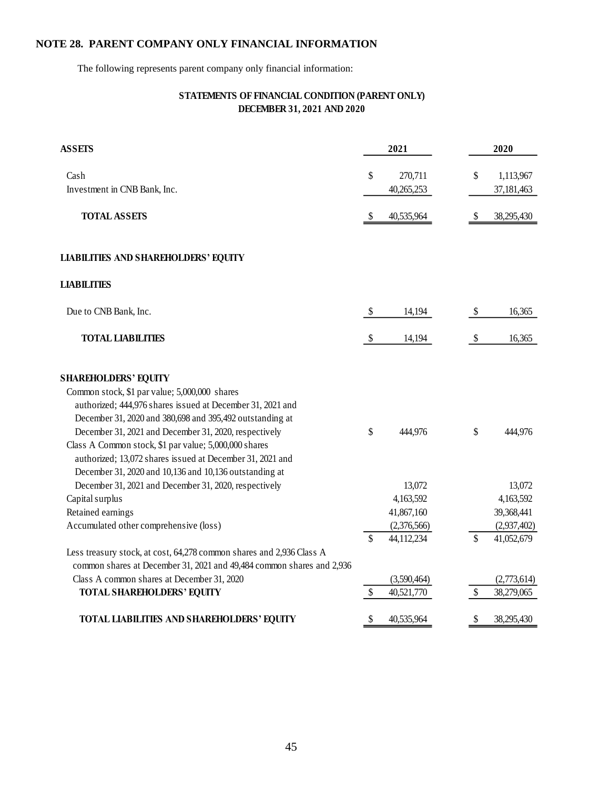## **NOTE 28. PARENT COMPANY ONLY FINANCIAL INFORMATION**

The following represents parent company only financial information:

## **STATEMENTS OF FINANCIAL CONDITION (PARENT ONLY) DECEMBER 31, 2021 AND 2020**

| <b>ASSETS</b>                                                                                                                                                                                                                                                                                                           |                           | 2021                                             |                           | 2020                                             |
|-------------------------------------------------------------------------------------------------------------------------------------------------------------------------------------------------------------------------------------------------------------------------------------------------------------------------|---------------------------|--------------------------------------------------|---------------------------|--------------------------------------------------|
|                                                                                                                                                                                                                                                                                                                         |                           |                                                  |                           |                                                  |
| Cash                                                                                                                                                                                                                                                                                                                    | \$                        | 270,711                                          | \$                        | 1,113,967                                        |
| Investment in CNB Bank, Inc.                                                                                                                                                                                                                                                                                            |                           | 40,265,253                                       |                           | 37,181,463                                       |
| <b>TOTAL ASSETS</b>                                                                                                                                                                                                                                                                                                     | \$                        | 40,535,964                                       | S                         | 38,295,430                                       |
| <b>LIABILITIES AND SHAREHOLDERS' EQUITY</b>                                                                                                                                                                                                                                                                             |                           |                                                  |                           |                                                  |
| <b>LIABILITIES</b>                                                                                                                                                                                                                                                                                                      |                           |                                                  |                           |                                                  |
| Due to CNB Bank, Inc.                                                                                                                                                                                                                                                                                                   | \$                        | 14,194                                           | \$                        | 16,365                                           |
| <b>TOTAL LIABILITIES</b>                                                                                                                                                                                                                                                                                                | $\boldsymbol{\mathsf{S}}$ | 14,194                                           | $\sqrt{2}$                | 16,365                                           |
| <b>SHAREHOLDERS' EQUITY</b><br>Common stock, \$1 par value; 5,000,000 shares<br>authorized; 444,976 shares issued at December 31, 2021 and<br>December 31, 2020 and 380,698 and 395,492 outstanding at<br>December 31, 2021 and December 31, 2020, respectively                                                         | \$                        | 444,976                                          | \$                        | 444,976                                          |
| Class A Common stock, \$1 par value; 5,000,000 shares<br>authorized; 13,072 shares issued at December 31, 2021 and<br>December 31, 2020 and 10,136 and 10,136 outstanding at<br>December 31, 2021 and December 31, 2020, respectively<br>Capital surplus<br>Retained earnings<br>Accumulated other comprehensive (loss) |                           | 13,072<br>4,163,592<br>41,867,160<br>(2,376,566) |                           | 13,072<br>4,163,592<br>39,368,441<br>(2,937,402) |
| Less treasury stock, at cost, 64,278 common shares and 2,936 Class A<br>common shares at December 31, 2021 and 49,484 common shares and 2,936                                                                                                                                                                           | \$                        | 44,112,234                                       | \$                        | 41,052,679                                       |
| Class A common shares at December 31, 2020                                                                                                                                                                                                                                                                              |                           | (3,590,464)                                      |                           | (2,773,614)                                      |
| <b>TOTAL SHAREHOLDERS' EQUITY</b>                                                                                                                                                                                                                                                                                       | \$                        | 40,521,770                                       | $\boldsymbol{\mathsf{S}}$ | 38,279,065                                       |
| <b>TOTAL LIABILITIES AND SHAREHOLDERS' EQUITY</b>                                                                                                                                                                                                                                                                       | \$                        | 40,535,964                                       | \$                        | 38,295,430                                       |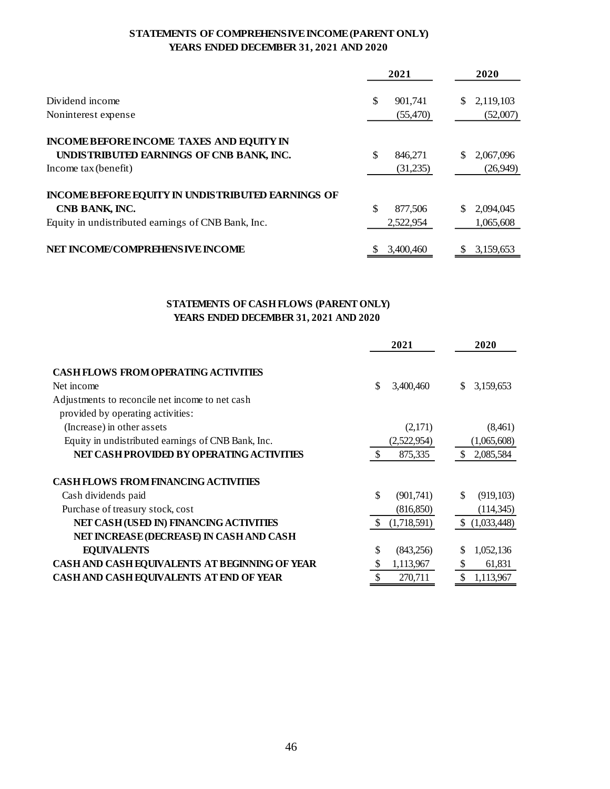## **STATEMENTS OF COMPREHENSIVE INCOME (PARENT ONLY) YEARS ENDED DECEMBER 31, 2021 AND 2020**

|                                                    | 2021          | 2020            |
|----------------------------------------------------|---------------|-----------------|
| Dividend income                                    | \$<br>901.741 | \$<br>2,119,103 |
| Noninterest expense                                | (55, 470)     | (52,007)        |
| <b>INCOME BEFORE INCOME TAXES AND EQUITY IN</b>    |               |                 |
| UNDISTRIBUTED EARNINGS OF CNB BANK, INC.           | \$<br>846,271 | S<br>2,067,096  |
| Income tax (benefit)                               | (31,235)      | (26,949)        |
| INCOME BEFORE EQUITY IN UNDISTRIBUTED EARNINGS OF  |               |                 |
| CNB BANK, INC.                                     | \$<br>877,506 | S<br>2,094,045  |
| Equity in undistributed earnings of CNB Bank, Inc. | 2,522,954     | 1,065,608       |
| NET INCOME/COMPREHENSIVE INCOME                    | 3,400,460     | 3,159,653       |

## **STATEMENTS OF CASH FLOWS (PARENT ONLY) YEARS ENDED DECEMBER 31, 2021 AND 2020**

|                                                    | 2021                     | 2020              |
|----------------------------------------------------|--------------------------|-------------------|
| <b>CASH FLOWS FROM OPERATING ACTIVITIES</b>        |                          |                   |
| Net income                                         | \$<br>3,400,460          | 3,159,653<br>\$.  |
| Adjustments to reconcile net income to net cash    |                          |                   |
| provided by operating activities:                  |                          |                   |
| (Increase) in other assets                         | (2,171)                  | (8, 461)          |
| Equity in undistributed earnings of CNB Bank, Inc. | (2,522,954)              | (1,065,608)       |
| NET CASH PROVIDED BY OPERATING ACTIVITIES          | 875,335<br><sup>\$</sup> | 2,085,584<br>\$.  |
| <b>CASH FLOWS FROM FINANCING ACTIVITIES</b>        |                          |                   |
| Cash dividends paid                                | \$<br>(901,741)          | \$<br>(919, 103)  |
| Purchase of treasury stock, cost                   | (816, 850)               | (114, 345)        |
| NET CASH (USED IN) FINANCING ACTIVITIES            | \$<br>(1,718,591)        | (1,033,448)<br>\$ |
| NET INCREASE (DECREASE) IN CASH AND CASH           |                          |                   |
| <b>EQUIVALENTS</b>                                 | \$<br>(843,256)          | \$<br>1,052,136   |
| CASH AND CASH EQUIVALENTS AT BEGINNING OF YEAR     | 1,113,967                | \$<br>61,831      |
| CASH AND CASH EQUIVALENTS AT END OF YEAR           | \$<br>270,711            | \$<br>1,113,967   |